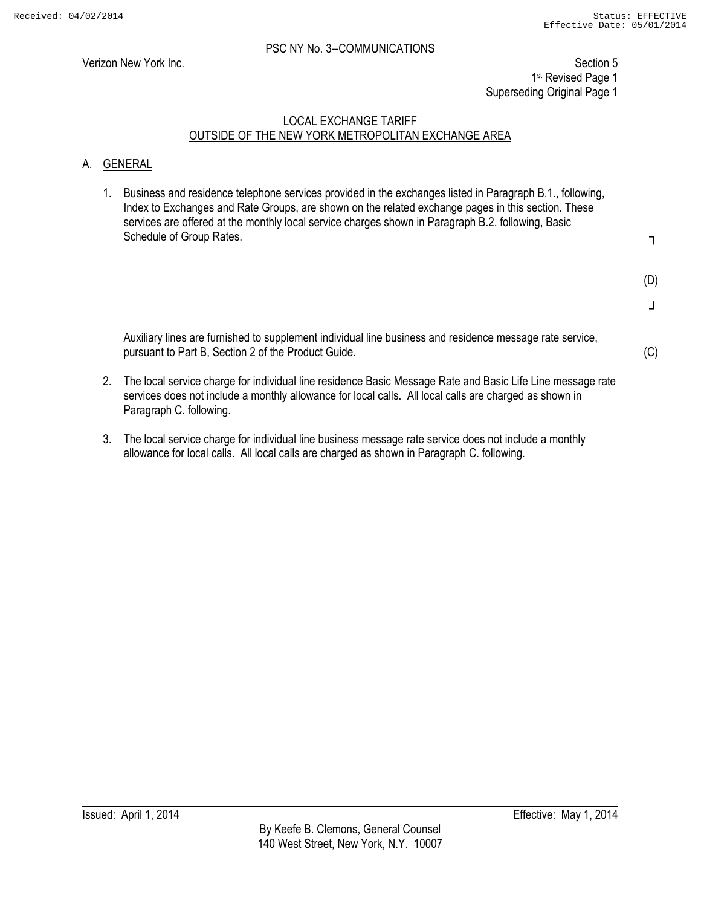Verizon New York Inc. Section 5 1st Revised Page 1 Superseding Original Page 1

# LOCAL EXCHANGE TARIFF OUTSIDE OF THE NEW YORK METROPOLITAN EXCHANGE AREA

# A. GENERAL

1. Business and residence telephone services provided in the exchanges listed in Paragraph B.1., following, Index to Exchanges and Rate Groups, are shown on the related exchange pages in this section. These services are offered at the monthly local service charges shown in Paragraph B.2. following, Basic Schedule of Group Rates.

┐

(D)

┘

(C)

Auxiliary lines are furnished to supplement individual line business and residence message rate service, pursuant to Part B, Section 2 of the Product Guide.

- 2. The local service charge for individual line residence Basic Message Rate and Basic Life Line message rate services does not include a monthly allowance for local calls. All local calls are charged as shown in Paragraph C. following.
- 3. The local service charge for individual line business message rate service does not include a monthly allowance for local calls. All local calls are charged as shown in Paragraph C. following.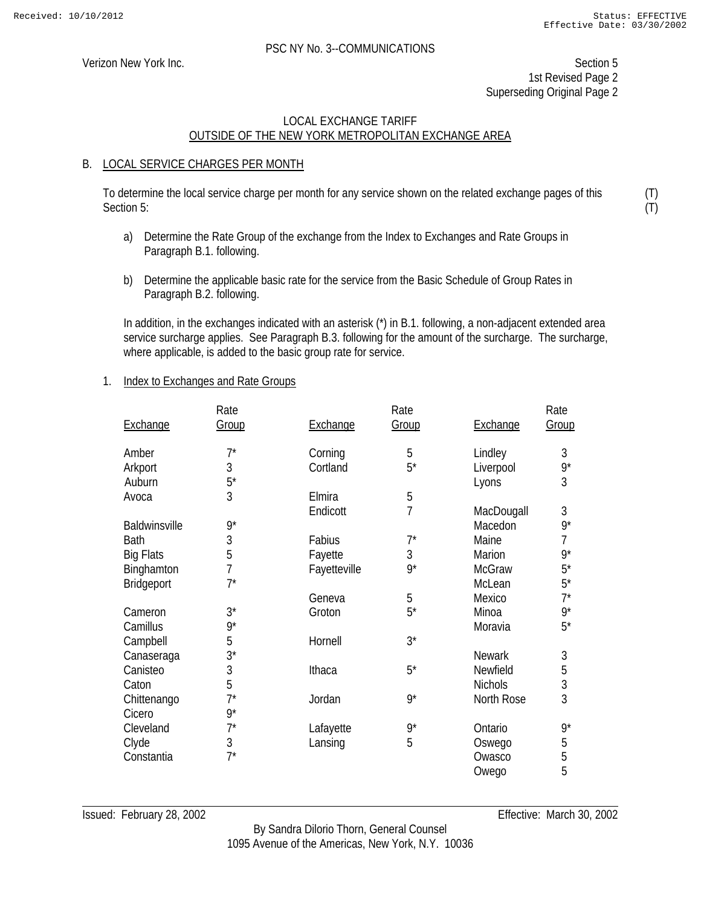(T) (T)

#### PSC NY No. 3--COMMUNICATIONS

Verizon New York Inc. Section 5 1st Revised Page 2 Superseding Original Page 2

# LOCAL EXCHANGE TARIFF OUTSIDE OF THE NEW YORK METROPOLITAN EXCHANGE AREA

#### B. LOCAL SERVICE CHARGES PER MONTH

To determine the local service charge per month for any service shown on the related exchange pages of this Section 5:

- a) Determine the Rate Group of the exchange from the Index to Exchanges and Rate Groups in Paragraph B.1. following.
- b) Determine the applicable basic rate for the service from the Basic Schedule of Group Rates in Paragraph B.2. following.

In addition, in the exchanges indicated with an asterisk (\*) in B.1. following, a non-adjacent extended area service surcharge applies. See Paragraph B.3. following for the amount of the surcharge. The surcharge, where applicable, is added to the basic group rate for service.

1. Index to Exchanges and Rate Groups

|                  | Rate           |                | Rate           |                | Rate        |
|------------------|----------------|----------------|----------------|----------------|-------------|
| Exchange         | Group          | Exchange       | Group          | Exchange       | Group       |
| Amber            | $7^*$          | Corning        | 5              | Lindley        | 3           |
| Arkport          | 3              | Cortland       | $5^*$          | Liverpool      | 9*          |
| Auburn           | $5^*$          |                |                | Lyons          | 3           |
| Avoca            | 3              | <b>F</b> Imira | 5              |                |             |
|                  |                | Endicott       | $\overline{1}$ | MacDougall     | 3           |
| Baldwinsville    | $9^*$          |                |                | Macedon        | $9^{\star}$ |
| <b>Bath</b>      | $\mathfrak{Z}$ | Fabius         | $7^*$          | Maine          | 7           |
| <b>Big Flats</b> | 5              | Fayette        | 3              | Marion         | $9^{\star}$ |
| Binghamton       | 7              | Fayetteville   | $9^*$          | <b>McGraw</b>  | $5^*$       |
| Bridgeport       | $7^*$          |                |                | McLean         | $5^*$       |
|                  |                | Geneva         | 5              | Mexico         | $7^*$       |
| Cameron          | $3^*$          | Groton         | $5^*$          | Minoa          | 9*          |
| Camillus         | $9*$           |                |                | Moravia        | $5^*$       |
| Campbell         | 5              | Hornell        | $3^*$          |                |             |
| Canaseraga       | $3^*$          |                |                | <b>Newark</b>  | 3           |
| Canisteo         | 3              | Ithaca         | $5^*$          | Newfield       | 5           |
| Caton            | 5              |                |                | <b>Nichols</b> | 3           |
| Chittenango      | $7^*$          | Jordan         | $9^*$          | North Rose     | 3           |
| Cicero           | $9^*$          |                |                |                |             |
| Cleveland        | $7^*$          | Lafayette      | $9^*$          | Ontario        | $9^{\star}$ |
| Clyde            | 3              | Lansing        | 5              | Oswego         | 5           |
| Constantia       | $7^*$          |                |                | Owasco         | 5           |
|                  |                |                |                | Owego          | 5           |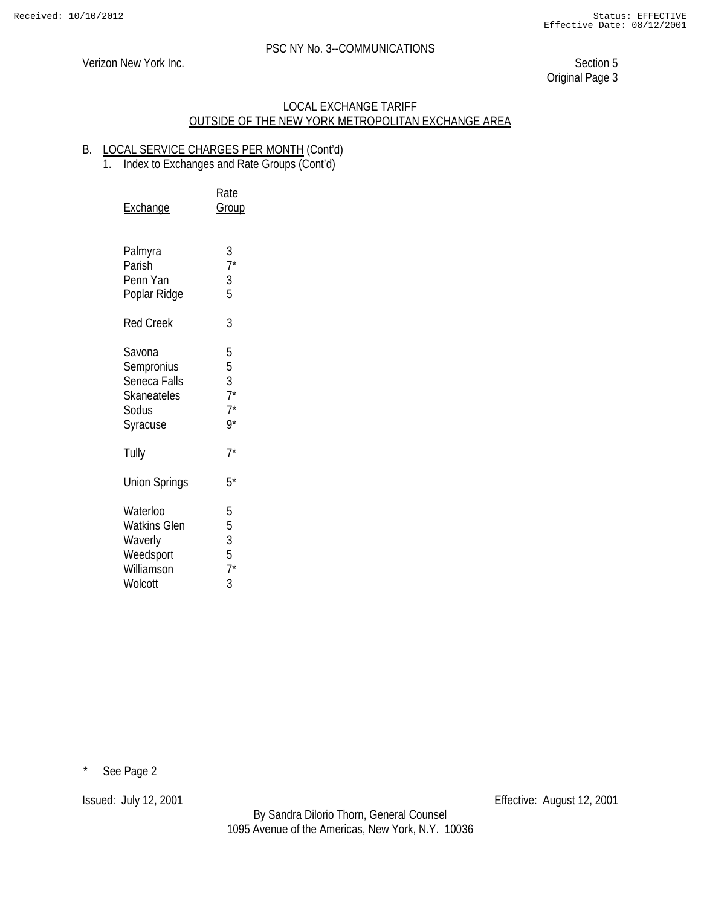Verizon New York Inc. Section 5

Original Page 3

# LOCAL EXCHANGE TARIFF OUTSIDE OF THE NEW YORK METROPOLITAN EXCHANGE AREA

# B. LOCAL SERVICE CHARGES PER MONTH (Cont'd)

1. Index to Exchanges and Rate Groups (Cont'd)

| <u>Exchange</u>                                                                  | Rate<br><b>Group</b>                           |
|----------------------------------------------------------------------------------|------------------------------------------------|
| Palmyra<br>Parish<br>Penn Yan<br>Poplar Ridge                                    | $\frac{3}{7}$<br>$\frac{3}{5}$                 |
| <b>Red Creek</b>                                                                 | 3                                              |
| Savona<br>Sempronius<br>Seneca Falls<br><b>Skaneateles</b><br>Sodus<br>Syracuse  | 5<br>5<br>$rac{3}{7}$<br>$7^*$ 9*              |
| Tully                                                                            | $7^*$                                          |
| Union Springs                                                                    | $5^*$                                          |
| Waterloo<br><b>Watkins Glen</b><br>Waverly<br>Weedsport<br>Williamson<br>Wolcott | 5<br>5<br>$\mathfrak{Z}$<br>$\frac{5}{7}$<br>3 |

See Page 2

Issued: July 12, 2001 Effective: August 12, 2001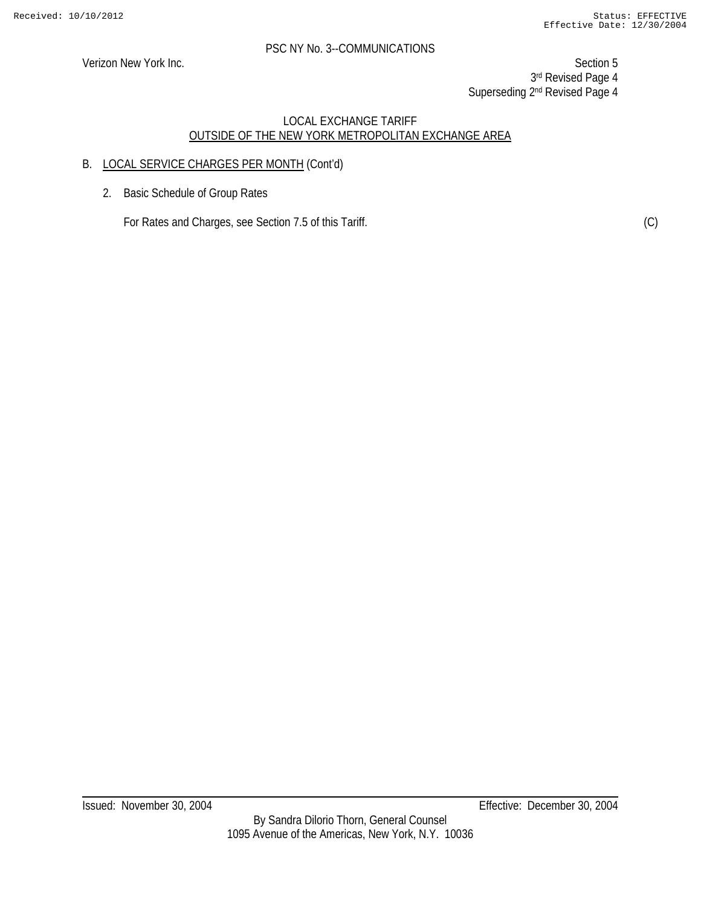Verizon New York Inc. Section 5 3rd Revised Page 4 Superseding 2<sup>nd</sup> Revised Page 4

# LOCAL EXCHANGE TARIFF OUTSIDE OF THE NEW YORK METROPOLITAN EXCHANGE AREA

# B. LOCAL SERVICE CHARGES PER MONTH (Cont'd)

2. Basic Schedule of Group Rates

For Rates and Charges, see Section 7.5 of this Tariff. (C)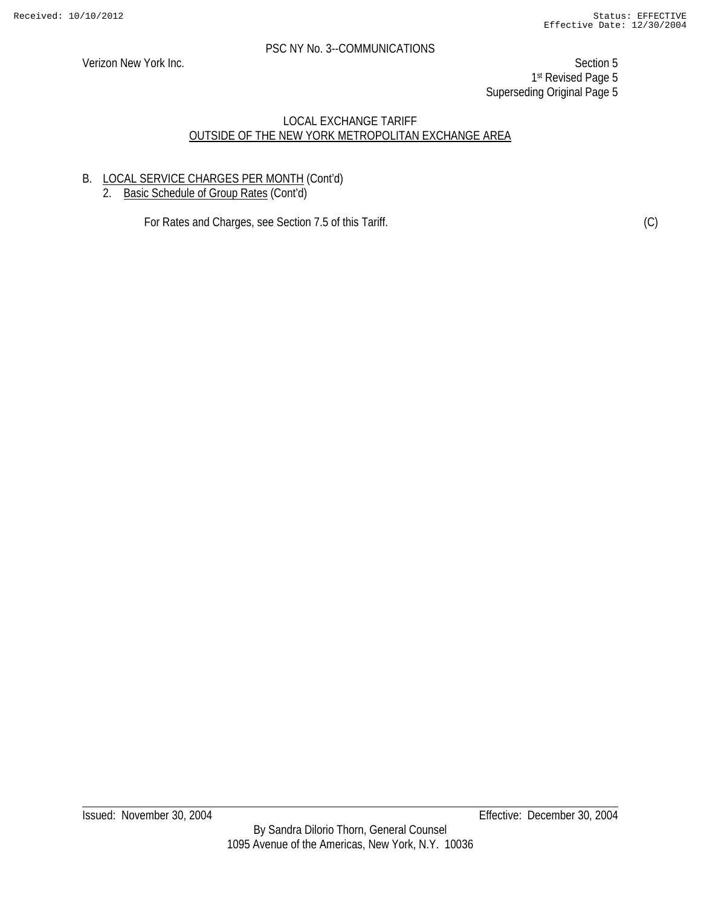Verizon New York Inc. Section 5 1st Revised Page 5 Superseding Original Page 5

# LOCAL EXCHANGE TARIFF OUTSIDE OF THE NEW YORK METROPOLITAN EXCHANGE AREA

# B. LOCAL SERVICE CHARGES PER MONTH (Cont'd)

2. Basic Schedule of Group Rates (Cont'd)

For Rates and Charges, see Section 7.5 of this Tariff. (C) (C)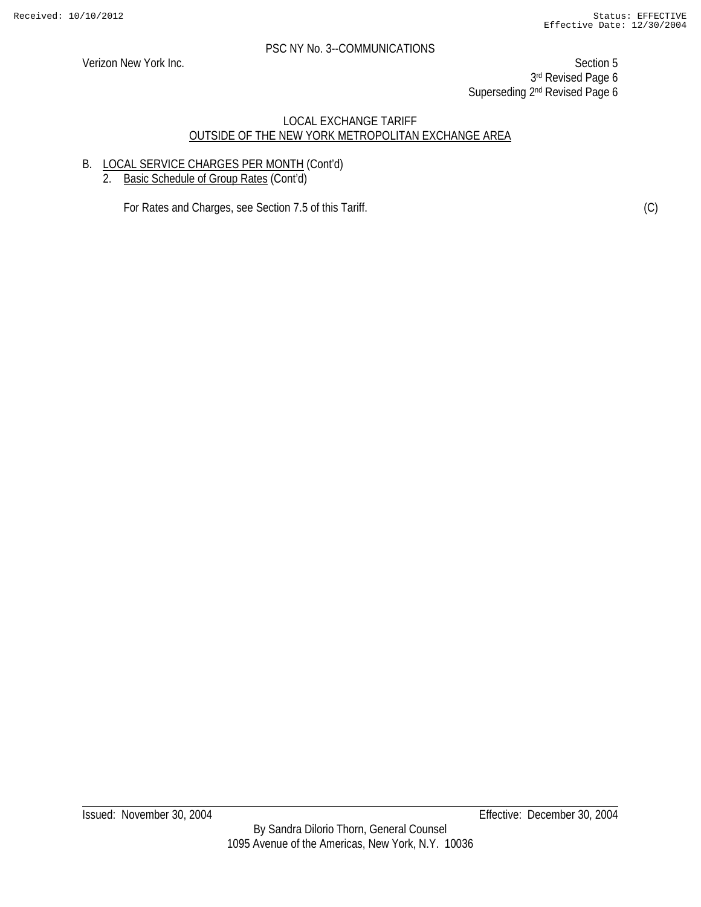Verizon New York Inc. Section 5 3rd Revised Page 6 Superseding 2<sup>nd</sup> Revised Page 6

### LOCAL EXCHANGE TARIFF OUTSIDE OF THE NEW YORK METROPOLITAN EXCHANGE AREA

# B. LOCAL SERVICE CHARGES PER MONTH (Cont'd)

2. Basic Schedule of Group Rates (Cont'd)

For Rates and Charges, see Section 7.5 of this Tariff. (C)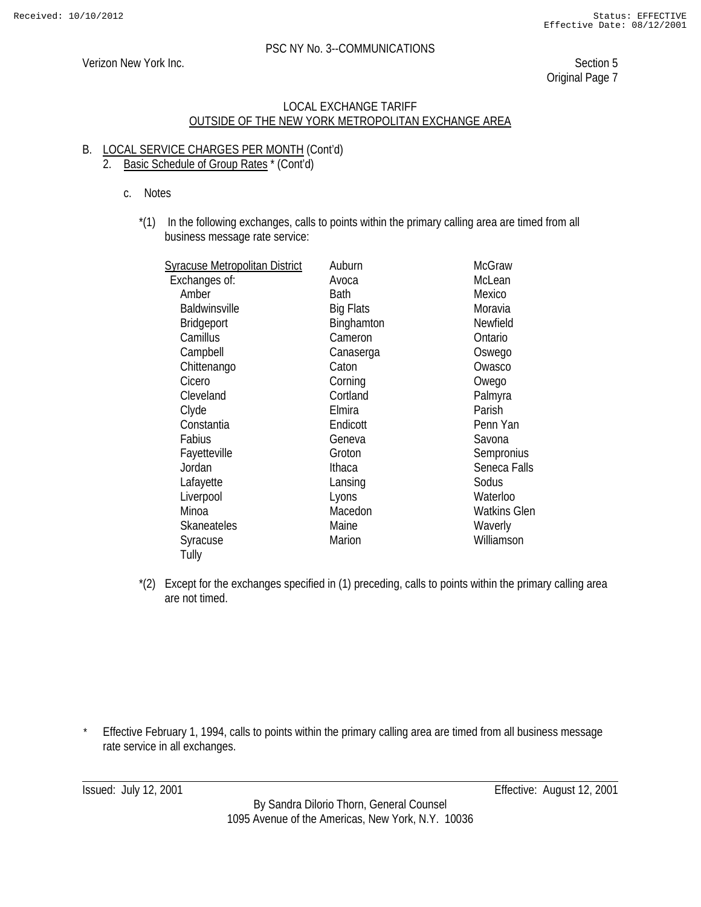#### Verizon New York Inc. Section 5

Original Page 7

#### LOCAL EXCHANGE TARIFF OUTSIDE OF THE NEW YORK METROPOLITAN EXCHANGE AREA

# B. LOCAL SERVICE CHARGES PER MONTH (Cont'd)

# 2. Basic Schedule of Group Rates \* (Cont'd)

- c. Notes
	- \*(1) In the following exchanges, calls to points within the primary calling area are timed from all business message rate service:

|          | <b>McGraw</b>                                                                                |
|----------|----------------------------------------------------------------------------------------------|
|          | McLean                                                                                       |
|          | Mexico                                                                                       |
|          | Moravia                                                                                      |
|          | Newfield                                                                                     |
|          | Ontario                                                                                      |
|          | Oswego                                                                                       |
| Caton    | Owasco                                                                                       |
|          | Owego                                                                                        |
| Cortland | Palmyra                                                                                      |
| Elmira   | Parish                                                                                       |
| Endicott | Penn Yan                                                                                     |
| Geneva   | Savona                                                                                       |
| Groton   | Sempronius                                                                                   |
| Ithaca   | Seneca Falls                                                                                 |
| Lansing  | Sodus                                                                                        |
| Lyons    | Waterloo                                                                                     |
| Macedon  | <b>Watkins Glen</b>                                                                          |
| Maine    | Waverly                                                                                      |
| Marion   | Williamson                                                                                   |
|          |                                                                                              |
|          | Auburn<br>Avoca<br>Bath<br><b>Big Flats</b><br>Binghamton<br>Cameron<br>Canaserga<br>Corning |

\*(2) Except for the exchanges specified in (1) preceding, calls to points within the primary calling area are not timed.

Effective February 1, 1994, calls to points within the primary calling area are timed from all business message rate service in all exchanges.

By Sandra Dilorio Thorn, General Counsel 1095 Avenue of the Americas, New York, N.Y. 10036

Issued: July 12, 2001 Effective: August 12, 2001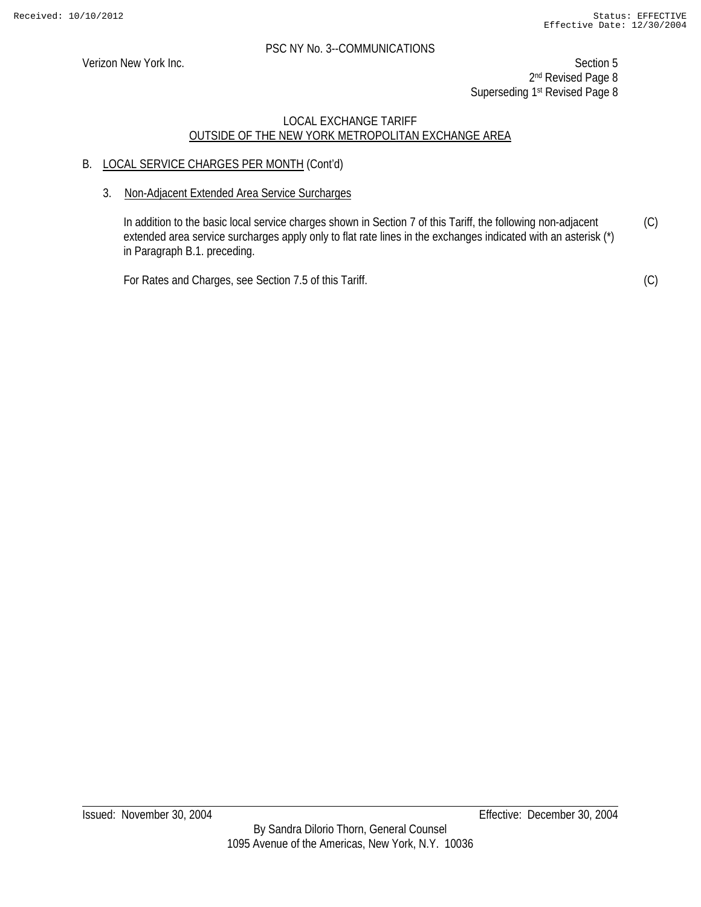Verizon New York Inc. Section 5 2<sup>nd</sup> Revised Page 8 Superseding 1<sup>st</sup> Revised Page 8

# LOCAL EXCHANGE TARIFF OUTSIDE OF THE NEW YORK METROPOLITAN EXCHANGE AREA

# B. LOCAL SERVICE CHARGES PER MONTH (Cont'd)

# 3. Non-Adjacent Extended Area Service Surcharges

In addition to the basic local service charges shown in Section 7 of this Tariff, the following non-adjacent extended area service surcharges apply only to flat rate lines in the exchanges indicated with an asterisk (\*) in Paragraph B.1. preceding. (C)

For Rates and Charges, see Section 7.5 of this Tariff.

(C)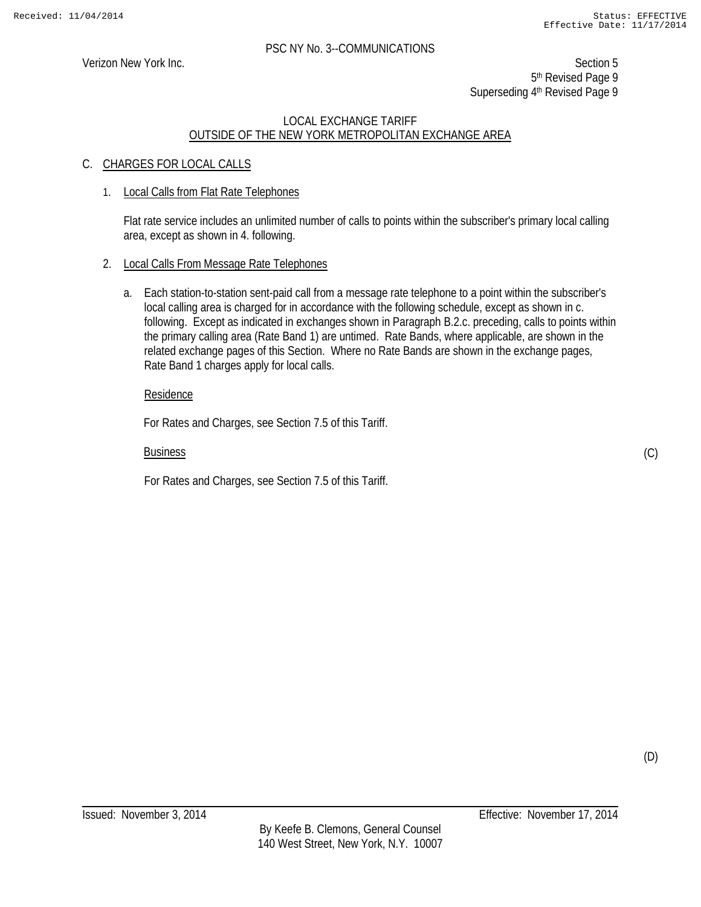Verizon New York Inc. Section 5 5<sup>th</sup> Revised Page 9 Superseding 4<sup>th</sup> Revised Page 9

# LOCAL EXCHANGE TARIFF OUTSIDE OF THE NEW YORK METROPOLITAN EXCHANGE AREA

# C. CHARGES FOR LOCAL CALLS

# 1. Local Calls from Flat Rate Telephones

Flat rate service includes an unlimited number of calls to points within the subscriber's primary local calling area, except as shown in 4. following.

### 2. Local Calls From Message Rate Telephones

a. Each station-to-station sent-paid call from a message rate telephone to a point within the subscriber's local calling area is charged for in accordance with the following schedule, except as shown in c. following. Except as indicated in exchanges shown in Paragraph B.2.c. preceding, calls to points within the primary calling area (Rate Band 1) are untimed. Rate Bands, where applicable, are shown in the related exchange pages of this Section. Where no Rate Bands are shown in the exchange pages, Rate Band 1 charges apply for local calls.

#### Residence

For Rates and Charges, see Section 7.5 of this Tariff.

#### Business

For Rates and Charges, see Section 7.5 of this Tariff.

(C)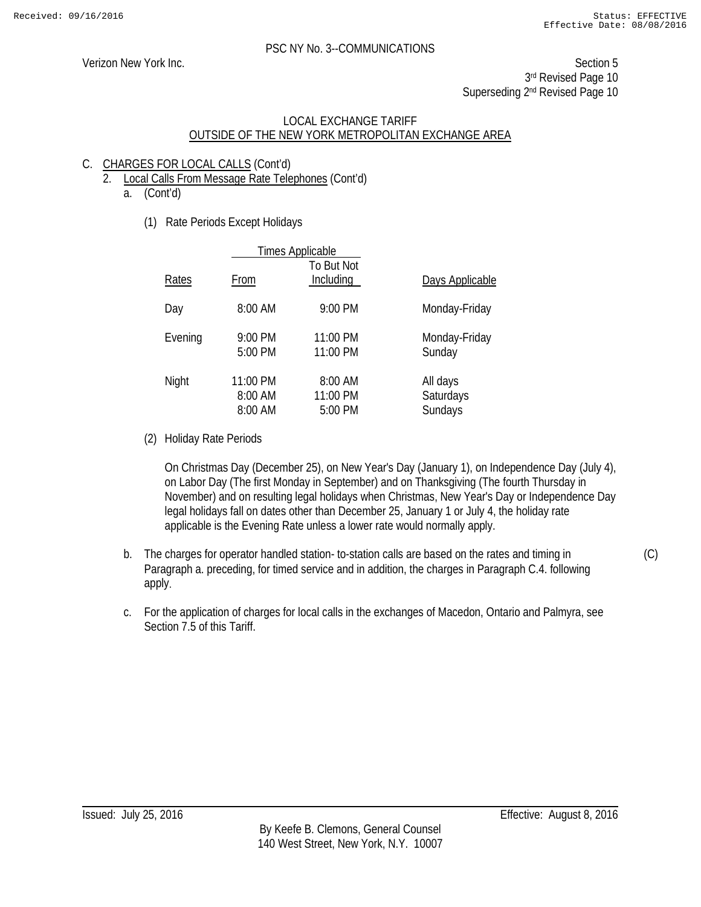(C)

# PSC NY No. 3--COMMUNICATIONS

Verizon New York Inc. Section 5 3rd Revised Page 10 Superseding 2<sup>nd</sup> Revised Page 10

# LOCAL EXCHANGE TARIFF OUTSIDE OF THE NEW YORK METROPOLITAN EXCHANGE AREA

# C. CHARGES FOR LOCAL CALLS (Cont'd)

- 2. Local Calls From Message Rate Telephones (Cont'd)
	- a. (Cont'd)
		- (1) Rate Periods Except Holidays

|         |                                | <b>Times Applicable</b>        |                                  |  |
|---------|--------------------------------|--------------------------------|----------------------------------|--|
| Rates   | From                           | To But Not<br>Including        | Days Applicable                  |  |
| Day     | 8:00 AM                        | 9:00 PM                        | Monday-Friday                    |  |
| Evening | 9:00 PM<br>5:00 PM             | 11:00 PM<br>11:00 PM           | Monday-Friday<br>Sunday          |  |
| Night   | 11:00 PM<br>8:00 AM<br>8:00 AM | 8:00 AM<br>11:00 PM<br>5:00 PM | All days<br>Saturdays<br>Sundays |  |

(2) Holiday Rate Periods

On Christmas Day (December 25), on New Year's Day (January 1), on Independence Day (July 4), on Labor Day (The first Monday in September) and on Thanksgiving (The fourth Thursday in November) and on resulting legal holidays when Christmas, New Year's Day or Independence Day legal holidays fall on dates other than December 25, January 1 or July 4, the holiday rate applicable is the Evening Rate unless a lower rate would normally apply.

- b. The charges for operator handled station- to-station calls are based on the rates and timing in Paragraph a. preceding, for timed service and in addition, the charges in Paragraph C.4. following apply.
- c. For the application of charges for local calls in the exchanges of Macedon, Ontario and Palmyra, see Section 7.5 of this Tariff.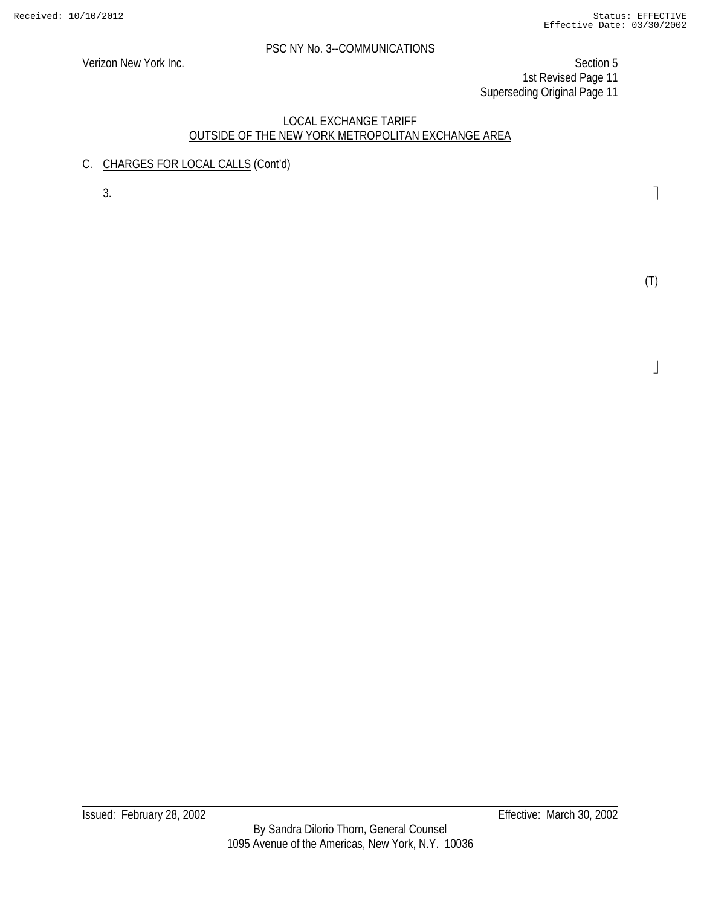Verizon New York Inc. Section 5 1st Revised Page 11 Superseding Original Page 11

# LOCAL EXCHANGE TARIFF OUTSIDE OF THE NEW YORK METROPOLITAN EXCHANGE AREA

C. CHARGES FOR LOCAL CALLS (Cont'd)

 $3.$ 

(T)

 $\perp$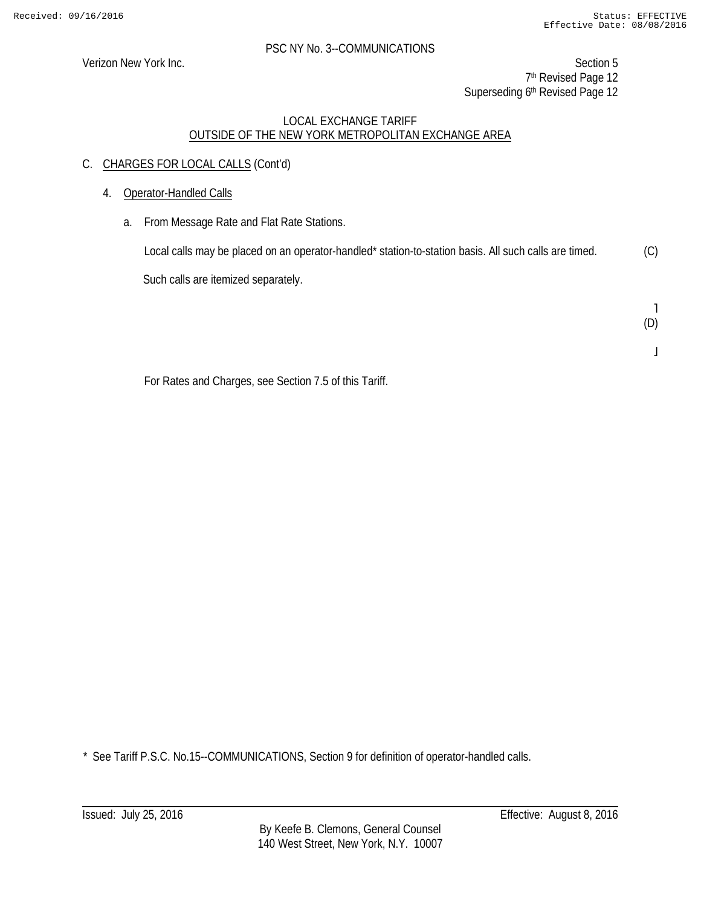Verizon New York Inc. Section 5 7<sup>th</sup> Revised Page 12 Superseding 6<sup>th</sup> Revised Page 12

# LOCAL EXCHANGE TARIFF OUTSIDE OF THE NEW YORK METROPOLITAN EXCHANGE AREA

- C. CHARGES FOR LOCAL CALLS (Cont'd)
	- 4. Operator-Handled Calls
		- a. From Message Rate and Flat Rate Stations.

Local calls may be placed on an operator-handled\* station-to-station basis. All such calls are timed. Such calls are itemized separately. (C)

> ˥ (D)

> > $\mathsf I$

For Rates and Charges, see Section 7.5 of this Tariff.

\* See Tariff P.S.C. No.15--COMMUNICATIONS, Section 9 for definition of operator-handled calls.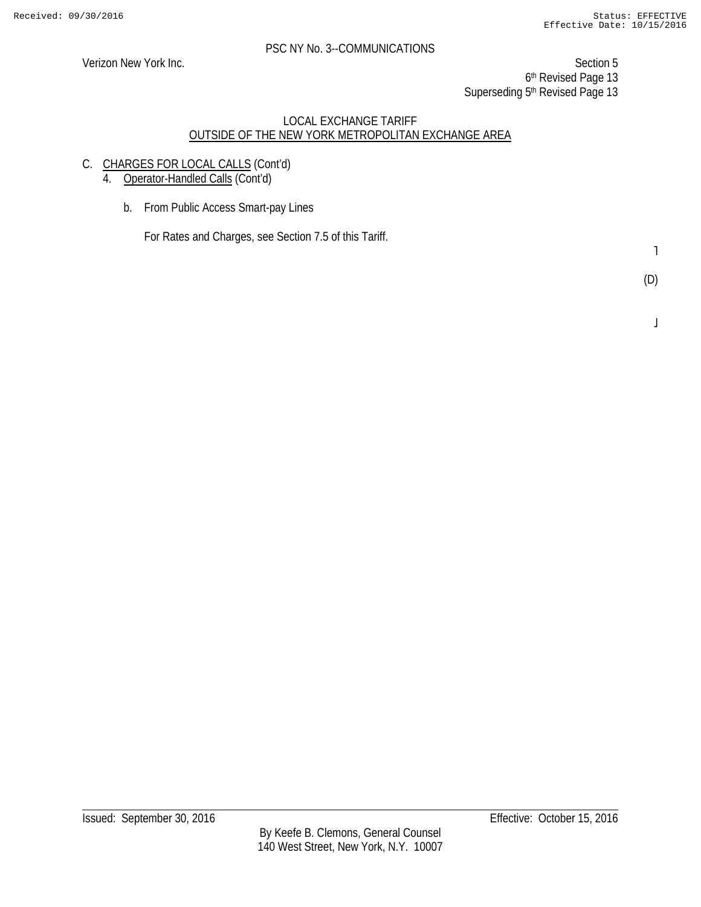Verizon New York Inc. Section 5 6th Revised Page 13 Superseding 5<sup>th</sup> Revised Page 13

# LOCAL EXCHANGE TARIFF OUTSIDE OF THE NEW YORK METROPOLITAN EXCHANGE AREA

C. CHARGES FOR LOCAL CALLS (Cont'd)

4. Operator-Handled Calls (Cont'd)

b. From Public Access Smart-pay Lines

For Rates and Charges, see Section 7.5 of this Tariff.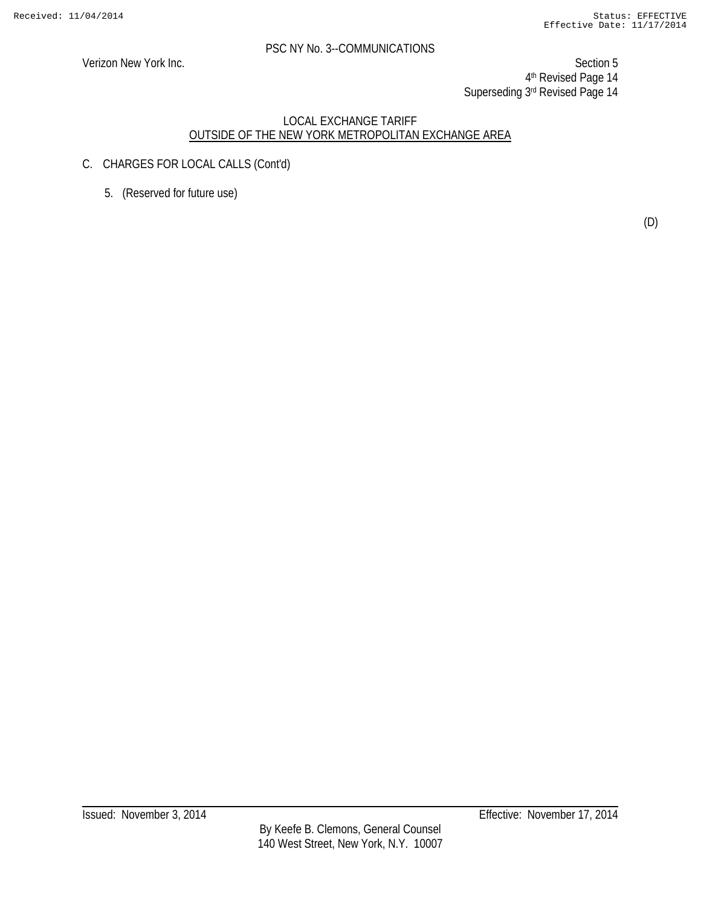Verizon New York Inc. Section 5 4th Revised Page 14 Superseding 3rd Revised Page 14

- C. CHARGES FOR LOCAL CALLS (Cont'd)
	- 5. (Reserved for future use)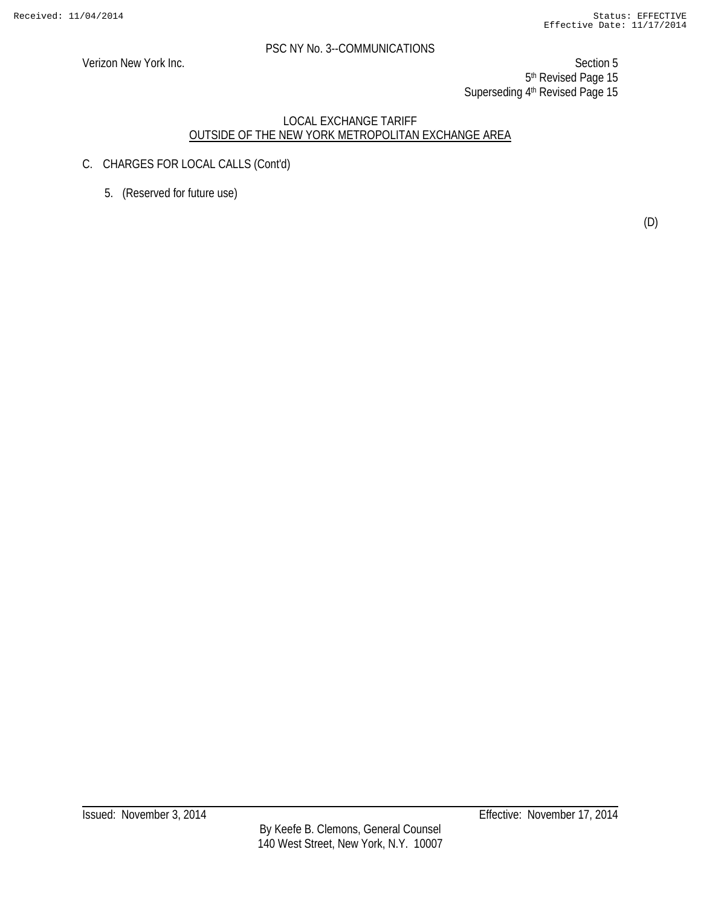Verizon New York Inc. Section 5 5<sup>th</sup> Revised Page 15 Superseding 4th Revised Page 15

- C. CHARGES FOR LOCAL CALLS (Cont'd)
	- 5. (Reserved for future use)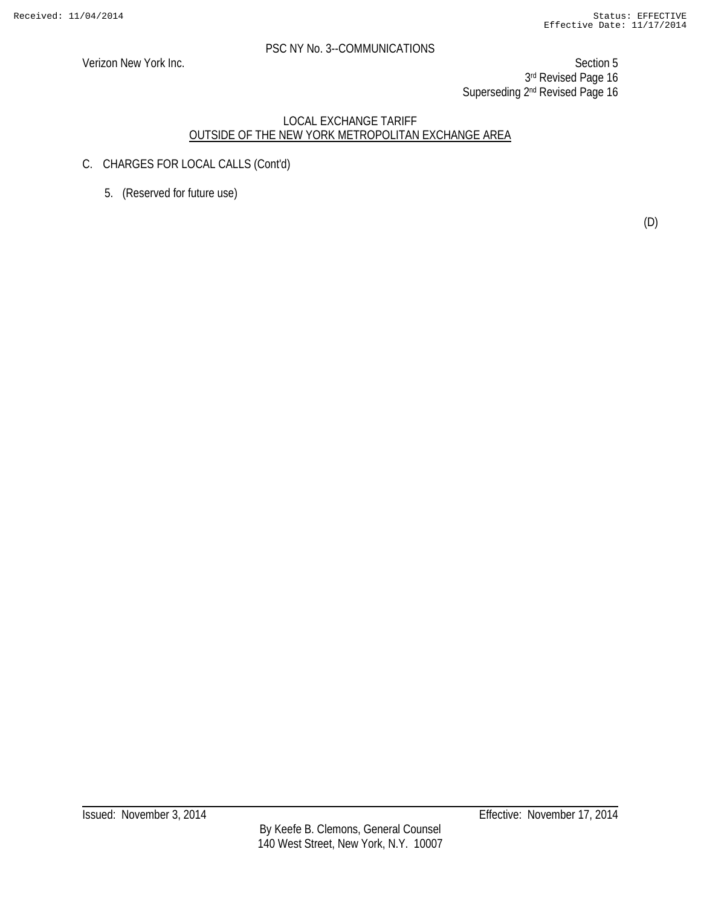Verizon New York Inc. Section 5 3rd Revised Page 16 Superseding 2<sup>nd</sup> Revised Page 16

- C. CHARGES FOR LOCAL CALLS (Cont'd)
	- 5. (Reserved for future use)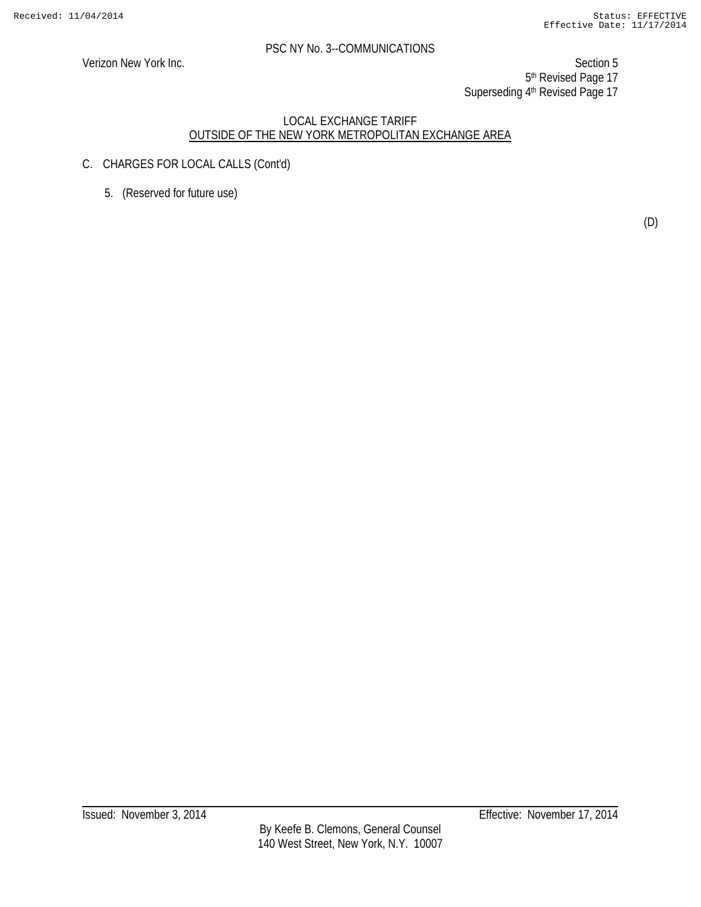Verizon New York Inc. Section 5 5<sup>th</sup> Revised Page 17 Superseding 4th Revised Page 17

- C. CHARGES FOR LOCAL CALLS (Cont'd)
	- 5. (Reserved for future use)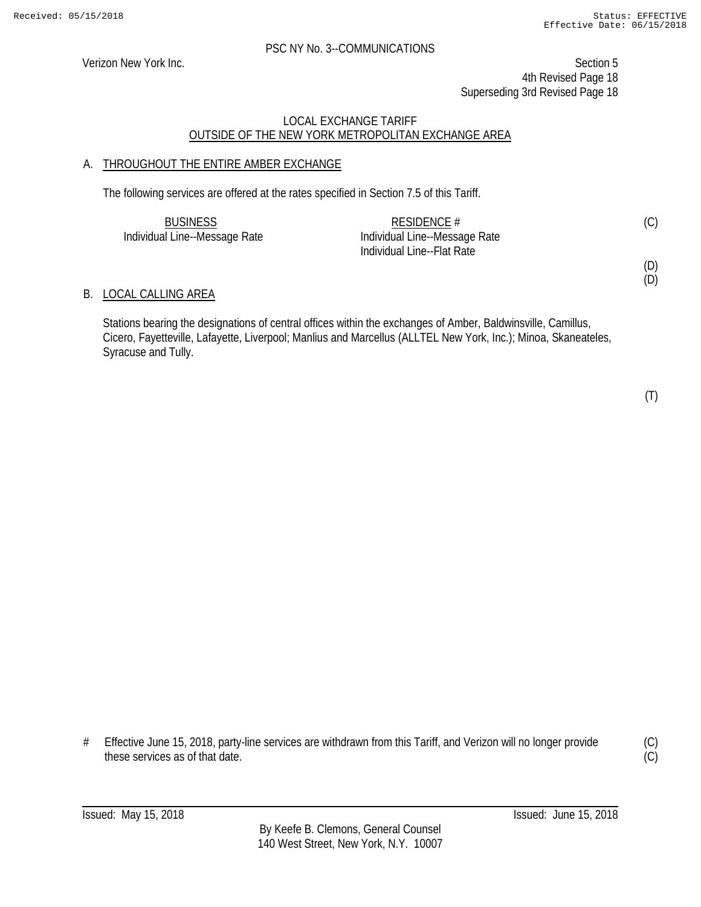Verizon New York Inc. Section 5 4th Revised Page 18 Superseding 3rd Revised Page 18

# LOCAL EXCHANGE TARIFF OUTSIDE OF THE NEW YORK METROPOLITAN EXCHANGE AREA

# A. THROUGHOUT THE ENTIRE AMBER EXCHANGE

The following services are offered at the rates specified in Section 7.5 of this Tariff.

| <b>BUSINESS</b>               | RESIDENCE $#$                 | (C) |
|-------------------------------|-------------------------------|-----|
| Individual Line--Message Rate | Individual Line--Message Rate |     |
|                               | Individual Line--Flat Rate    |     |

### B. LOCAL CALLING AREA

Stations bearing the designations of central offices within the exchanges of Amber, Baldwinsville, Camillus, Cicero, Fayetteville, Lafayette, Liverpool; Manlius and Marcellus (ALLTEL New York, Inc.); Minoa, Skaneateles, Syracuse and Tully.

(T)

(D) (D)

# Effective June 15, 2018, party-line services are withdrawn from this Tariff, and Verizon will no longer provide these services as of that date.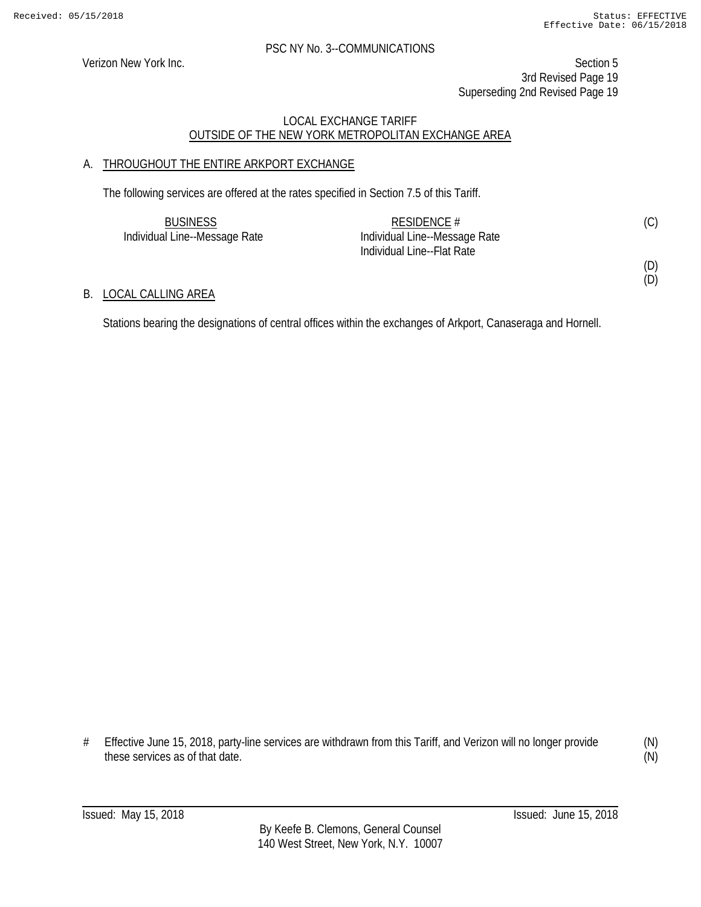(D)

#### PSC NY No. 3--COMMUNICATIONS

Verizon New York Inc. Section 5 3rd Revised Page 19 Superseding 2nd Revised Page 19

# LOCAL EXCHANGE TARIFF OUTSIDE OF THE NEW YORK METROPOLITAN EXCHANGE AREA

# A. THROUGHOUT THE ENTIRE ARKPORT EXCHANGE

The following services are offered at the rates specified in Section 7.5 of this Tariff.

| <b>BUSINESS</b>               | RESIDENCE #                   | (C) |
|-------------------------------|-------------------------------|-----|
| Individual Line--Message Rate | Individual Line--Message Rate |     |
|                               | Individual Line--Flat Rate    |     |
|                               |                               | (D) |

B. LOCAL CALLING AREA

Stations bearing the designations of central offices within the exchanges of Arkport, Canaseraga and Hornell.

(N) (N)

<sup>#</sup> Effective June 15, 2018, party-line services are withdrawn from this Tariff, and Verizon will no longer provide these services as of that date.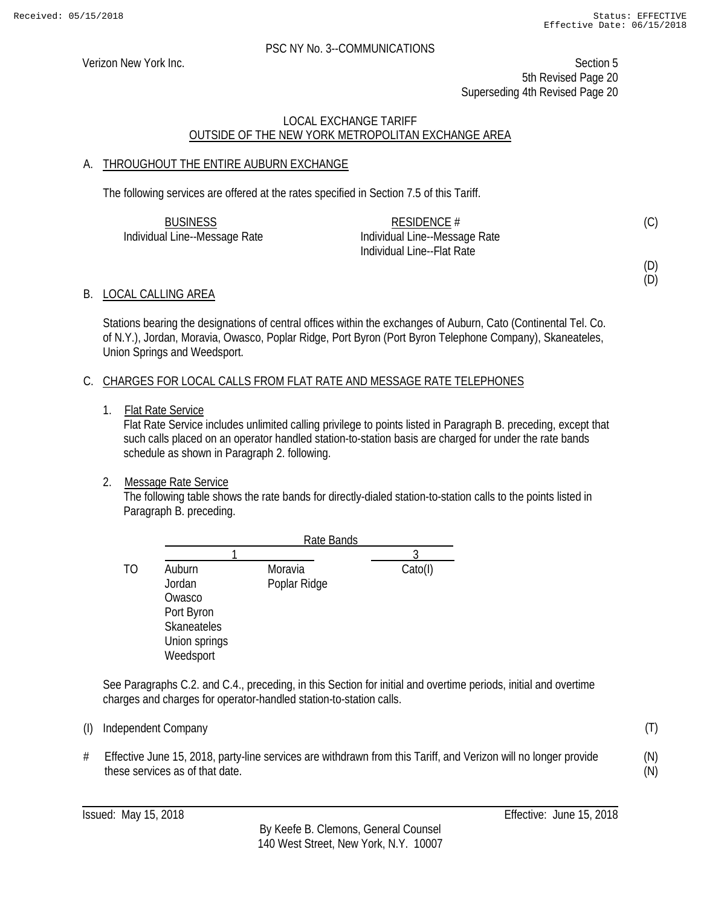(D) (D)

(T)

(N) (N)

#### PSC NY No. 3--COMMUNICATIONS

Verizon New York Inc. Section 5 5th Revised Page 20 Superseding 4th Revised Page 20

# LOCAL EXCHANGE TARIFF OUTSIDE OF THE NEW YORK METROPOLITAN EXCHANGE AREA

# A. THROUGHOUT THE ENTIRE AUBURN EXCHANGE

The following services are offered at the rates specified in Section 7.5 of this Tariff.

| <b>BUSINESS</b>               | RESIDENCE $#$                 | (C) |
|-------------------------------|-------------------------------|-----|
| Individual Line--Message Rate | Individual Line--Message Rate |     |
|                               | Individual Line--Flat Rate    |     |

B. LOCAL CALLING AREA

Stations bearing the designations of central offices within the exchanges of Auburn, Cato (Continental Tel. Co. of N.Y.), Jordan, Moravia, Owasco, Poplar Ridge, Port Byron (Port Byron Telephone Company), Skaneateles, Union Springs and Weedsport.

# C. CHARGES FOR LOCAL CALLS FROM FLAT RATE AND MESSAGE RATE TELEPHONES

1. Flat Rate Service

Flat Rate Service includes unlimited calling privilege to points listed in Paragraph B. preceding, except that such calls placed on an operator handled station-to-station basis are charged for under the rate bands schedule as shown in Paragraph 2. following.

#### 2. Message Rate Service

The following table shows the rate bands for directly-dialed station-to-station calls to the points listed in Paragraph B. preceding.

|    |                    | Rate Bands   |                           |
|----|--------------------|--------------|---------------------------|
|    |                    |              |                           |
| TO | Auburn             | Moravia      | $\text{Cato}(\mathsf{I})$ |
|    | Jordan             | Poplar Ridge |                           |
|    | Owasco             |              |                           |
|    | Port Byron         |              |                           |
|    | <b>Skaneateles</b> |              |                           |
|    | Union springs      |              |                           |
|    | Weedsport          |              |                           |

See Paragraphs C.2. and C.4., preceding, in this Section for initial and overtime periods, initial and overtime charges and charges for operator-handled station-to-station calls.

# Effective June 15, 2018, party-line services are withdrawn from this Tariff, and Verizon will no longer provide these services as of that date.

<sup>(</sup>I) Independent Company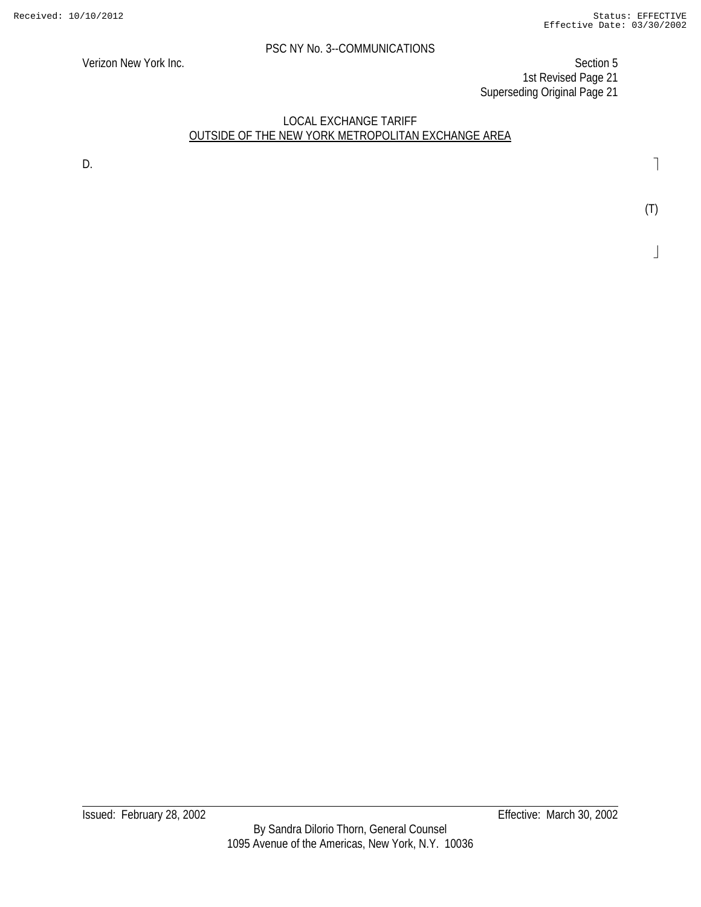Verizon New York Inc. Section 5 1st Revised Page 21 Superseding Original Page 21

## LOCAL EXCHANGE TARIFF OUTSIDE OF THE NEW YORK METROPOLITAN EXCHANGE AREA

D. **D. Example 1 D. Contract 2 D. Contract 2 D. Contract 2 D. Contract 2 D. Contract 2 D. Contract 2 Contract 2 Contract 2 Contract 2 Contract 2 Contract 2 Contract 2 Contract 2 Co** 

(T)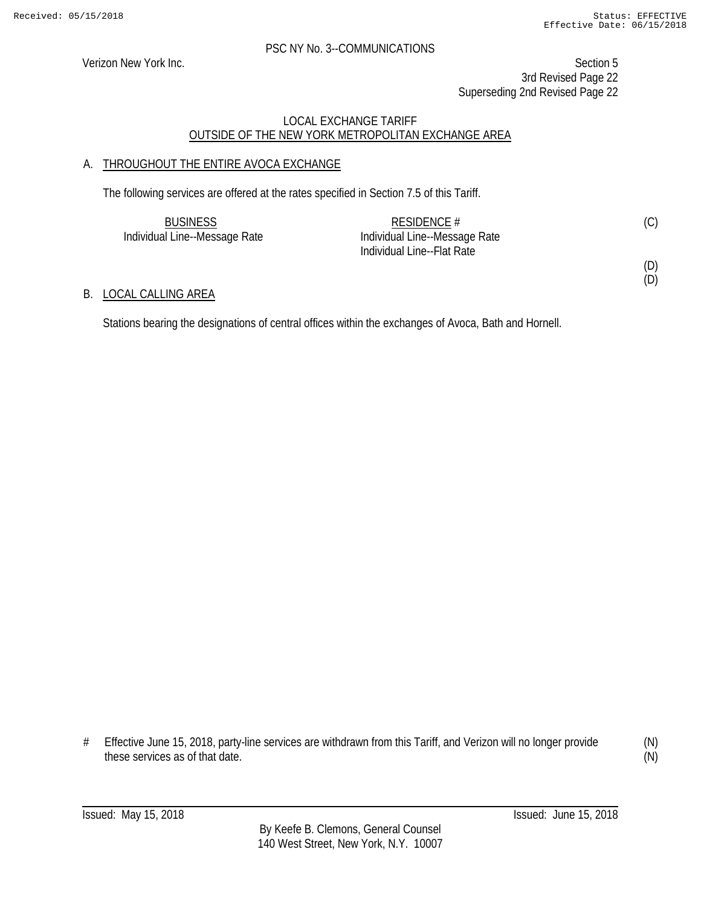(D)

#### PSC NY No. 3--COMMUNICATIONS

Verizon New York Inc. Section 5 3rd Revised Page 22 Superseding 2nd Revised Page 22

# LOCAL EXCHANGE TARIFF OUTSIDE OF THE NEW YORK METROPOLITAN EXCHANGE AREA

# A. THROUGHOUT THE ENTIRE AVOCA EXCHANGE

The following services are offered at the rates specified in Section 7.5 of this Tariff.

| <b>BUSINESS</b>               | RESIDENCE $#$                 | (C) |
|-------------------------------|-------------------------------|-----|
| Individual Line--Message Rate | Individual Line--Message Rate |     |
|                               | Individual Line--Flat Rate    |     |
|                               |                               | (D) |

### B. LOCAL CALLING AREA

Stations bearing the designations of central offices within the exchanges of Avoca, Bath and Hornell.

# Effective June 15, 2018, party-line services are withdrawn from this Tariff, and Verizon will no longer provide these services as of that date.

(N) (N)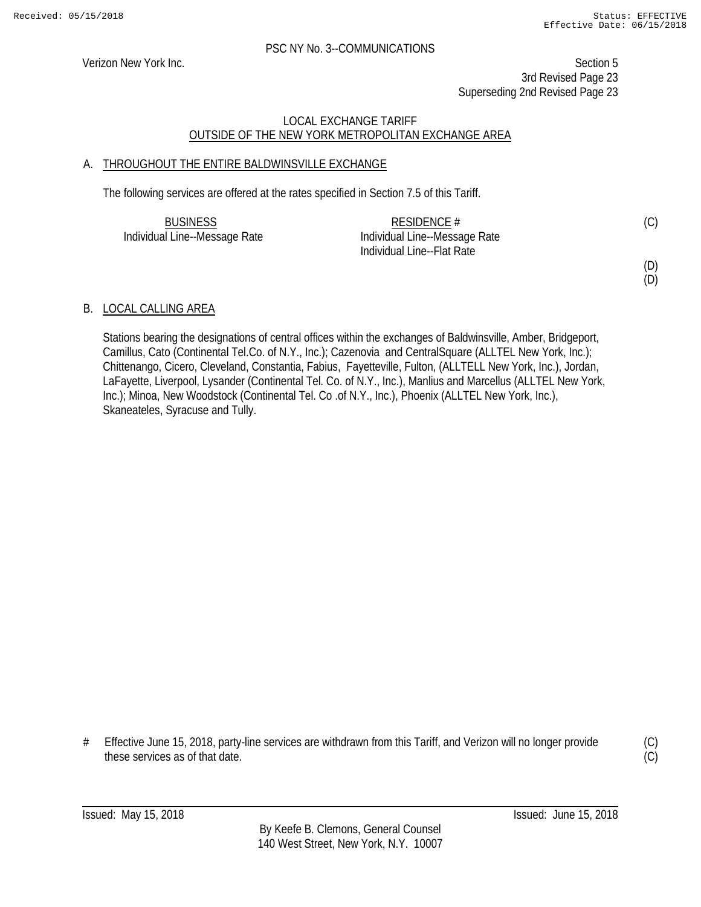Verizon New York Inc. Section 5 3rd Revised Page 23 Superseding 2nd Revised Page 23

# LOCAL EXCHANGE TARIFF OUTSIDE OF THE NEW YORK METROPOLITAN EXCHANGE AREA

# A. THROUGHOUT THE ENTIRE BALDWINSVILLE EXCHANGE

The following services are offered at the rates specified in Section 7.5 of this Tariff.

| <b>BUSINESS</b>               | RESIDENCE $#$                 | (C) |
|-------------------------------|-------------------------------|-----|
| Individual Line--Message Rate | Individual Line--Message Rate |     |
|                               | Individual Line--Flat Rate    |     |

(D) (D)

# B. LOCAL CALLING AREA

Stations bearing the designations of central offices within the exchanges of Baldwinsville, Amber, Bridgeport, Camillus, Cato (Continental Tel.Co. of N.Y., Inc.); Cazenovia and CentralSquare (ALLTEL New York, Inc.); Chittenango, Cicero, Cleveland, Constantia, Fabius, Fayetteville, Fulton, (ALLTELL New York, Inc.), Jordan, LaFayette, Liverpool, Lysander (Continental Tel. Co. of N.Y., Inc.), Manlius and Marcellus (ALLTEL New York, Inc.); Minoa, New Woodstock (Continental Tel. Co .of N.Y., Inc.), Phoenix (ALLTEL New York, Inc.), Skaneateles, Syracuse and Tully.

# Effective June 15, 2018, party-line services are withdrawn from this Tariff, and Verizon will no longer provide these services as of that date.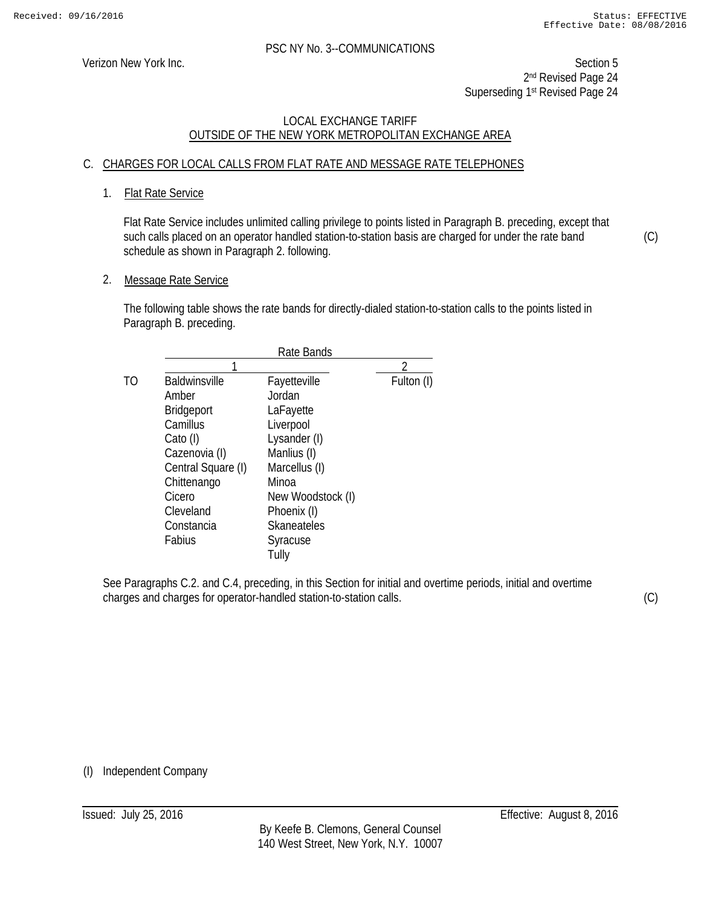Verizon New York Inc. Section 5 2<sup>nd</sup> Revised Page 24 Superseding 1st Revised Page 24

# LOCAL EXCHANGE TARIFF OUTSIDE OF THE NEW YORK METROPOLITAN EXCHANGE AREA

# C. CHARGES FOR LOCAL CALLS FROM FLAT RATE AND MESSAGE RATE TELEPHONES

# 1. Flat Rate Service

Flat Rate Service includes unlimited calling privilege to points listed in Paragraph B. preceding, except that such calls placed on an operator handled station-to-station basis are charged for under the rate band schedule as shown in Paragraph 2. following.

2. Message Rate Service

The following table shows the rate bands for directly-dialed station-to-station calls to the points listed in Paragraph B. preceding.

|    |                      | Rate Bands         |            |
|----|----------------------|--------------------|------------|
|    |                      |                    | ገ          |
| TΟ | <b>Baldwinsville</b> | Fayetteville       | Fulton (I) |
|    | Amber                | Jordan             |            |
|    | <b>Bridgeport</b>    | LaFayette          |            |
|    | Camillus             | Liverpool          |            |
|    | Cato (I)             | Lysander (I)       |            |
|    | Cazenovia (I)        | Manlius (I)        |            |
|    | Central Square (I)   | Marcellus (I)      |            |
|    | Chittenango          | Minoa              |            |
|    | Cicero               | New Woodstock (I)  |            |
|    | Cleveland            | Phoenix (I)        |            |
|    | Constancia           | <b>Skaneateles</b> |            |
|    | Fabius               | Syracuse           |            |
|    |                      | Tully              |            |

See Paragraphs C.2. and C.4, preceding, in this Section for initial and overtime periods, initial and overtime charges and charges for operator-handled station-to-station calls.

(C)

(C)

(I) Independent Company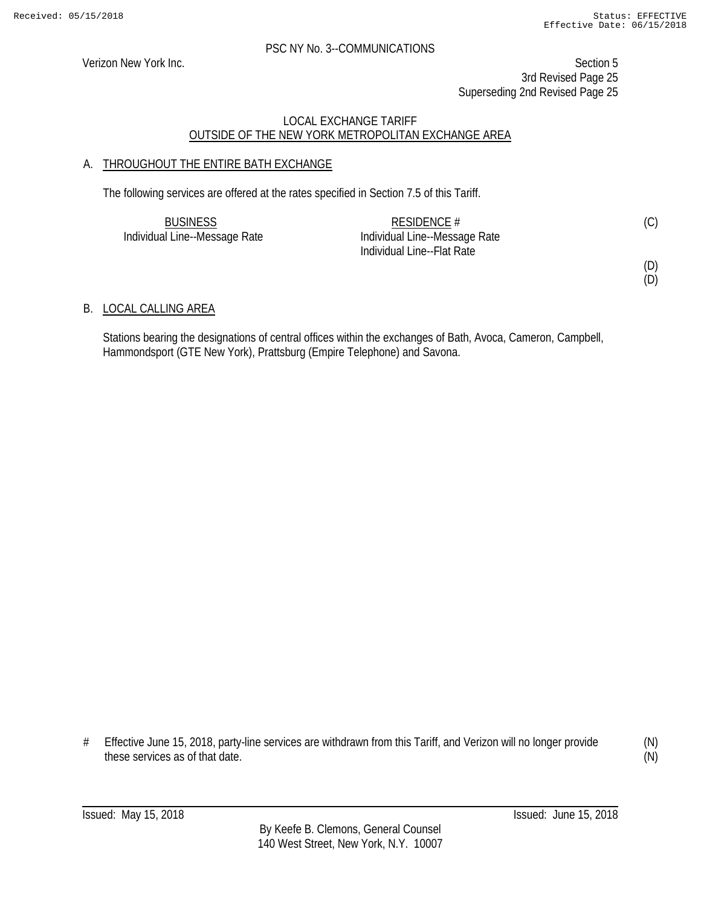Verizon New York Inc. Section 5 3rd Revised Page 25 Superseding 2nd Revised Page 25

# LOCAL EXCHANGE TARIFF OUTSIDE OF THE NEW YORK METROPOLITAN EXCHANGE AREA

# A. THROUGHOUT THE ENTIRE BATH EXCHANGE

The following services are offered at the rates specified in Section 7.5 of this Tariff.

| <b>BUSINESS</b>               | RESIDENCE $#$                 | (C) |
|-------------------------------|-------------------------------|-----|
| Individual Line--Message Rate | Individual Line--Message Rate |     |
|                               | Individual Line--Flat Rate    |     |

(D)

(D)

# B. LOCAL CALLING AREA

Stations bearing the designations of central offices within the exchanges of Bath, Avoca, Cameron, Campbell, Hammondsport (GTE New York), Prattsburg (Empire Telephone) and Savona.

# Effective June 15, 2018, party-line services are withdrawn from this Tariff, and Verizon will no longer provide these services as of that date.

(N) (N)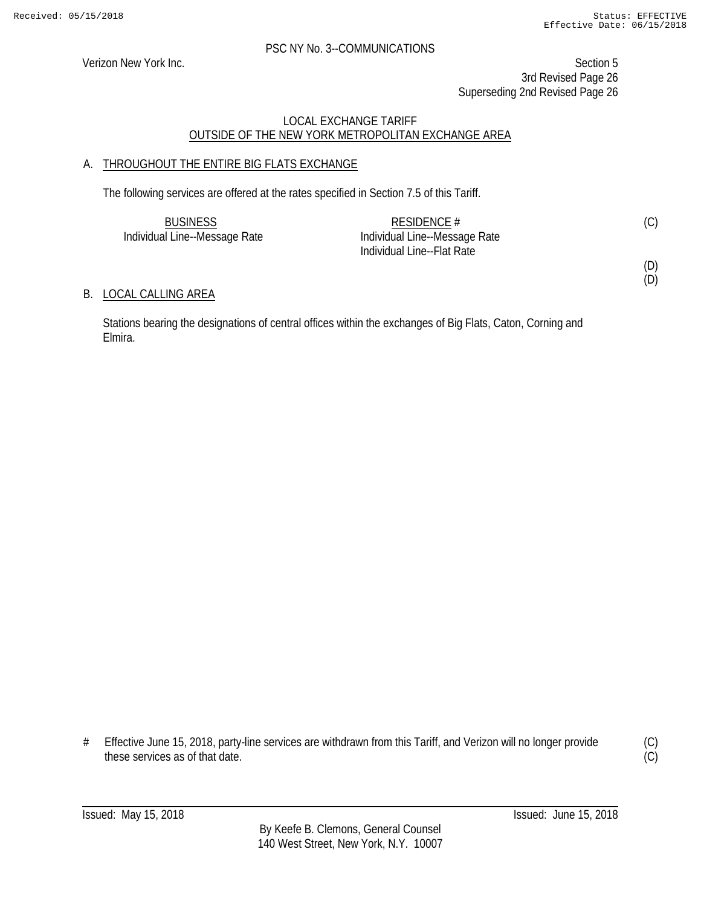(D) (D)

#### PSC NY No. 3--COMMUNICATIONS

Verizon New York Inc. Section 5 3rd Revised Page 26 Superseding 2nd Revised Page 26

# LOCAL EXCHANGE TARIFF OUTSIDE OF THE NEW YORK METROPOLITAN EXCHANGE AREA

# A. THROUGHOUT THE ENTIRE BIG FLATS EXCHANGE

The following services are offered at the rates specified in Section 7.5 of this Tariff.

| <b>BUSINESS</b>               | RESIDENCE #                   | (C) |
|-------------------------------|-------------------------------|-----|
| Individual Line--Message Rate | Individual Line--Message Rate |     |
|                               | Individual Line--Flat Rate    |     |

B. LOCAL CALLING AREA

Stations bearing the designations of central offices within the exchanges of Big Flats, Caton, Corning and Elmira.

<sup>#</sup> Effective June 15, 2018, party-line services are withdrawn from this Tariff, and Verizon will no longer provide these services as of that date.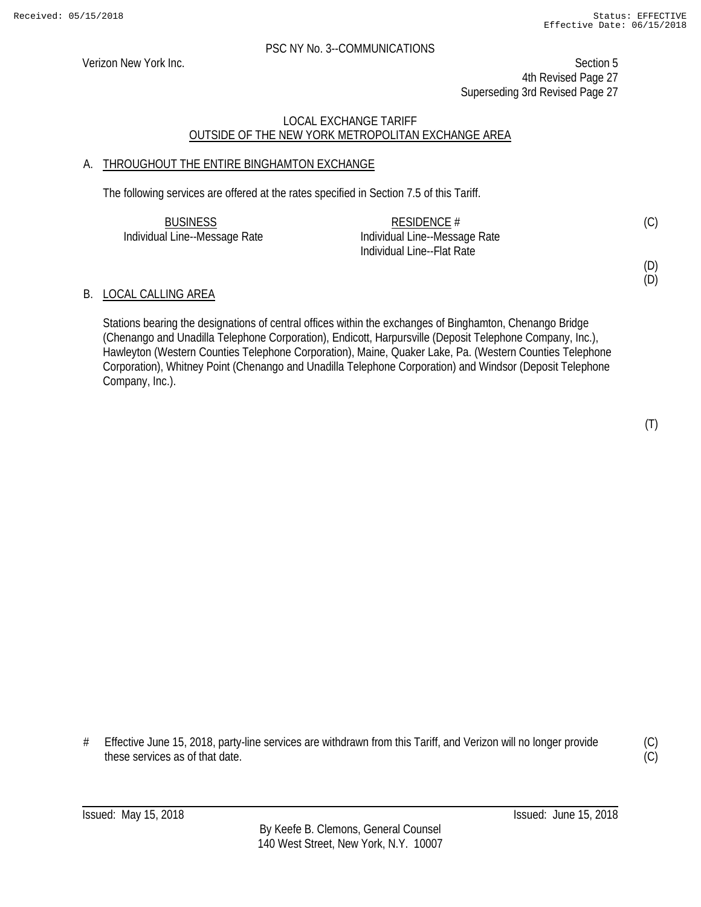Verizon New York Inc. Section 5 4th Revised Page 27 Superseding 3rd Revised Page 27

# LOCAL EXCHANGE TARIFF OUTSIDE OF THE NEW YORK METROPOLITAN EXCHANGE AREA

# A. THROUGHOUT THE ENTIRE BINGHAMTON EXCHANGE

The following services are offered at the rates specified in Section 7.5 of this Tariff.

| <b>BUSINESS</b>               | RESIDENCE $#$                 | (C) |
|-------------------------------|-------------------------------|-----|
| Individual Line--Message Rate | Individual Line--Message Rate |     |
|                               | Individual Line--Flat Rate    |     |

#### B. LOCAL CALLING AREA

Stations bearing the designations of central offices within the exchanges of Binghamton, Chenango Bridge (Chenango and Unadilla Telephone Corporation), Endicott, Harpursville (Deposit Telephone Company, Inc.), Hawleyton (Western Counties Telephone Corporation), Maine, Quaker Lake, Pa. (Western Counties Telephone Corporation), Whitney Point (Chenango and Unadilla Telephone Corporation) and Windsor (Deposit Telephone Company, Inc.).

(D) (D)

# Effective June 15, 2018, party-line services are withdrawn from this Tariff, and Verizon will no longer provide these services as of that date.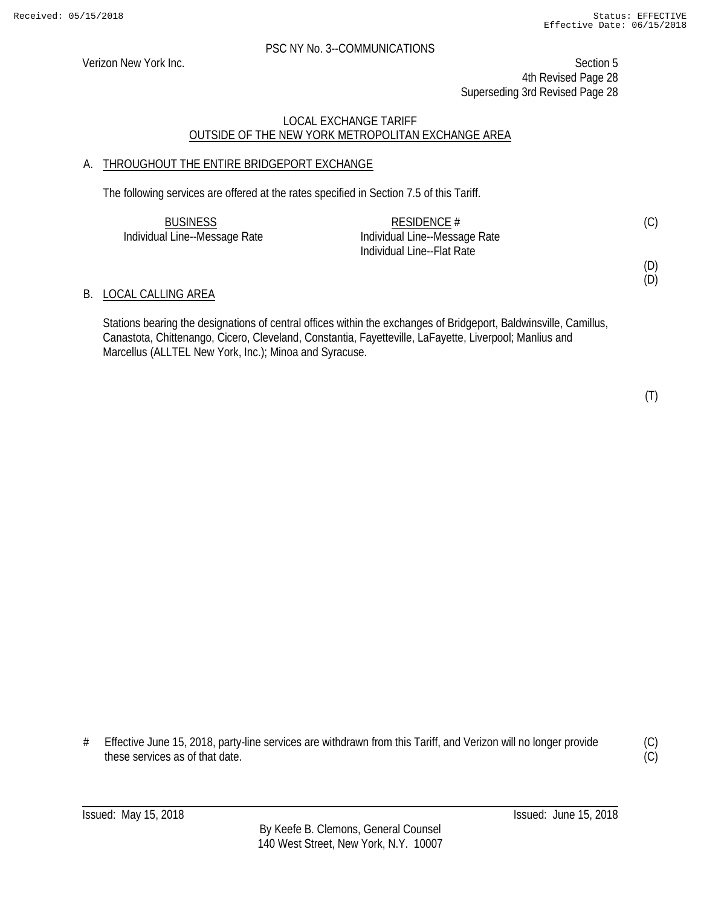Verizon New York Inc. Section 5 4th Revised Page 28 Superseding 3rd Revised Page 28

# LOCAL EXCHANGE TARIFF OUTSIDE OF THE NEW YORK METROPOLITAN EXCHANGE AREA

# A. THROUGHOUT THE ENTIRE BRIDGEPORT EXCHANGE

The following services are offered at the rates specified in Section 7.5 of this Tariff.

| <b>BUSINESS</b>               | RESIDENCE $#$                 | (C) |
|-------------------------------|-------------------------------|-----|
| Individual Line--Message Rate | Individual Line--Message Rate |     |
|                               | Individual Line--Flat Rate    |     |

#### B. LOCAL CALLING AREA

Stations bearing the designations of central offices within the exchanges of Bridgeport, Baldwinsville, Camillus, Canastota, Chittenango, Cicero, Cleveland, Constantia, Fayetteville, LaFayette, Liverpool; Manlius and Marcellus (ALLTEL New York, Inc.); Minoa and Syracuse.

(T)

(D) (D)

# Effective June 15, 2018, party-line services are withdrawn from this Tariff, and Verizon will no longer provide these services as of that date.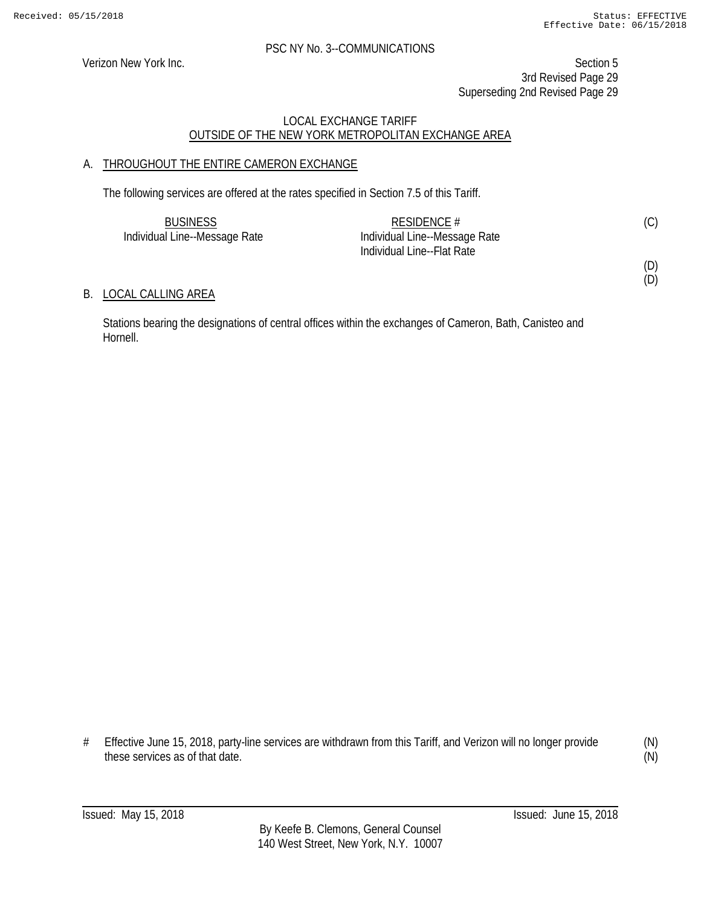(D) (D)

#### PSC NY No. 3--COMMUNICATIONS

Verizon New York Inc. Section 5 3rd Revised Page 29 Superseding 2nd Revised Page 29

# LOCAL EXCHANGE TARIFF OUTSIDE OF THE NEW YORK METROPOLITAN EXCHANGE AREA

# A. THROUGHOUT THE ENTIRE CAMERON EXCHANGE

The following services are offered at the rates specified in Section 7.5 of this Tariff.

| <b>BUSINESS</b>               | RESIDENCE $#$                 | (C) |
|-------------------------------|-------------------------------|-----|
| Individual Line--Message Rate | Individual Line--Message Rate |     |
|                               | Individual Line--Flat Rate    |     |

#### B. LOCAL CALLING AREA

Stations bearing the designations of central offices within the exchanges of Cameron, Bath, Canisteo and Hornell.

(N) (N)

<sup>#</sup> Effective June 15, 2018, party-line services are withdrawn from this Tariff, and Verizon will no longer provide these services as of that date.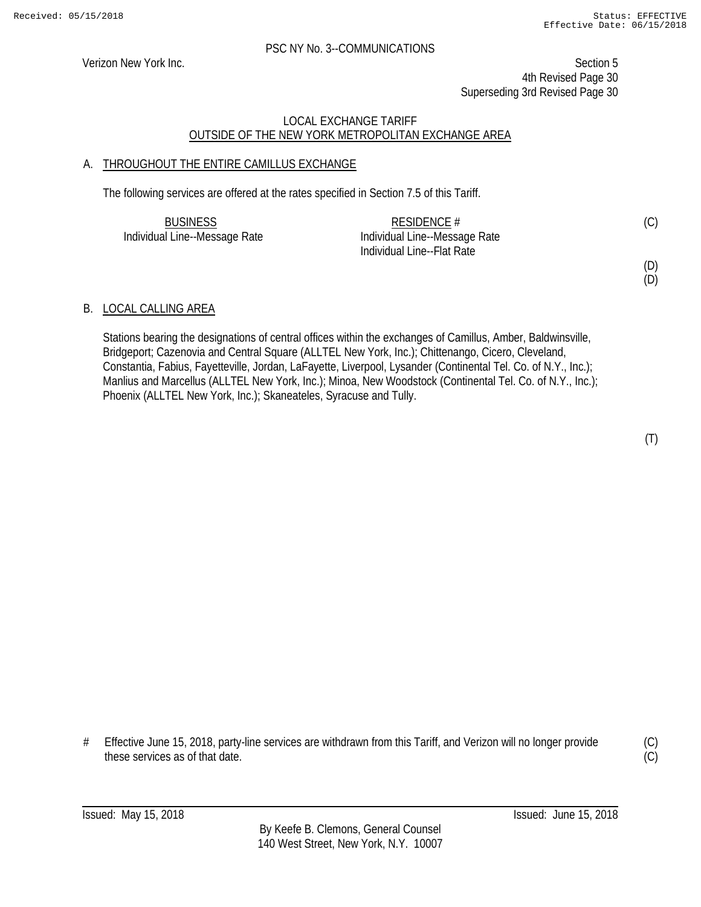Verizon New York Inc. Section 5 4th Revised Page 30 Superseding 3rd Revised Page 30

# LOCAL EXCHANGE TARIFF OUTSIDE OF THE NEW YORK METROPOLITAN EXCHANGE AREA

# A. THROUGHOUT THE ENTIRE CAMILLUS EXCHANGE

The following services are offered at the rates specified in Section 7.5 of this Tariff.

| <b>BUSINESS</b>               | RESIDENCE #                   | (C) |
|-------------------------------|-------------------------------|-----|
| Individual Line--Message Rate | Individual Line--Message Rate |     |
|                               | Individual Line--Flat Rate    |     |

# (D)

(D)

# B. LOCAL CALLING AREA

Stations bearing the designations of central offices within the exchanges of Camillus, Amber, Baldwinsville, Bridgeport; Cazenovia and Central Square (ALLTEL New York, Inc.); Chittenango, Cicero, Cleveland, Constantia, Fabius, Fayetteville, Jordan, LaFayette, Liverpool, Lysander (Continental Tel. Co. of N.Y., Inc.); Manlius and Marcellus (ALLTEL New York, Inc.); Minoa, New Woodstock (Continental Tel. Co. of N.Y., Inc.); Phoenix (ALLTEL New York, Inc.); Skaneateles, Syracuse and Tully.

# Effective June 15, 2018, party-line services are withdrawn from this Tariff, and Verizon will no longer provide these services as of that date.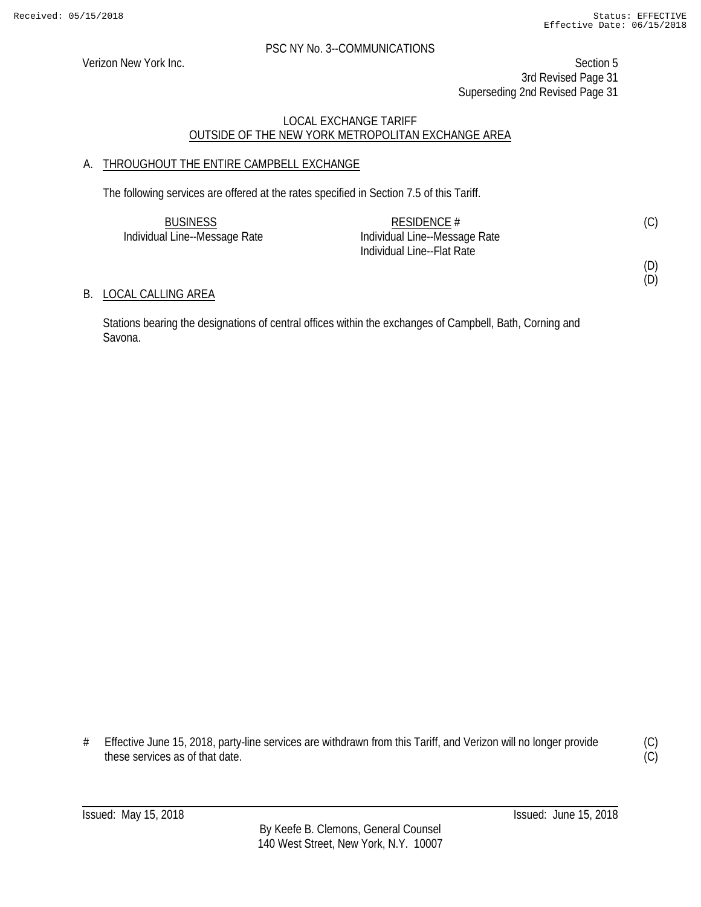(D) (D)

#### PSC NY No. 3--COMMUNICATIONS

Verizon New York Inc. Section 5 3rd Revised Page 31 Superseding 2nd Revised Page 31

# LOCAL EXCHANGE TARIFF OUTSIDE OF THE NEW YORK METROPOLITAN EXCHANGE AREA

# A. THROUGHOUT THE ENTIRE CAMPBELL EXCHANGE

The following services are offered at the rates specified in Section 7.5 of this Tariff.

| <b>BUSINESS</b>               | RESIDENCE #                   | (C) |
|-------------------------------|-------------------------------|-----|
| Individual Line--Message Rate | Individual Line--Message Rate |     |
|                               | Individual Line--Flat Rate    |     |

B. LOCAL CALLING AREA

Stations bearing the designations of central offices within the exchanges of Campbell, Bath, Corning and Savona.

<sup>#</sup> Effective June 15, 2018, party-line services are withdrawn from this Tariff, and Verizon will no longer provide these services as of that date.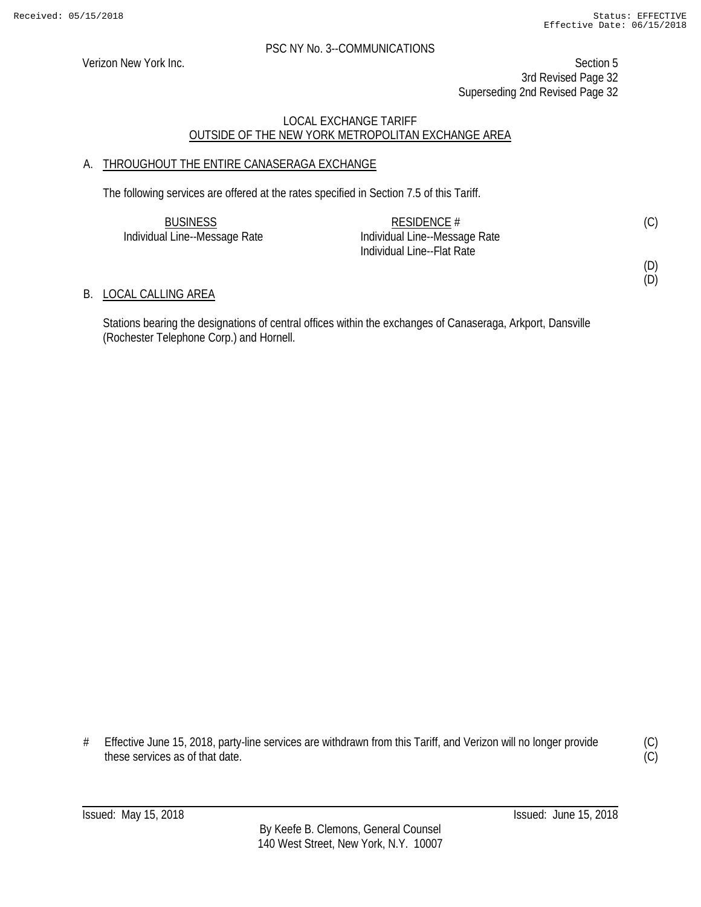(D) (D)

#### PSC NY No. 3--COMMUNICATIONS

Verizon New York Inc. Section 5 3rd Revised Page 32 Superseding 2nd Revised Page 32

# LOCAL EXCHANGE TARIFF OUTSIDE OF THE NEW YORK METROPOLITAN EXCHANGE AREA

# A. THROUGHOUT THE ENTIRE CANASERAGA EXCHANGE

The following services are offered at the rates specified in Section 7.5 of this Tariff.

| <b>BUSINESS</b>               | RESIDENCE $#$                 | (C) |
|-------------------------------|-------------------------------|-----|
| Individual Line--Message Rate | Individual Line--Message Rate |     |
|                               | Individual Line--Flat Rate    |     |

### B. LOCAL CALLING AREA

Stations bearing the designations of central offices within the exchanges of Canaseraga, Arkport, Dansville (Rochester Telephone Corp.) and Hornell.

<sup>#</sup> Effective June 15, 2018, party-line services are withdrawn from this Tariff, and Verizon will no longer provide these services as of that date.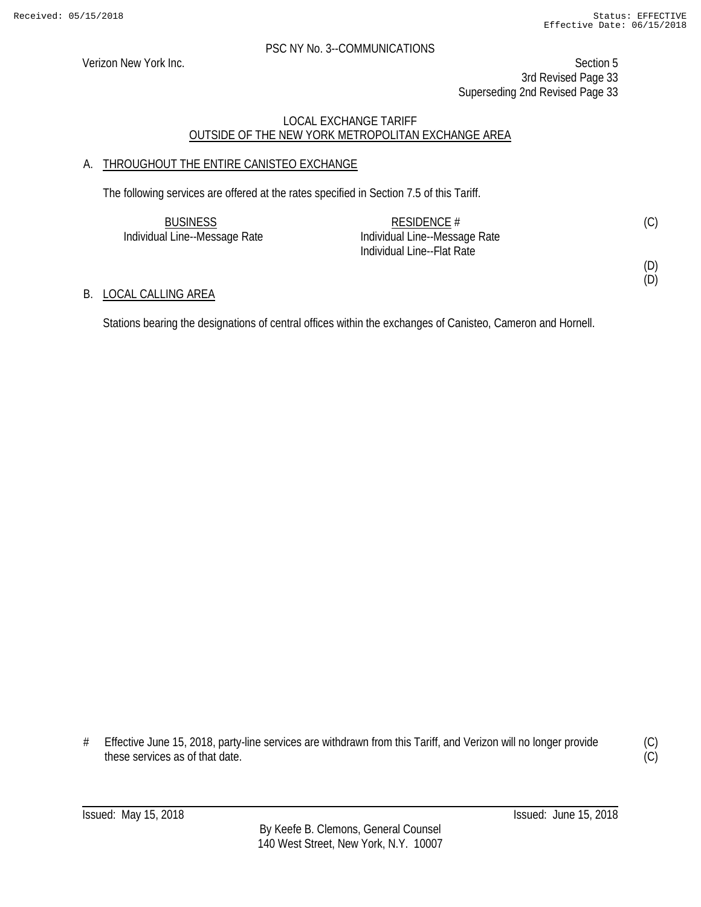(D)

#### PSC NY No. 3--COMMUNICATIONS

Verizon New York Inc. Section 5 3rd Revised Page 33 Superseding 2nd Revised Page 33

# LOCAL EXCHANGE TARIFF OUTSIDE OF THE NEW YORK METROPOLITAN EXCHANGE AREA

# A. THROUGHOUT THE ENTIRE CANISTEO EXCHANGE

The following services are offered at the rates specified in Section 7.5 of this Tariff.

| <b>BUSINESS</b>               | RESIDENCE #                   | (C) |
|-------------------------------|-------------------------------|-----|
| Individual Line--Message Rate | Individual Line--Message Rate |     |
|                               | Individual Line--Flat Rate    |     |
|                               |                               | (D) |

# B. LOCAL CALLING AREA

Stations bearing the designations of central offices within the exchanges of Canisteo, Cameron and Hornell.

# Effective June 15, 2018, party-line services are withdrawn from this Tariff, and Verizon will no longer provide these services as of that date.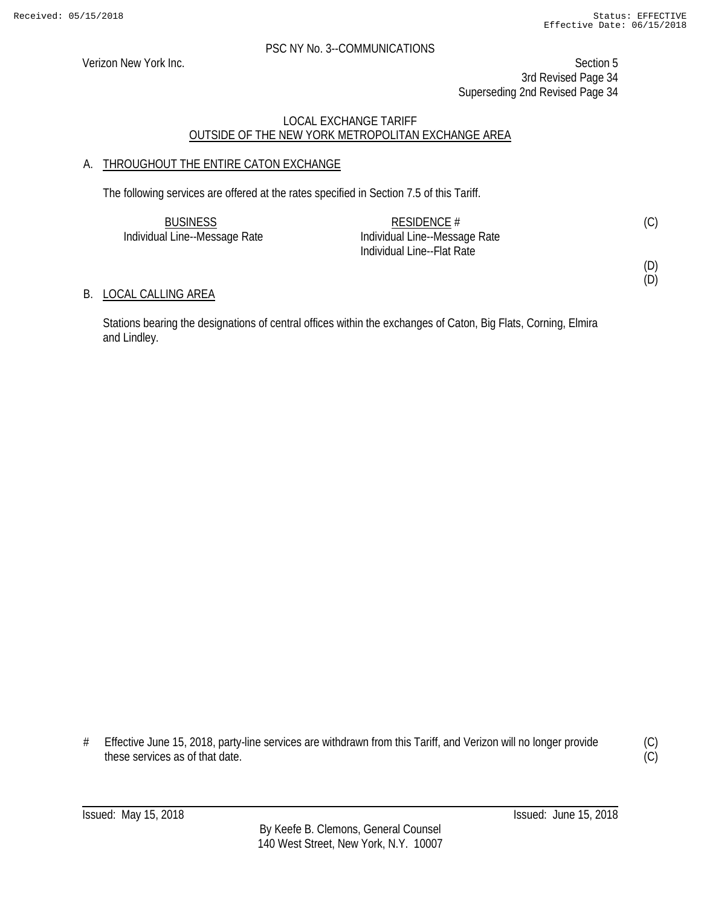(D) (D)

#### PSC NY No. 3--COMMUNICATIONS

Verizon New York Inc. Section 5 3rd Revised Page 34 Superseding 2nd Revised Page 34

# LOCAL EXCHANGE TARIFF OUTSIDE OF THE NEW YORK METROPOLITAN EXCHANGE AREA

# A. THROUGHOUT THE ENTIRE CATON EXCHANGE

The following services are offered at the rates specified in Section 7.5 of this Tariff.

| <b>BUSINESS</b>               | RESIDENCE #                   | (C) |
|-------------------------------|-------------------------------|-----|
| Individual Line--Message Rate | Individual Line--Message Rate |     |
|                               | Individual Line--Flat Rate    |     |

### B. LOCAL CALLING AREA

Stations bearing the designations of central offices within the exchanges of Caton, Big Flats, Corning, Elmira and Lindley.

<sup>#</sup> Effective June 15, 2018, party-line services are withdrawn from this Tariff, and Verizon will no longer provide these services as of that date.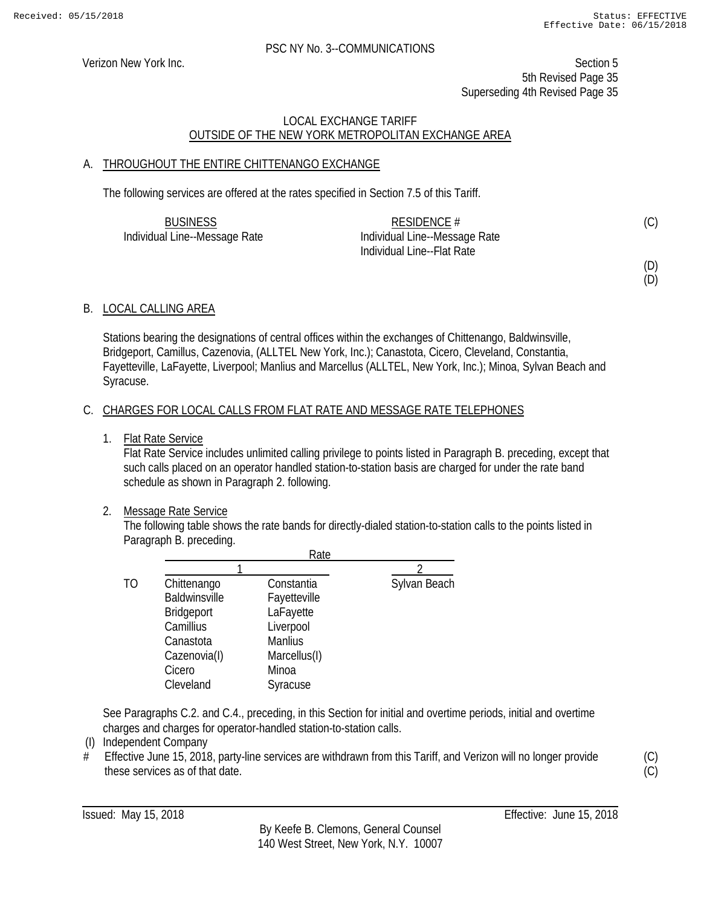Verizon New York Inc. Section 5 5th Revised Page 35 Superseding 4th Revised Page 35

# LOCAL EXCHANGE TARIFF OUTSIDE OF THE NEW YORK METROPOLITAN EXCHANGE AREA

# A. THROUGHOUT THE ENTIRE CHITTENANGO EXCHANGE

The following services are offered at the rates specified in Section 7.5 of this Tariff.

| <b>BUSINESS</b>               | RESIDENCE $#$                 | (C) |
|-------------------------------|-------------------------------|-----|
| Individual Line--Message Rate | Individual Line--Message Rate |     |
|                               | Individual Line--Flat Rate    |     |

(D)

(D)

# B. LOCAL CALLING AREA

Stations bearing the designations of central offices within the exchanges of Chittenango, Baldwinsville, Bridgeport, Camillus, Cazenovia, (ALLTEL New York, Inc.); Canastota, Cicero, Cleveland, Constantia, Fayetteville, LaFayette, Liverpool; Manlius and Marcellus (ALLTEL, New York, Inc.); Minoa, Sylvan Beach and Syracuse.

# C. CHARGES FOR LOCAL CALLS FROM FLAT RATE AND MESSAGE RATE TELEPHONES

1. Flat Rate Service

Flat Rate Service includes unlimited calling privilege to points listed in Paragraph B. preceding, except that such calls placed on an operator handled station-to-station basis are charged for under the rate band schedule as shown in Paragraph 2. following.

# 2. Message Rate Service

The following table shows the rate bands for directly-dialed station-to-station calls to the points listed in Paragraph B. preceding.

|    | Rate              |                |              |
|----|-------------------|----------------|--------------|
|    |                   |                |              |
| TO | Chittenango       | Constantia     | Sylvan Beach |
|    | Baldwinsville     | Fayetteville   |              |
|    | <b>Bridgeport</b> | LaFayette      |              |
|    | Camillius         | Liverpool      |              |
|    | Canastota         | <b>Manlius</b> |              |
|    | Cazenovia(I)      | Marcellus(I)   |              |
|    | Cicero            | Minoa          |              |
|    | Cleveland         | Syracuse       |              |

See Paragraphs C.2. and C.4., preceding, in this Section for initial and overtime periods, initial and overtime charges and charges for operator-handled station-to-station calls.

- (I) Independent Company
- $#$  Effective June 15, 2018, party-line services are withdrawn from this Tariff, and Verizon will no longer provide these services as of that date.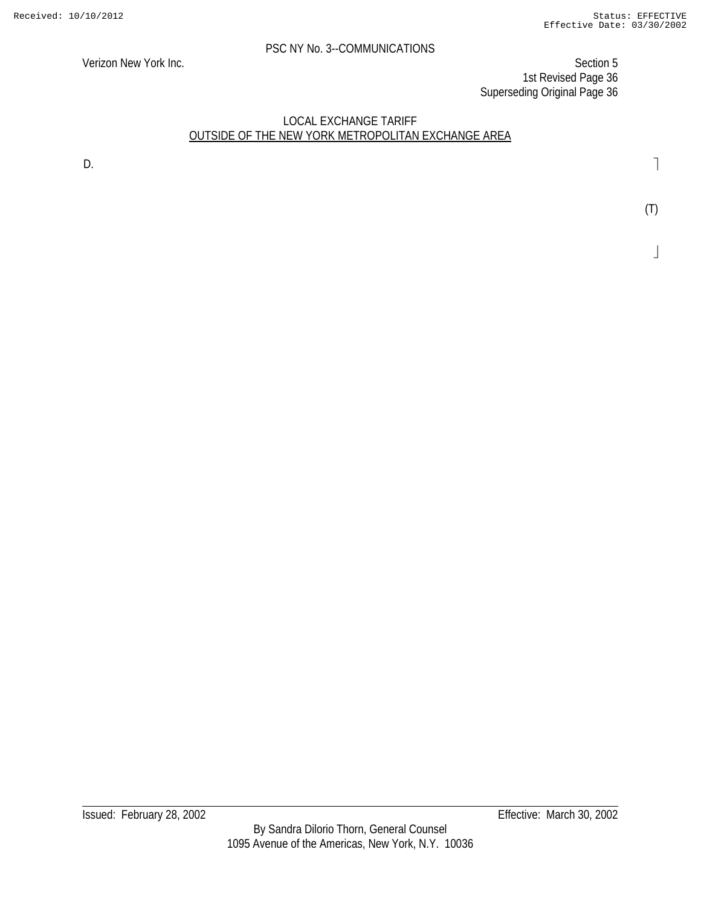Verizon New York Inc. Section 5 1st Revised Page 36 Superseding Original Page 36

### LOCAL EXCHANGE TARIFF OUTSIDE OF THE NEW YORK METROPOLITAN EXCHANGE AREA

D.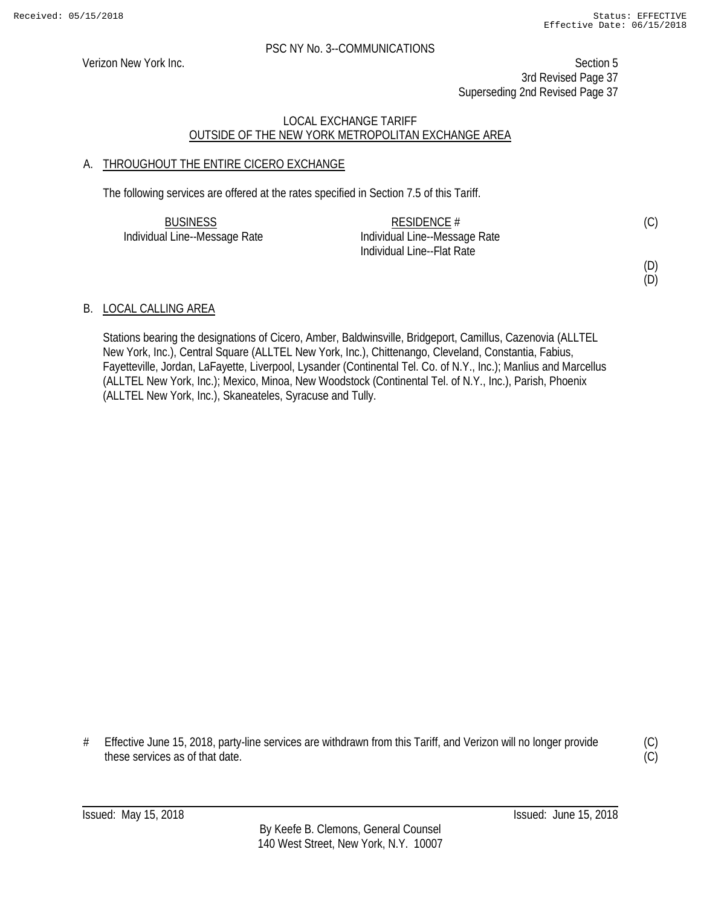Verizon New York Inc. Section 5 3rd Revised Page 37 Superseding 2nd Revised Page 37

#### LOCAL EXCHANGE TARIFF OUTSIDE OF THE NEW YORK METROPOLITAN EXCHANGE AREA

#### A. THROUGHOUT THE ENTIRE CICERO EXCHANGE

The following services are offered at the rates specified in Section 7.5 of this Tariff.

| <b>BUSINESS</b>               | RESIDENCE #                   | (C) |
|-------------------------------|-------------------------------|-----|
| Individual Line--Message Rate | Individual Line--Message Rate |     |
|                               | Individual Line--Flat Rate    |     |

(D)

(D)

#### B. LOCAL CALLING AREA

Stations bearing the designations of Cicero, Amber, Baldwinsville, Bridgeport, Camillus, Cazenovia (ALLTEL New York, Inc.), Central Square (ALLTEL New York, Inc.), Chittenango, Cleveland, Constantia, Fabius, Fayetteville, Jordan, LaFayette, Liverpool, Lysander (Continental Tel. Co. of N.Y., Inc.); Manlius and Marcellus (ALLTEL New York, Inc.); Mexico, Minoa, New Woodstock (Continental Tel. of N.Y., Inc.), Parish, Phoenix (ALLTEL New York, Inc.), Skaneateles, Syracuse and Tully.

# Effective June 15, 2018, party-line services are withdrawn from this Tariff, and Verizon will no longer provide these services as of that date.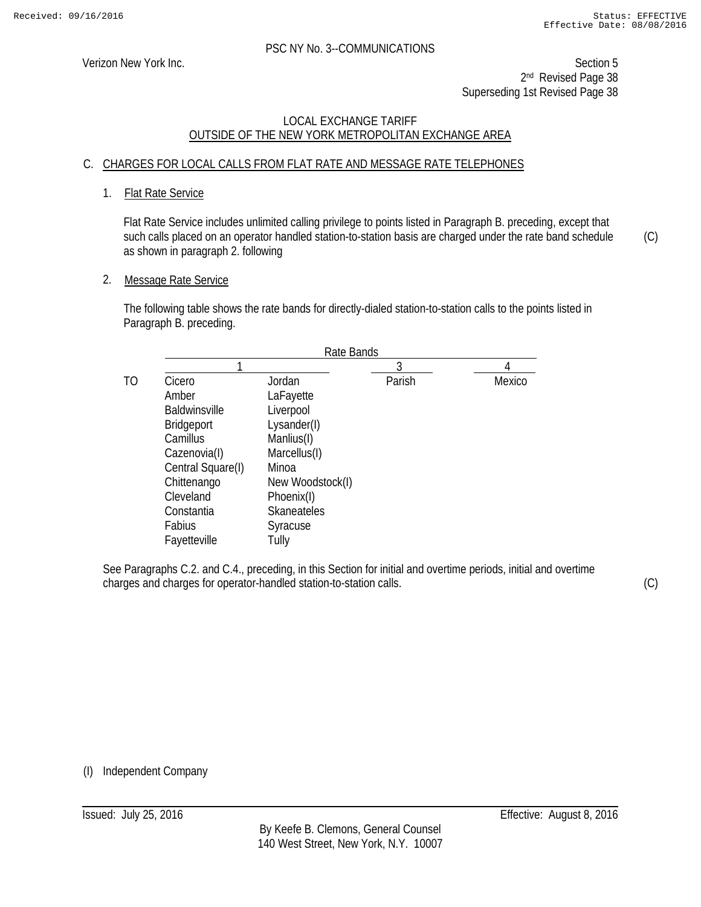Verizon New York Inc. Section 5 2<sup>nd</sup> Revised Page 38 Superseding 1st Revised Page 38

#### LOCAL EXCHANGE TARIFF OUTSIDE OF THE NEW YORK METROPOLITAN EXCHANGE AREA

#### C. CHARGES FOR LOCAL CALLS FROM FLAT RATE AND MESSAGE RATE TELEPHONES

#### 1. Flat Rate Service

Flat Rate Service includes unlimited calling privilege to points listed in Paragraph B. preceding, except that such calls placed on an operator handled station-to-station basis are charged under the rate band schedule as shown in paragraph 2. following

2. Message Rate Service

The following table shows the rate bands for directly-dialed station-to-station calls to the points listed in Paragraph B. preceding.

| Rate Bands       |        |        |
|------------------|--------|--------|
|                  | 3      |        |
| Jordan           | Parish | Mexico |
| LaFayette        |        |        |
| Liverpool        |        |        |
| Lysander(I)      |        |        |
| Manlius(I)       |        |        |
| Marcellus(I)     |        |        |
| Minoa            |        |        |
| New Woodstock(I) |        |        |
| Phoenix(I)       |        |        |
| Skaneateles      |        |        |
| Syracuse         |        |        |
| Tully            |        |        |
|                  |        |        |

See Paragraphs C.2. and C.4., preceding, in this Section for initial and overtime periods, initial and overtime charges and charges for operator-handled station-to-station calls.

(C)

(C)

(I) Independent Company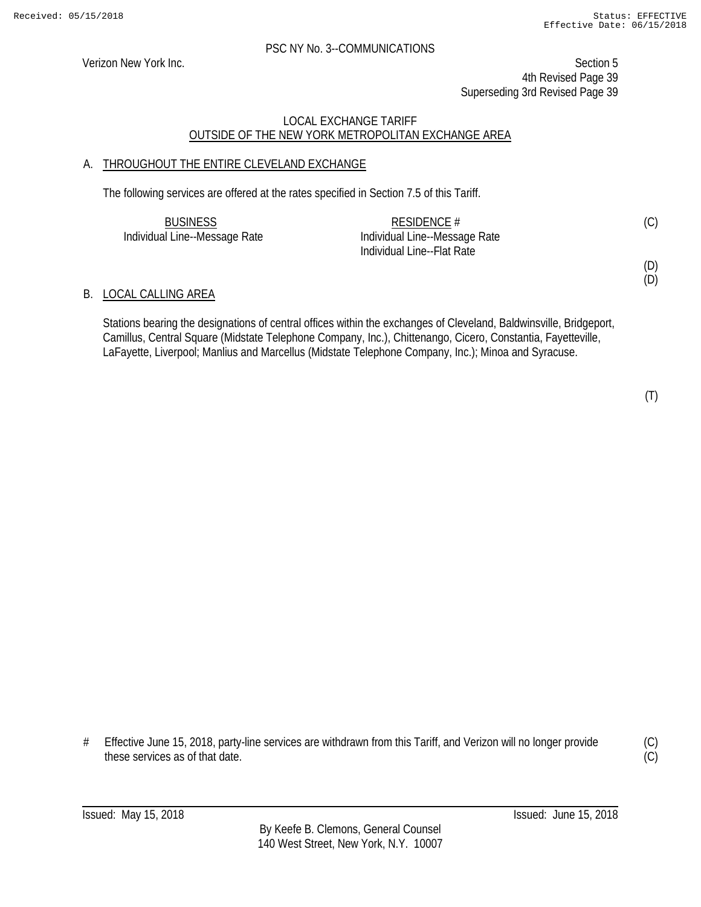Verizon New York Inc. Section 5 4th Revised Page 39 Superseding 3rd Revised Page 39

#### LOCAL EXCHANGE TARIFF OUTSIDE OF THE NEW YORK METROPOLITAN EXCHANGE AREA

#### A. THROUGHOUT THE ENTIRE CLEVELAND EXCHANGE

The following services are offered at the rates specified in Section 7.5 of this Tariff.

| <b>BUSINESS</b>               | RESIDENCE $#$                 |  |
|-------------------------------|-------------------------------|--|
| Individual Line--Message Rate | Individual Line--Message Rate |  |
|                               | Individual Line--Flat Rate    |  |

#### B. LOCAL CALLING AREA

Stations bearing the designations of central offices within the exchanges of Cleveland, Baldwinsville, Bridgeport, Camillus, Central Square (Midstate Telephone Company, Inc.), Chittenango, Cicero, Constantia, Fayetteville, LaFayette, Liverpool; Manlius and Marcellus (Midstate Telephone Company, Inc.); Minoa and Syracuse.

(T)

(D) (D)

# Effective June 15, 2018, party-line services are withdrawn from this Tariff, and Verizon will no longer provide these services as of that date.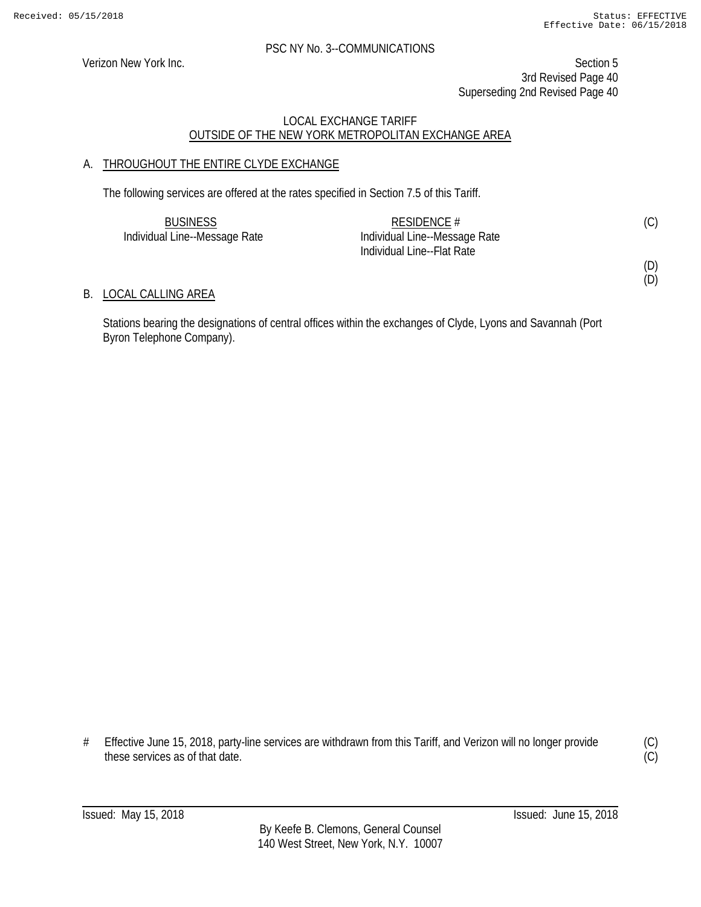#### PSC NY No. 3--COMMUNICATIONS

Verizon New York Inc. Section 5 3rd Revised Page 40 Superseding 2nd Revised Page 40

#### LOCAL EXCHANGE TARIFF OUTSIDE OF THE NEW YORK METROPOLITAN EXCHANGE AREA

#### A. THROUGHOUT THE ENTIRE CLYDE EXCHANGE

The following services are offered at the rates specified in Section 7.5 of this Tariff.

| <b>BUSINESS</b>               | RESIDENCE $#$                 | (C) |
|-------------------------------|-------------------------------|-----|
| Individual Line--Message Rate | Individual Line--Message Rate |     |
|                               | Individual Line--Flat Rate    |     |

B. LOCAL CALLING AREA

Stations bearing the designations of central offices within the exchanges of Clyde, Lyons and Savannah (Port Byron Telephone Company).

<sup>#</sup> Effective June 15, 2018, party-line services are withdrawn from this Tariff, and Verizon will no longer provide these services as of that date.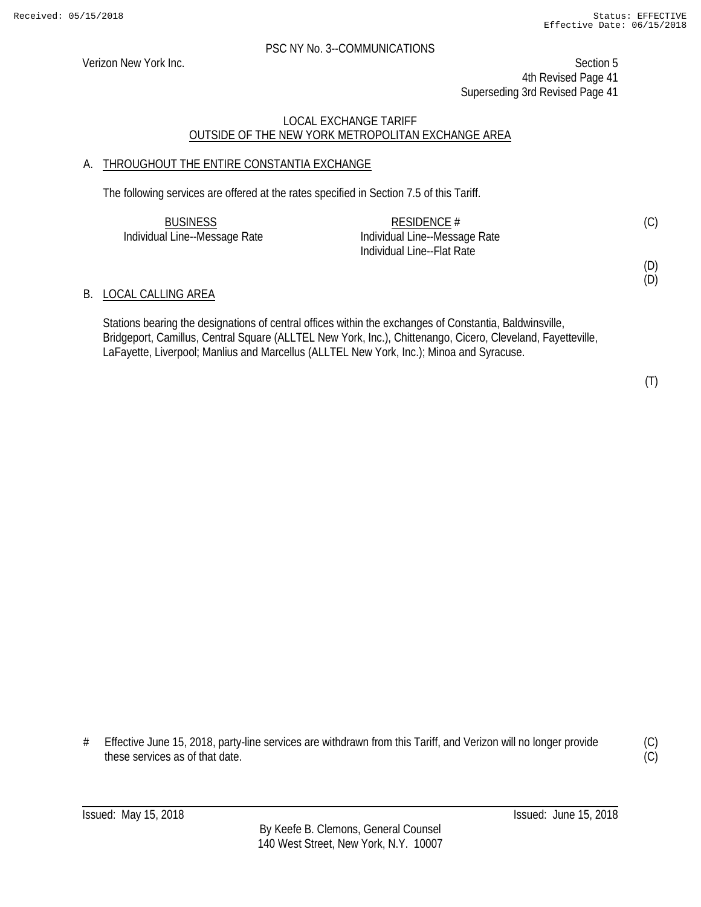Verizon New York Inc. Section 5 4th Revised Page 41 Superseding 3rd Revised Page 41

#### LOCAL EXCHANGE TARIFF OUTSIDE OF THE NEW YORK METROPOLITAN EXCHANGE AREA

#### A. THROUGHOUT THE ENTIRE CONSTANTIA EXCHANGE

The following services are offered at the rates specified in Section 7.5 of this Tariff.

| <b>BUSINESS</b>               | RESIDENCE $#$                 |  |
|-------------------------------|-------------------------------|--|
| Individual Line--Message Rate | Individual Line--Message Rate |  |
|                               | Individual Line--Flat Rate    |  |

#### B. LOCAL CALLING AREA

Stations bearing the designations of central offices within the exchanges of Constantia, Baldwinsville, Bridgeport, Camillus, Central Square (ALLTEL New York, Inc.), Chittenango, Cicero, Cleveland, Fayetteville, LaFayette, Liverpool; Manlius and Marcellus (ALLTEL New York, Inc.); Minoa and Syracuse.

(T)

(D) (D)

# Effective June 15, 2018, party-line services are withdrawn from this Tariff, and Verizon will no longer provide these services as of that date.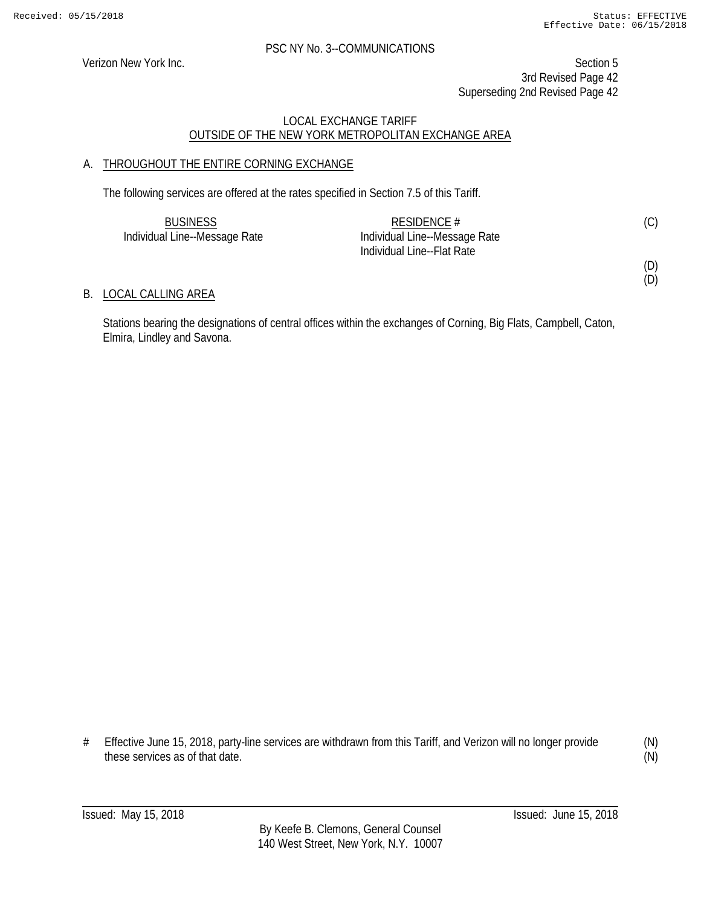#### PSC NY No. 3--COMMUNICATIONS

Verizon New York Inc. Section 5 3rd Revised Page 42 Superseding 2nd Revised Page 42

#### LOCAL EXCHANGE TARIFF OUTSIDE OF THE NEW YORK METROPOLITAN EXCHANGE AREA

#### A. THROUGHOUT THE ENTIRE CORNING EXCHANGE

The following services are offered at the rates specified in Section 7.5 of this Tariff.

| <b>BUSINESS</b>               | RESIDENCE #                   | (C) |
|-------------------------------|-------------------------------|-----|
| Individual Line--Message Rate | Individual Line--Message Rate |     |
|                               | Individual Line--Flat Rate    |     |

B. LOCAL CALLING AREA

Stations bearing the designations of central offices within the exchanges of Corning, Big Flats, Campbell, Caton, Elmira, Lindley and Savona.

<sup>#</sup> Effective June 15, 2018, party-line services are withdrawn from this Tariff, and Verizon will no longer provide these services as of that date.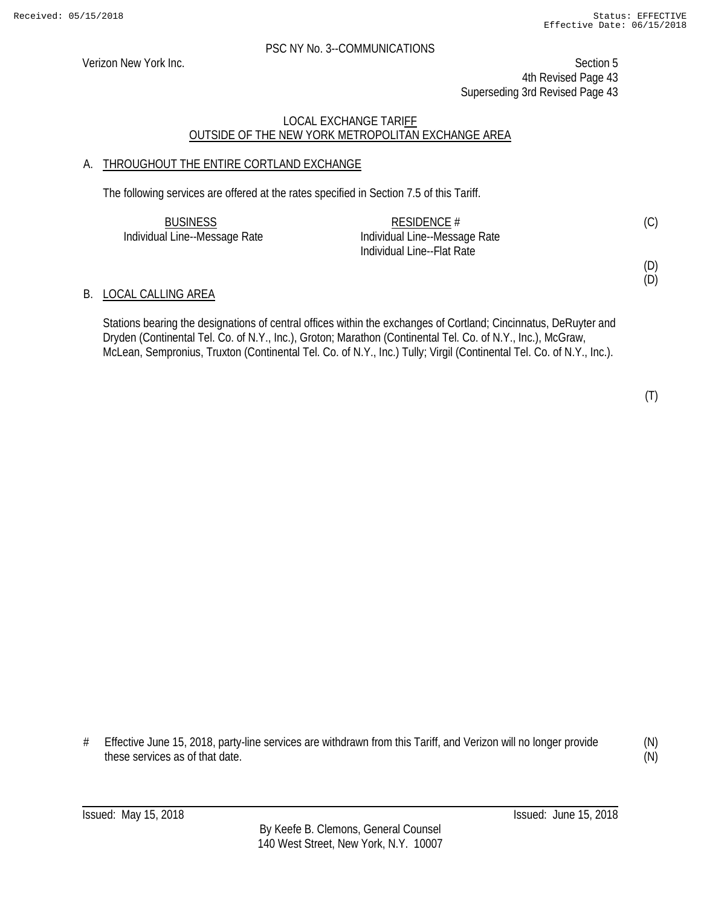Verizon New York Inc. Section 5 4th Revised Page 43 Superseding 3rd Revised Page 43

#### LOCAL EXCHANGE TARIFF OUTSIDE OF THE NEW YORK METROPOLITAN EXCHANGE AREA

#### A. THROUGHOUT THE ENTIRE CORTLAND EXCHANGE

The following services are offered at the rates specified in Section 7.5 of this Tariff.

| <b>BUSINESS</b>               | RESIDENCE $#$                 | (C) |
|-------------------------------|-------------------------------|-----|
| Individual Line--Message Rate | Individual Line--Message Rate |     |
|                               | Individual Line--Flat Rate    |     |

#### B. LOCAL CALLING AREA

Stations bearing the designations of central offices within the exchanges of Cortland; Cincinnatus, DeRuyter and Dryden (Continental Tel. Co. of N.Y., Inc.), Groton; Marathon (Continental Tel. Co. of N.Y., Inc.), McGraw, McLean, Sempronius, Truxton (Continental Tel. Co. of N.Y., Inc.) Tully; Virgil (Continental Tel. Co. of N.Y., Inc.).

(T)

(D) (D)

# Effective June 15, 2018, party-line services are withdrawn from this Tariff, and Verizon will no longer provide these services as of that date.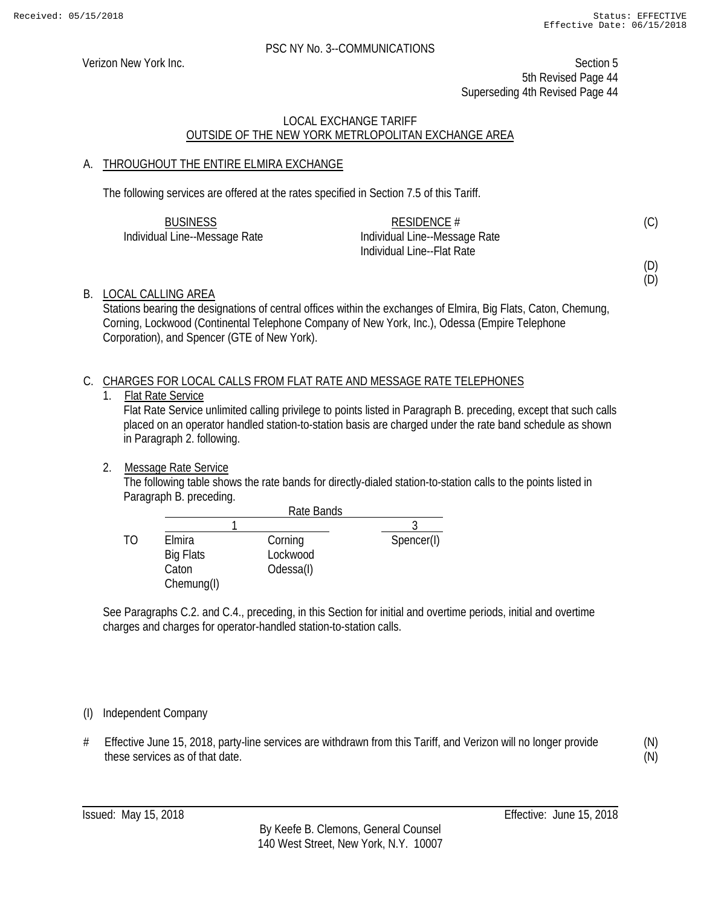Verizon New York Inc. Section 5 5th Revised Page 44 Superseding 4th Revised Page 44

#### LOCAL EXCHANGE TARIFF OUTSIDE OF THE NEW YORK METRLOPOLITAN EXCHANGE AREA

#### A. THROUGHOUT THE ENTIRE ELMIRA EXCHANGE

The following services are offered at the rates specified in Section 7.5 of this Tariff.

| <b>BUSINESS</b>               | RESIDENCE $#$                 | (C) |
|-------------------------------|-------------------------------|-----|
| Individual Line--Message Rate | Individual Line--Message Rate |     |
|                               | Individual Line--Flat Rate    |     |

(D) (D)

#### B. LOCAL CALLING AREA

Stations bearing the designations of central offices within the exchanges of Elmira, Big Flats, Caton, Chemung, Corning, Lockwood (Continental Telephone Company of New York, Inc.), Odessa (Empire Telephone Corporation), and Spencer (GTE of New York).

#### C. CHARGES FOR LOCAL CALLS FROM FLAT RATE AND MESSAGE RATE TELEPHONES

#### 1. Flat Rate Service

Flat Rate Service unlimited calling privilege to points listed in Paragraph B. preceding, except that such calls placed on an operator handled station-to-station basis are charged under the rate band schedule as shown in Paragraph 2. following.

2. Message Rate Service

The following table shows the rate bands for directly-dialed station-to-station calls to the points listed in Paragraph B. preceding.

|    |                                                   | Rate Bands                       |            |
|----|---------------------------------------------------|----------------------------------|------------|
|    |                                                   |                                  |            |
| TΩ | Elmira<br><b>Big Flats</b><br>Caton<br>Chemung(I) | Corning<br>Lockwood<br>Odessa(I) | Spencer(I) |

See Paragraphs C.2. and C.4., preceding, in this Section for initial and overtime periods, initial and overtime charges and charges for operator-handled station-to-station calls.

#### (I) Independent Company

# Effective June 15, 2018, party-line services are withdrawn from this Tariff, and Verizon will no longer provide these services as of that date.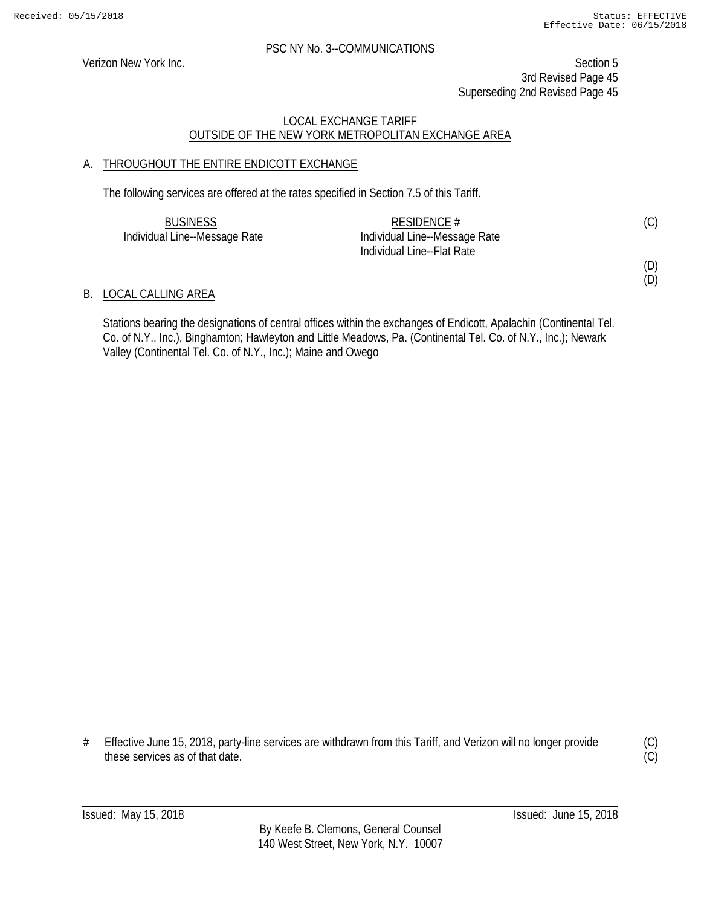#### PSC NY No. 3--COMMUNICATIONS

Verizon New York Inc. Section 5 3rd Revised Page 45 Superseding 2nd Revised Page 45

#### LOCAL EXCHANGE TARIFF OUTSIDE OF THE NEW YORK METROPOLITAN EXCHANGE AREA

#### A. THROUGHOUT THE ENTIRE ENDICOTT EXCHANGE

The following services are offered at the rates specified in Section 7.5 of this Tariff.

| <b>BUSINESS</b>               | RESIDENCE #                   | (C) |
|-------------------------------|-------------------------------|-----|
| Individual Line--Message Rate | Individual Line--Message Rate |     |
|                               | Individual Line--Flat Rate    |     |

#### B. LOCAL CALLING AREA

Stations bearing the designations of central offices within the exchanges of Endicott, Apalachin (Continental Tel. Co. of N.Y., Inc.), Binghamton; Hawleyton and Little Meadows, Pa. (Continental Tel. Co. of N.Y., Inc.); Newark Valley (Continental Tel. Co. of N.Y., Inc.); Maine and Owego

<sup>#</sup> Effective June 15, 2018, party-line services are withdrawn from this Tariff, and Verizon will no longer provide these services as of that date.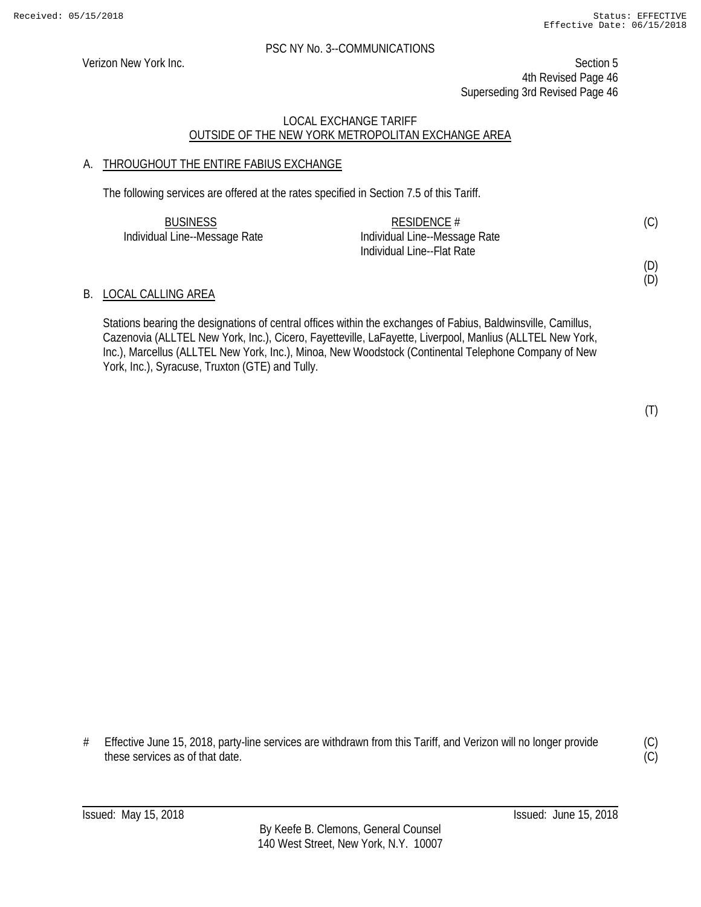Verizon New York Inc. Section 5 4th Revised Page 46 Superseding 3rd Revised Page 46

#### LOCAL EXCHANGE TARIFF OUTSIDE OF THE NEW YORK METROPOLITAN EXCHANGE AREA

#### A. THROUGHOUT THE ENTIRE FABIUS EXCHANGE

The following services are offered at the rates specified in Section 7.5 of this Tariff.

| <b>BUSINESS</b>               | RESIDENCE $#$                 | (C) |
|-------------------------------|-------------------------------|-----|
| Individual Line--Message Rate | Individual Line--Message Rate |     |
|                               | Individual Line--Flat Rate    |     |

# (D)

(D)

### B. LOCAL CALLING AREA

Stations bearing the designations of central offices within the exchanges of Fabius, Baldwinsville, Camillus, Cazenovia (ALLTEL New York, Inc.), Cicero, Fayetteville, LaFayette, Liverpool, Manlius (ALLTEL New York, Inc.), Marcellus (ALLTEL New York, Inc.), Minoa, New Woodstock (Continental Telephone Company of New York, Inc.), Syracuse, Truxton (GTE) and Tully.

# Effective June 15, 2018, party-line services are withdrawn from this Tariff, and Verizon will no longer provide these services as of that date.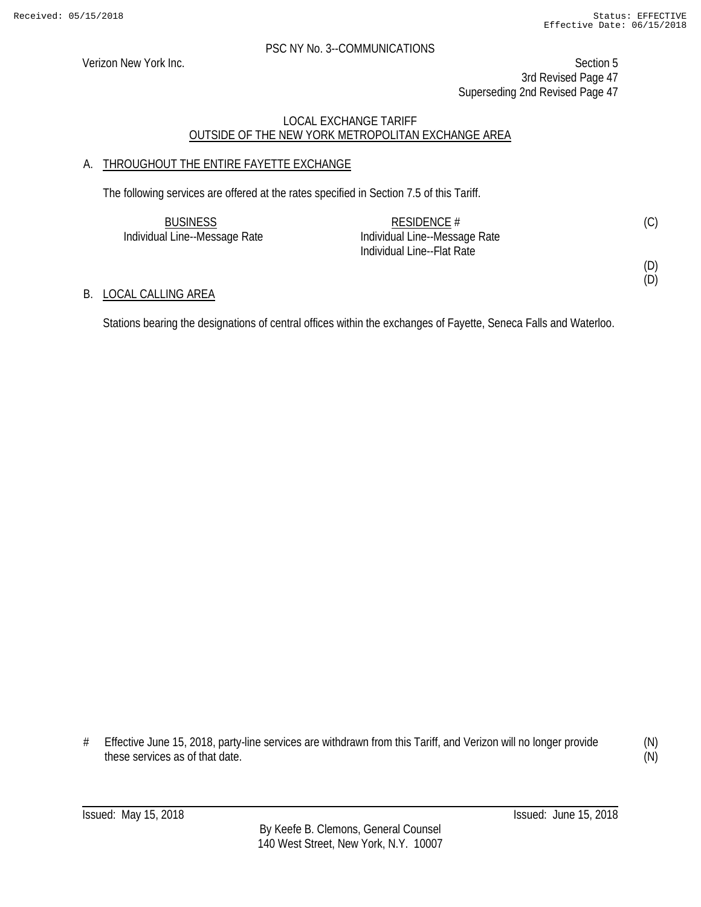#### PSC NY No. 3--COMMUNICATIONS

Verizon New York Inc. Section 5 3rd Revised Page 47 Superseding 2nd Revised Page 47

#### LOCAL EXCHANGE TARIFF OUTSIDE OF THE NEW YORK METROPOLITAN EXCHANGE AREA

#### A. THROUGHOUT THE ENTIRE FAYETTE EXCHANGE

The following services are offered at the rates specified in Section 7.5 of this Tariff.

| <b>BUSINESS</b>               | RESIDENCE $#$                 | (C) |
|-------------------------------|-------------------------------|-----|
| Individual Line--Message Rate | Individual Line--Message Rate |     |
|                               | Individual Line--Flat Rate    |     |

B. LOCAL CALLING AREA

Stations bearing the designations of central offices within the exchanges of Fayette, Seneca Falls and Waterloo.

<sup>#</sup> Effective June 15, 2018, party-line services are withdrawn from this Tariff, and Verizon will no longer provide these services as of that date.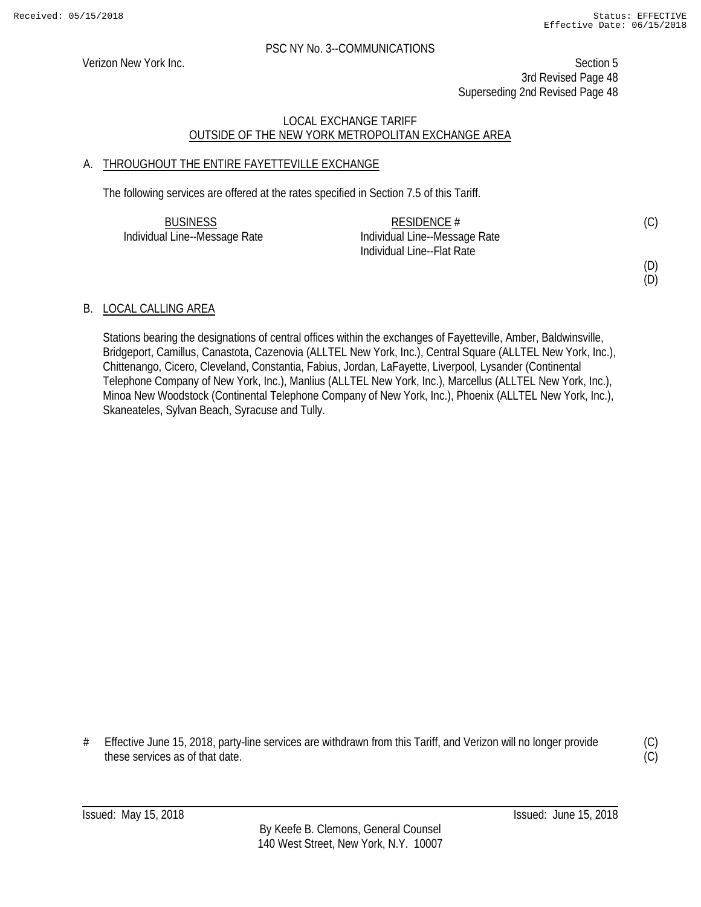Verizon New York Inc. Section 5 3rd Revised Page 48 Superseding 2nd Revised Page 48

#### LOCAL EXCHANGE TARIFF OUTSIDE OF THE NEW YORK METROPOLITAN EXCHANGE AREA

#### A. THROUGHOUT THE ENTIRE FAYETTEVILLE EXCHANGE

The following services are offered at the rates specified in Section 7.5 of this Tariff.

| <b>BUSINESS</b>               | RESIDENCE $#$                 | (C) |
|-------------------------------|-------------------------------|-----|
| Individual Line--Message Rate | Individual Line--Message Rate |     |
|                               | Individual Line--Flat Rate    |     |

(D) (D)

#### B. LOCAL CALLING AREA

Stations bearing the designations of central offices within the exchanges of Fayetteville, Amber, Baldwinsville, Bridgeport, Camillus, Canastota, Cazenovia (ALLTEL New York, Inc.), Central Square (ALLTEL New York, Inc.), Chittenango, Cicero, Cleveland, Constantia, Fabius, Jordan, LaFayette, Liverpool, Lysander (Continental Telephone Company of New York, Inc.), Manlius (ALLTEL New York, Inc.), Marcellus (ALLTEL New York, Inc.), Minoa New Woodstock (Continental Telephone Company of New York, Inc.), Phoenix (ALLTEL New York, Inc.), Skaneateles, Sylvan Beach, Syracuse and Tully.

# Effective June 15, 2018, party-line services are withdrawn from this Tariff, and Verizon will no longer provide these services as of that date.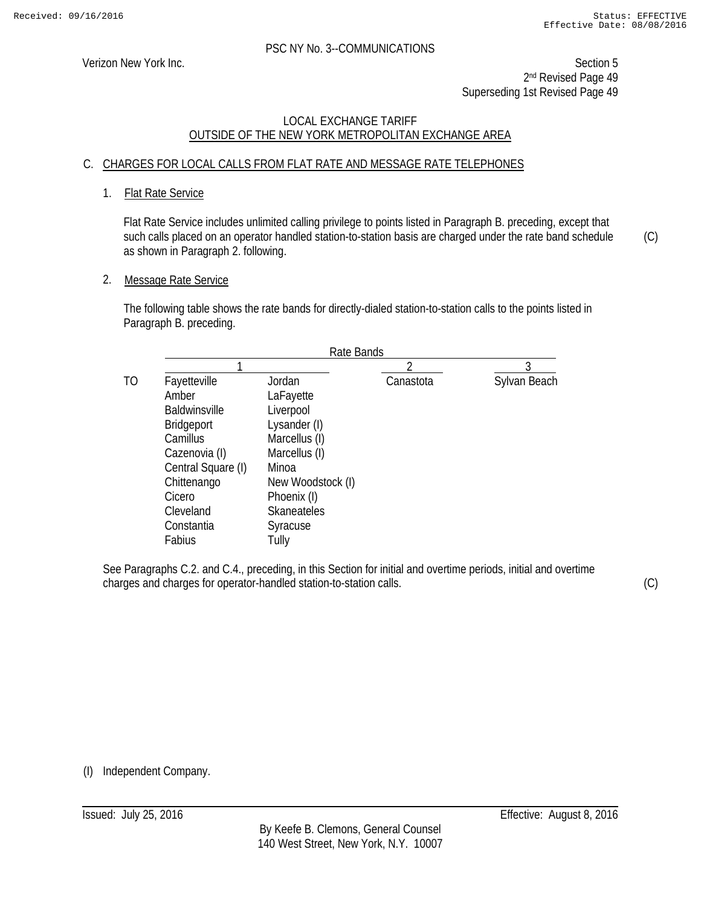Verizon New York Inc. Section 5 2<sup>nd</sup> Revised Page 49 Superseding 1st Revised Page 49

#### LOCAL EXCHANGE TARIFF OUTSIDE OF THE NEW YORK METROPOLITAN EXCHANGE AREA

#### C. CHARGES FOR LOCAL CALLS FROM FLAT RATE AND MESSAGE RATE TELEPHONES

#### 1. Flat Rate Service

Flat Rate Service includes unlimited calling privilege to points listed in Paragraph B. preceding, except that such calls placed on an operator handled station-to-station basis are charged under the rate band schedule as shown in Paragraph 2. following.

2. Message Rate Service

The following table shows the rate bands for directly-dialed station-to-station calls to the points listed in Paragraph B. preceding.

| Rate Bands           |                    |           |              |
|----------------------|--------------------|-----------|--------------|
|                      |                    | ∩         | 3            |
| Fayetteville         | Jordan             | Canastota | Sylvan Beach |
| Amber                | LaFayette          |           |              |
| <b>Baldwinsville</b> | Liverpool          |           |              |
| <b>Bridgeport</b>    | Lysander (I)       |           |              |
| Camillus             | Marcellus (I)      |           |              |
| Cazenovia (I)        | Marcellus (I)      |           |              |
| Central Square (I)   | Minoa              |           |              |
| Chittenango          | New Woodstock (I)  |           |              |
| Cicero               | Phoenix (I)        |           |              |
| Cleveland            | <b>Skaneateles</b> |           |              |
| Constantia           | Syracuse           |           |              |
| Fabius               | Tully              |           |              |

See Paragraphs C.2. and C.4., preceding, in this Section for initial and overtime periods, initial and overtime charges and charges for operator-handled station-to-station calls.

(C)

(C)

(I) Independent Company.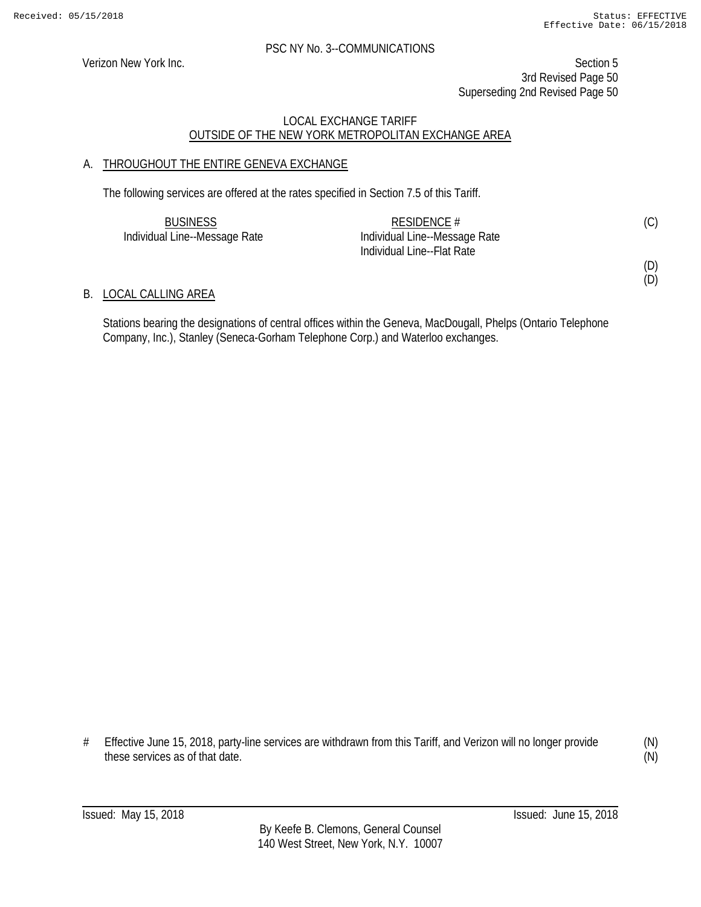#### PSC NY No. 3--COMMUNICATIONS

Verizon New York Inc. Section 5 3rd Revised Page 50 Superseding 2nd Revised Page 50

#### LOCAL EXCHANGE TARIFF OUTSIDE OF THE NEW YORK METROPOLITAN EXCHANGE AREA

#### A. THROUGHOUT THE ENTIRE GENEVA EXCHANGE

The following services are offered at the rates specified in Section 7.5 of this Tariff.

| <b>BUSINESS</b>               | RESIDENCE $#$                 | (C) |
|-------------------------------|-------------------------------|-----|
| Individual Line--Message Rate | Individual Line--Message Rate |     |
|                               | Individual Line--Flat Rate    |     |

#### B. LOCAL CALLING AREA

Stations bearing the designations of central offices within the Geneva, MacDougall, Phelps (Ontario Telephone Company, Inc.), Stanley (Seneca-Gorham Telephone Corp.) and Waterloo exchanges.

<sup>#</sup> Effective June 15, 2018, party-line services are withdrawn from this Tariff, and Verizon will no longer provide these services as of that date.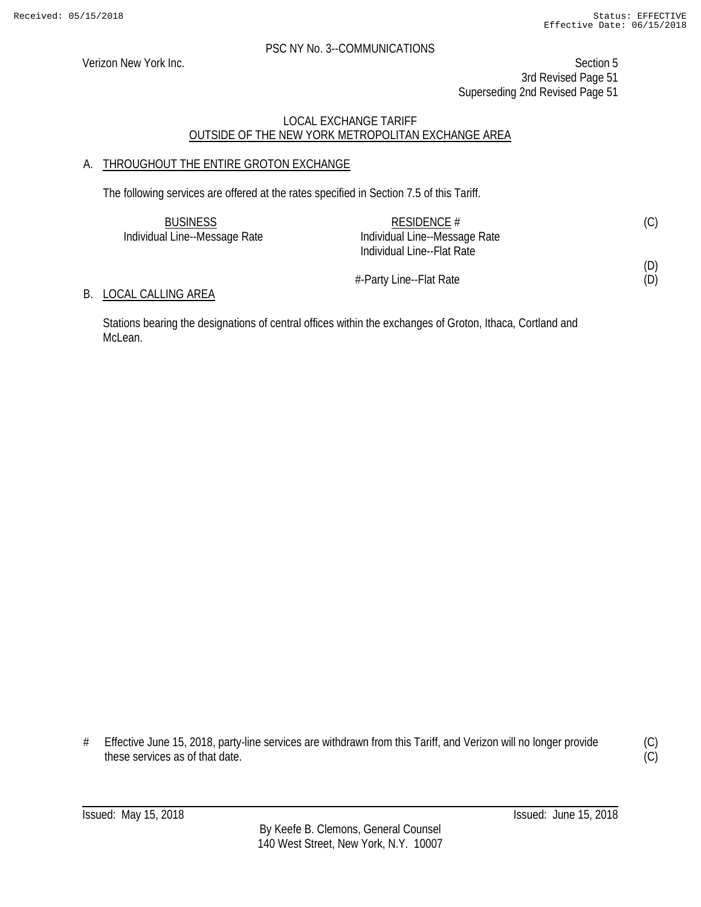Verizon New York Inc. Section 5 3rd Revised Page 51 Superseding 2nd Revised Page 51

#### LOCAL EXCHANGE TARIFF OUTSIDE OF THE NEW YORK METROPOLITAN EXCHANGE AREA

#### A. THROUGHOUT THE ENTIRE GROTON EXCHANGE

The following services are offered at the rates specified in Section 7.5 of this Tariff.

| <b>BUSINESS</b>               | RESIDENCE #                   | (C) |
|-------------------------------|-------------------------------|-----|
| Individual Line--Message Rate | Individual Line--Message Rate |     |
|                               | Individual Line--Flat Rate    |     |
|                               |                               | (D) |
|                               | #-Party Line--Flat Rate       | (D) |

#### B. LOCAL CALLING AREA

Stations bearing the designations of central offices within the exchanges of Groton, Ithaca, Cortland and McLean.

# Effective June 15, 2018, party-line services are withdrawn from this Tariff, and Verizon will no longer provide these services as of that date.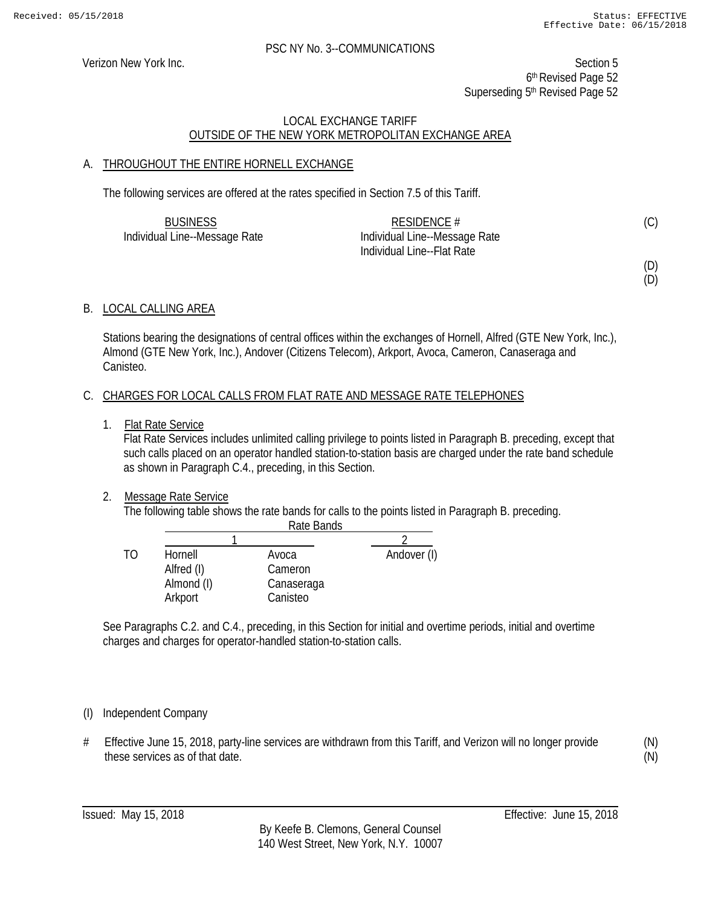Verizon New York Inc. Section 5 6th Revised Page 52 Superseding 5<sup>th</sup> Revised Page 52

#### LOCAL EXCHANGE TARIFF OUTSIDE OF THE NEW YORK METROPOLITAN EXCHANGE AREA

#### A. THROUGHOUT THE ENTIRE HORNELL EXCHANGE

The following services are offered at the rates specified in Section 7.5 of this Tariff.

| <b>BUSINESS</b>               | RESIDENCE $#$                 | (C) |
|-------------------------------|-------------------------------|-----|
| Individual Line--Message Rate | Individual Line--Message Rate |     |
|                               | Individual Line--Flat Rate    |     |

(D) (D)

## B. LOCAL CALLING AREA

Stations bearing the designations of central offices within the exchanges of Hornell, Alfred (GTE New York, Inc.), Almond (GTE New York, Inc.), Andover (Citizens Telecom), Arkport, Avoca, Cameron, Canaseraga and Canisteo.

#### C. CHARGES FOR LOCAL CALLS FROM FLAT RATE AND MESSAGE RATE TELEPHONES

1. Flat Rate Service

Flat Rate Services includes unlimited calling privilege to points listed in Paragraph B. preceding, except that such calls placed on an operator handled station-to-station basis are charged under the rate band schedule as shown in Paragraph C.4., preceding, in this Section.

#### 2. Message Rate Service

The following table shows the rate bands for calls to the points listed in Paragraph B. preceding.

|    |            | Rate Bands |             |
|----|------------|------------|-------------|
|    |            |            |             |
| TΩ | Hornell    | Avoca      | Andover (I) |
|    | Alfred (I) | Cameron    |             |
|    | Almond (I) | Canaseraga |             |
|    | Arkport    | Canisteo   |             |

See Paragraphs C.2. and C.4., preceding, in this Section for initial and overtime periods, initial and overtime charges and charges for operator-handled station-to-station calls.

#### (I) Independent Company

# Effective June 15, 2018, party-line services are withdrawn from this Tariff, and Verizon will no longer provide these services as of that date.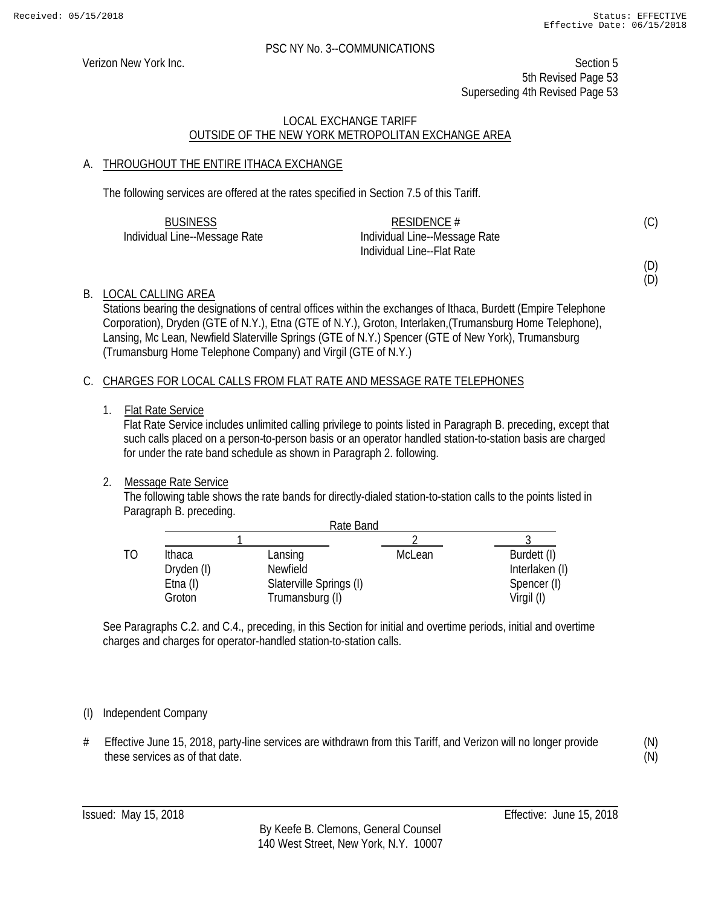Verizon New York Inc. Section 5 5th Revised Page 53 Superseding 4th Revised Page 53

#### LOCAL EXCHANGE TARIFF OUTSIDE OF THE NEW YORK METROPOLITAN EXCHANGE AREA

#### A. THROUGHOUT THE ENTIRE ITHACA EXCHANGE

The following services are offered at the rates specified in Section 7.5 of this Tariff.

| <b>BUSINESS</b>               | RESIDENCE $#$                 |  |
|-------------------------------|-------------------------------|--|
| Individual Line--Message Rate | Individual Line--Message Rate |  |
|                               | Individual Line--Flat Rate    |  |

(D) (D)

#### B. LOCAL CALLING AREA

Stations bearing the designations of central offices within the exchanges of Ithaca, Burdett (Empire Telephone Corporation), Dryden (GTE of N.Y.), Etna (GTE of N.Y.), Groton, Interlaken,(Trumansburg Home Telephone), Lansing, Mc Lean, Newfield Slaterville Springs (GTE of N.Y.) Spencer (GTE of New York), Trumansburg (Trumansburg Home Telephone Company) and Virgil (GTE of N.Y.)

#### C. CHARGES FOR LOCAL CALLS FROM FLAT RATE AND MESSAGE RATE TELEPHONES

1. Flat Rate Service

Flat Rate Service includes unlimited calling privilege to points listed in Paragraph B. preceding, except that such calls placed on a person-to-person basis or an operator handled station-to-station basis are charged for under the rate band schedule as shown in Paragraph 2. following.

#### 2. Message Rate Service

The following table shows the rate bands for directly-dialed station-to-station calls to the points listed in Paragraph B. preceding.

|    |             | Rate Band               |        |                |
|----|-------------|-------------------------|--------|----------------|
|    |             |                         |        |                |
| T0 | Ithaca      | Lansing                 | McLean | Burdett (I)    |
|    | Dryden (I)  | Newfield                |        | Interlaken (I) |
|    | $E$ tna (I) | Slaterville Springs (I) |        | Spencer (I)    |
|    | Groton      | Trumansburg (I)         |        | Virgil (I)     |

See Paragraphs C.2. and C.4., preceding, in this Section for initial and overtime periods, initial and overtime charges and charges for operator-handled station-to-station calls.

#### (I) Independent Company

# Effective June 15, 2018, party-line services are withdrawn from this Tariff, and Verizon will no longer provide these services as of that date.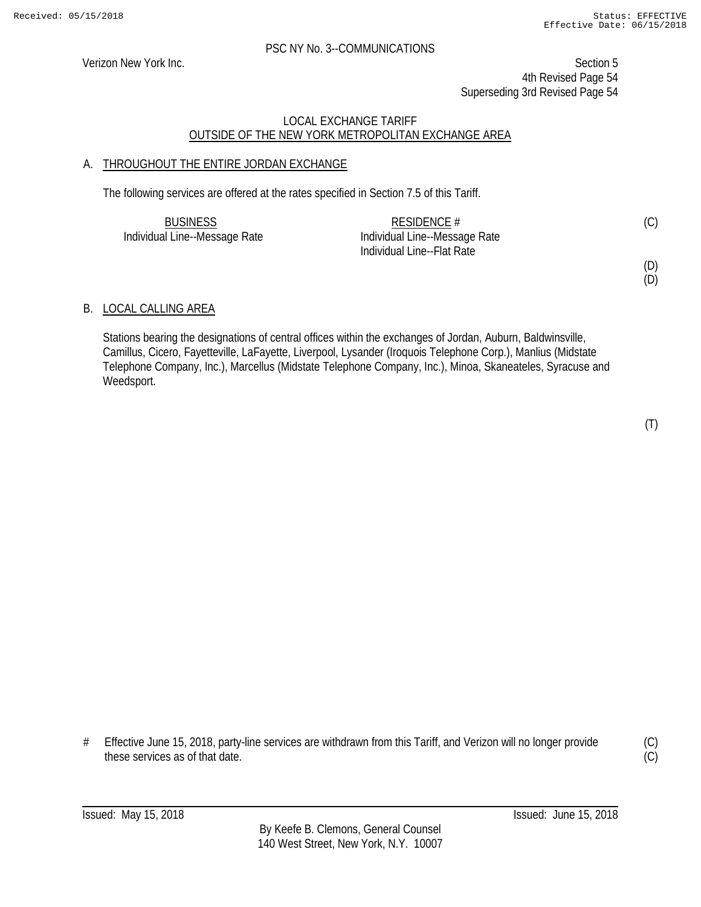Verizon New York Inc. Section 5 4th Revised Page 54 Superseding 3rd Revised Page 54

#### LOCAL EXCHANGE TARIFF OUTSIDE OF THE NEW YORK METROPOLITAN EXCHANGE AREA

#### A. THROUGHOUT THE ENTIRE JORDAN EXCHANGE

The following services are offered at the rates specified in Section 7.5 of this Tariff.

| <b>BUSINESS</b>               | RESIDENCE #                   | (C) |
|-------------------------------|-------------------------------|-----|
| Individual Line--Message Rate | Individual Line--Message Rate |     |
|                               | Individual Line--Flat Rate    |     |

# (D)

(D)

#### B. LOCAL CALLING AREA

Stations bearing the designations of central offices within the exchanges of Jordan, Auburn, Baldwinsville, Camillus, Cicero, Fayetteville, LaFayette, Liverpool, Lysander (Iroquois Telephone Corp.), Manlius (Midstate Telephone Company, Inc.), Marcellus (Midstate Telephone Company, Inc.), Minoa, Skaneateles, Syracuse and Weedsport.

# Effective June 15, 2018, party-line services are withdrawn from this Tariff, and Verizon will no longer provide these services as of that date.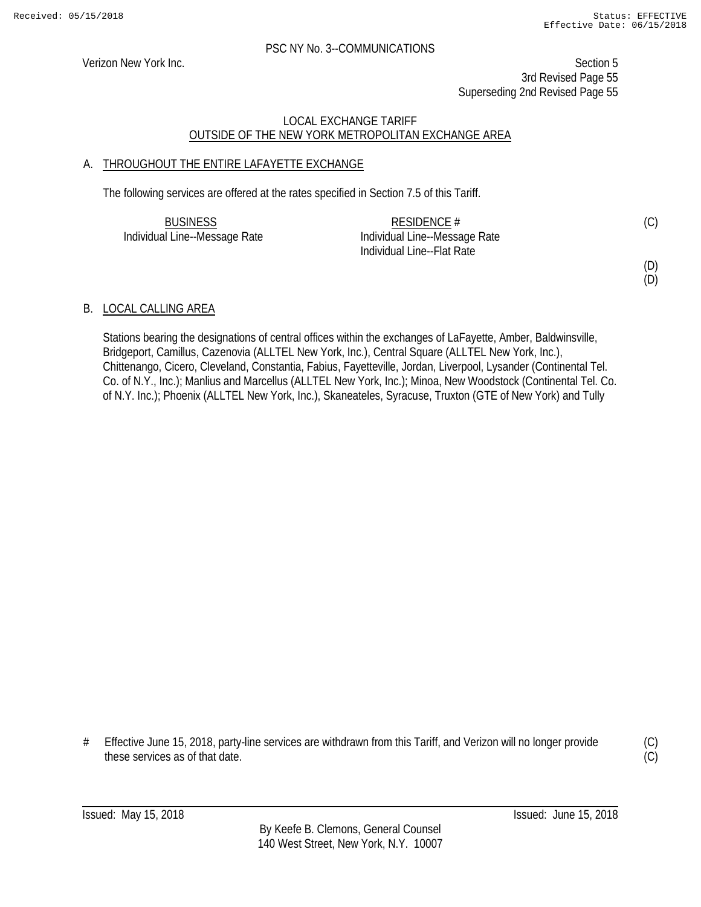Verizon New York Inc. Section 5 3rd Revised Page 55 Superseding 2nd Revised Page 55

#### LOCAL EXCHANGE TARIFF OUTSIDE OF THE NEW YORK METROPOLITAN EXCHANGE AREA

#### A. THROUGHOUT THE ENTIRE LAFAYETTE EXCHANGE

The following services are offered at the rates specified in Section 7.5 of this Tariff.

| <b>BUSINESS</b>               | RESIDENCE #                   | (C) |
|-------------------------------|-------------------------------|-----|
| Individual Line--Message Rate | Individual Line--Message Rate |     |
|                               | Individual Line--Flat Rate    |     |

# (D)

(D)

#### B. LOCAL CALLING AREA

Stations bearing the designations of central offices within the exchanges of LaFayette, Amber, Baldwinsville, Bridgeport, Camillus, Cazenovia (ALLTEL New York, Inc.), Central Square (ALLTEL New York, Inc.), Chittenango, Cicero, Cleveland, Constantia, Fabius, Fayetteville, Jordan, Liverpool, Lysander (Continental Tel. Co. of N.Y., Inc.); Manlius and Marcellus (ALLTEL New York, Inc.); Minoa, New Woodstock (Continental Tel. Co. of N.Y. Inc.); Phoenix (ALLTEL New York, Inc.), Skaneateles, Syracuse, Truxton (GTE of New York) and Tully

# Effective June 15, 2018, party-line services are withdrawn from this Tariff, and Verizon will no longer provide these services as of that date.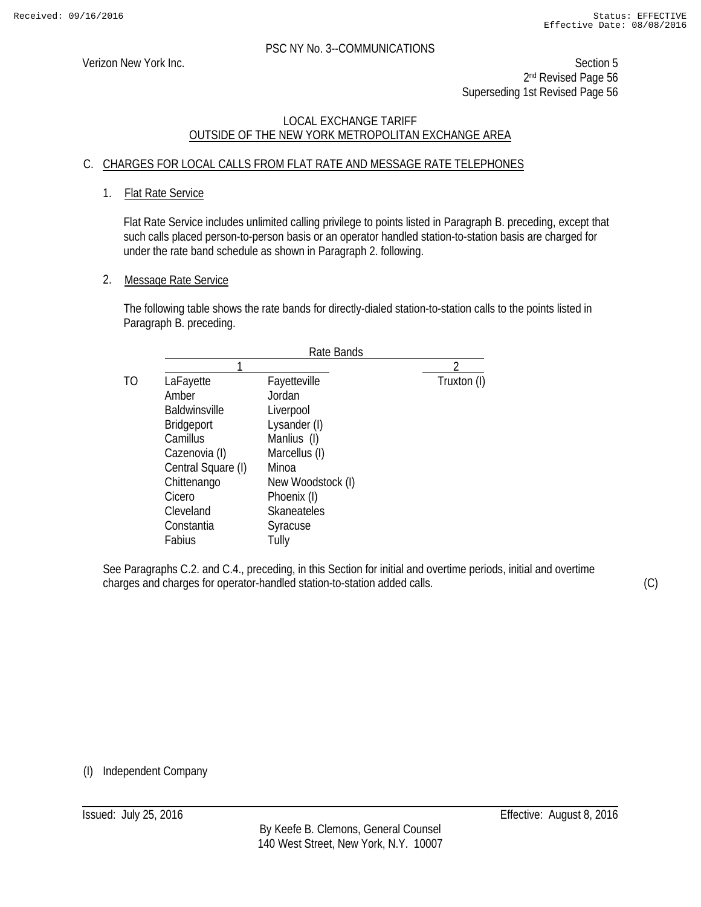Verizon New York Inc. Section 5 2<sup>nd</sup> Revised Page 56 Superseding 1st Revised Page 56

#### LOCAL EXCHANGE TARIFF OUTSIDE OF THE NEW YORK METROPOLITAN EXCHANGE AREA

#### C. CHARGES FOR LOCAL CALLS FROM FLAT RATE AND MESSAGE RATE TELEPHONES

#### 1. Flat Rate Service

Flat Rate Service includes unlimited calling privilege to points listed in Paragraph B. preceding, except that such calls placed person-to-person basis or an operator handled station-to-station basis are charged for under the rate band schedule as shown in Paragraph 2. following.

#### 2. Message Rate Service

The following table shows the rate bands for directly-dialed station-to-station calls to the points listed in Paragraph B. preceding.

|    | Rate Bands           |                    |             |
|----|----------------------|--------------------|-------------|
|    |                      |                    | ∍           |
| TΩ | LaFayette            | Fayetteville       | Truxton (I) |
|    | Amber                | Jordan             |             |
|    | <b>Baldwinsville</b> | Liverpool          |             |
|    | <b>Bridgeport</b>    | Lysander (I)       |             |
|    | Camillus             | Manlius (I)        |             |
|    | Cazenovia (I)        | Marcellus (I)      |             |
|    | Central Square (I)   | Minoa              |             |
|    | Chittenango          | New Woodstock (I)  |             |
|    | Cicero               | Phoenix (I)        |             |
|    | Cleveland            | <b>Skaneateles</b> |             |
|    | Constantia           | Syracuse           |             |
|    | Fabius               | Tully              |             |
|    |                      |                    |             |

See Paragraphs C.2. and C.4., preceding, in this Section for initial and overtime periods, initial and overtime charges and charges for operator-handled station-to-station added calls.

(C)

(I) Independent Company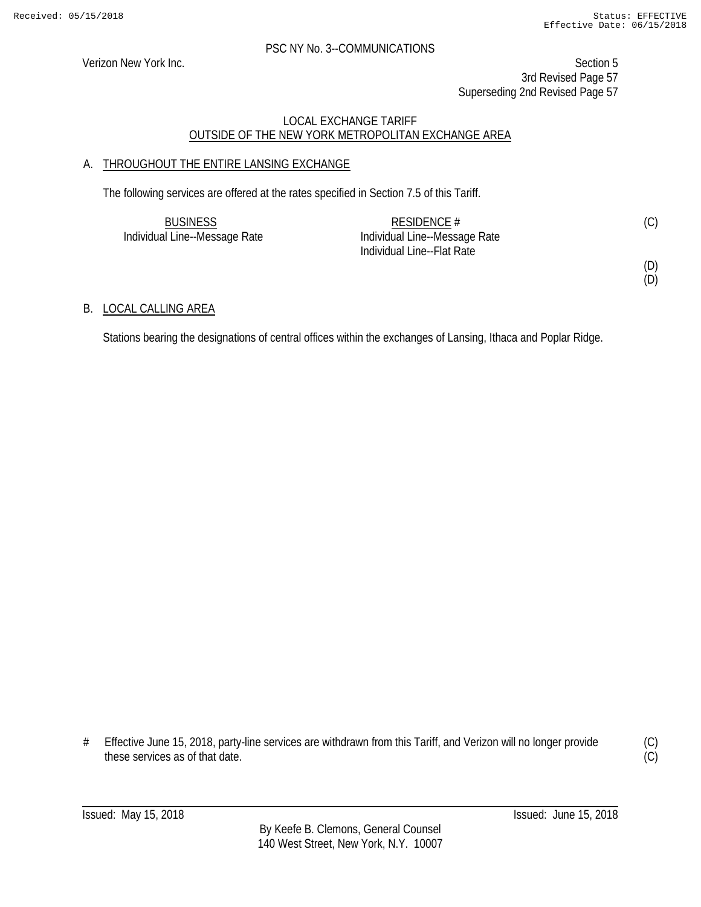Verizon New York Inc. Section 5 3rd Revised Page 57 Superseding 2nd Revised Page 57

#### LOCAL EXCHANGE TARIFF OUTSIDE OF THE NEW YORK METROPOLITAN EXCHANGE AREA

#### A. THROUGHOUT THE ENTIRE LANSING EXCHANGE

The following services are offered at the rates specified in Section 7.5 of this Tariff.

| <b>BUSINESS</b>               | RESIDENCE $#$                 |  |
|-------------------------------|-------------------------------|--|
| Individual Line--Message Rate | Individual Line--Message Rate |  |
|                               | Individual Line--Flat Rate    |  |

## (D)

(D)

#### B. LOCAL CALLING AREA

Stations bearing the designations of central offices within the exchanges of Lansing, Ithaca and Poplar Ridge.

# Effective June 15, 2018, party-line services are withdrawn from this Tariff, and Verizon will no longer provide these services as of that date.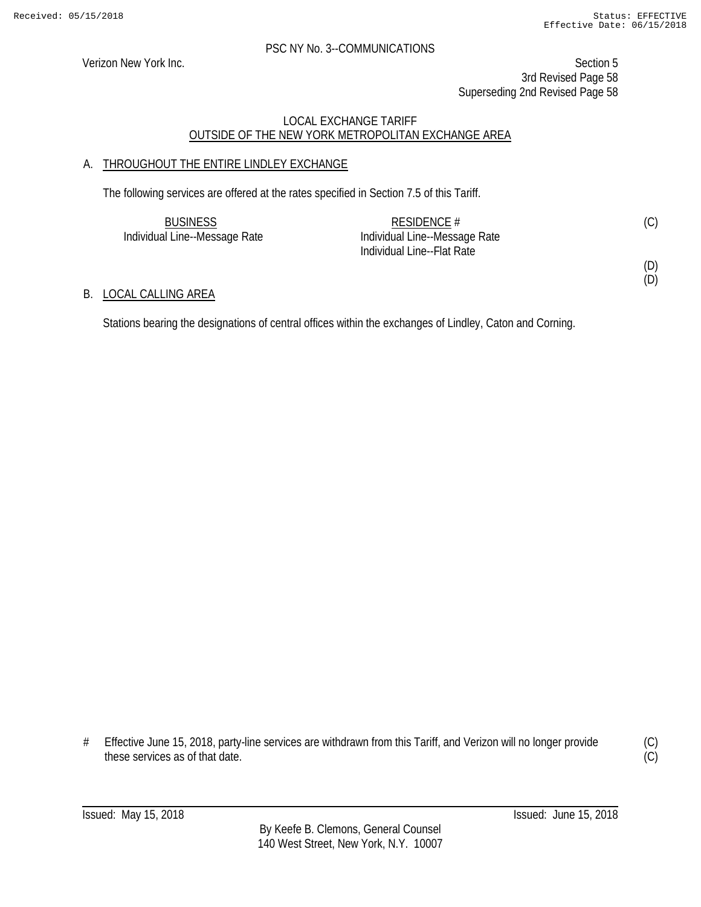(D)

#### PSC NY No. 3--COMMUNICATIONS

Verizon New York Inc. Section 5 3rd Revised Page 58 Superseding 2nd Revised Page 58

#### LOCAL EXCHANGE TARIFF OUTSIDE OF THE NEW YORK METROPOLITAN EXCHANGE AREA

#### A. THROUGHOUT THE ENTIRE LINDLEY EXCHANGE

The following services are offered at the rates specified in Section 7.5 of this Tariff.

| <b>BUSINESS</b>               | RESIDENCE $#$                 | (C) |
|-------------------------------|-------------------------------|-----|
| Individual Line--Message Rate | Individual Line--Message Rate |     |
|                               | Individual Line--Flat Rate    |     |
|                               |                               | (D) |

#### B. LOCAL CALLING AREA

Stations bearing the designations of central offices within the exchanges of Lindley, Caton and Corning.

# Effective June 15, 2018, party-line services are withdrawn from this Tariff, and Verizon will no longer provide these services as of that date.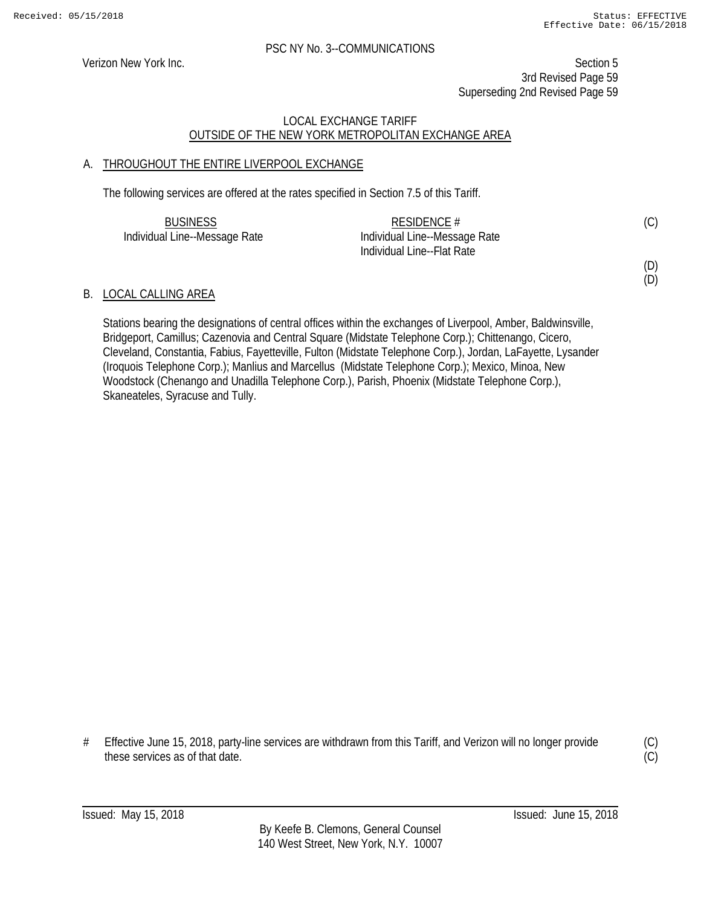#### PSC NY No. 3--COMMUNICATIONS

Verizon New York Inc. Section 5 3rd Revised Page 59 Superseding 2nd Revised Page 59

#### LOCAL EXCHANGE TARIFF OUTSIDE OF THE NEW YORK METROPOLITAN EXCHANGE AREA

#### A. THROUGHOUT THE ENTIRE LIVERPOOL EXCHANGE

The following services are offered at the rates specified in Section 7.5 of this Tariff.

| <b>BUSINESS</b>               | RESIDENCE $#$                 | (C) |
|-------------------------------|-------------------------------|-----|
| Individual Line--Message Rate | Individual Line--Message Rate |     |
|                               | Individual Line--Flat Rate    |     |

#### B. LOCAL CALLING AREA

Stations bearing the designations of central offices within the exchanges of Liverpool, Amber, Baldwinsville, Bridgeport, Camillus; Cazenovia and Central Square (Midstate Telephone Corp.); Chittenango, Cicero, Cleveland, Constantia, Fabius, Fayetteville, Fulton (Midstate Telephone Corp.), Jordan, LaFayette, Lysander (Iroquois Telephone Corp.); Manlius and Marcellus (Midstate Telephone Corp.); Mexico, Minoa, New Woodstock (Chenango and Unadilla Telephone Corp.), Parish, Phoenix (Midstate Telephone Corp.), Skaneateles, Syracuse and Tully.

# Effective June 15, 2018, party-line services are withdrawn from this Tariff, and Verizon will no longer provide these services as of that date.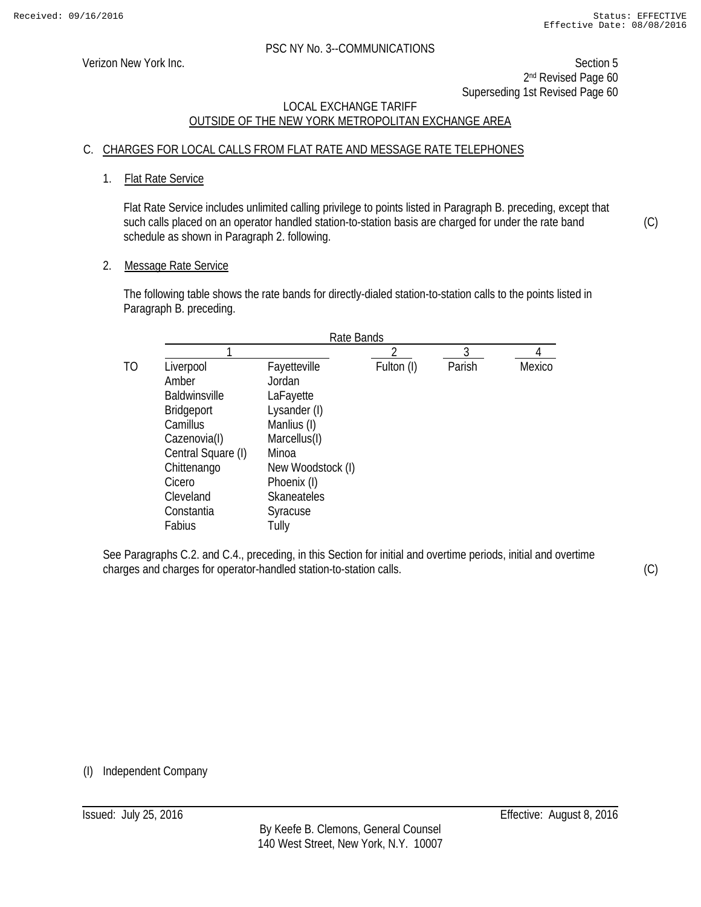Verizon New York Inc. Section 5 2<sup>nd</sup> Revised Page 60 Superseding 1st Revised Page 60

#### LOCAL EXCHANGE TARIFF OUTSIDE OF THE NEW YORK METROPOLITAN EXCHANGE AREA

#### C. CHARGES FOR LOCAL CALLS FROM FLAT RATE AND MESSAGE RATE TELEPHONES

#### 1. Flat Rate Service

Flat Rate Service includes unlimited calling privilege to points listed in Paragraph B. preceding, except that such calls placed on an operator handled station-to-station basis are charged for under the rate band schedule as shown in Paragraph 2. following.

#### 2. Message Rate Service

The following table shows the rate bands for directly-dialed station-to-station calls to the points listed in Paragraph B. preceding.

|                      | Rate Bands         |            |        |        |
|----------------------|--------------------|------------|--------|--------|
|                      |                    |            |        |        |
| Liverpool            | Fayetteville       | Fulton (I) | Parish | Mexico |
| Amber                | Jordan             |            |        |        |
| <b>Baldwinsville</b> | LaFayette          |            |        |        |
| <b>Bridgeport</b>    | Lysander (I)       |            |        |        |
| Camillus             | Manlius (I)        |            |        |        |
| Cazenovia(I)         | Marcellus(I)       |            |        |        |
| Central Square (I)   | Minoa              |            |        |        |
| Chittenango          | New Woodstock (I)  |            |        |        |
| Cicero               | Phoenix (I)        |            |        |        |
| Cleveland            | <b>Skaneateles</b> |            |        |        |
| Constantia           | Syracuse           |            |        |        |
| Fabius               | Tully              |            |        |        |

See Paragraphs C.2. and C.4., preceding, in this Section for initial and overtime periods, initial and overtime charges and charges for operator-handled station-to-station calls.

(C)

(C)

(I) Independent Company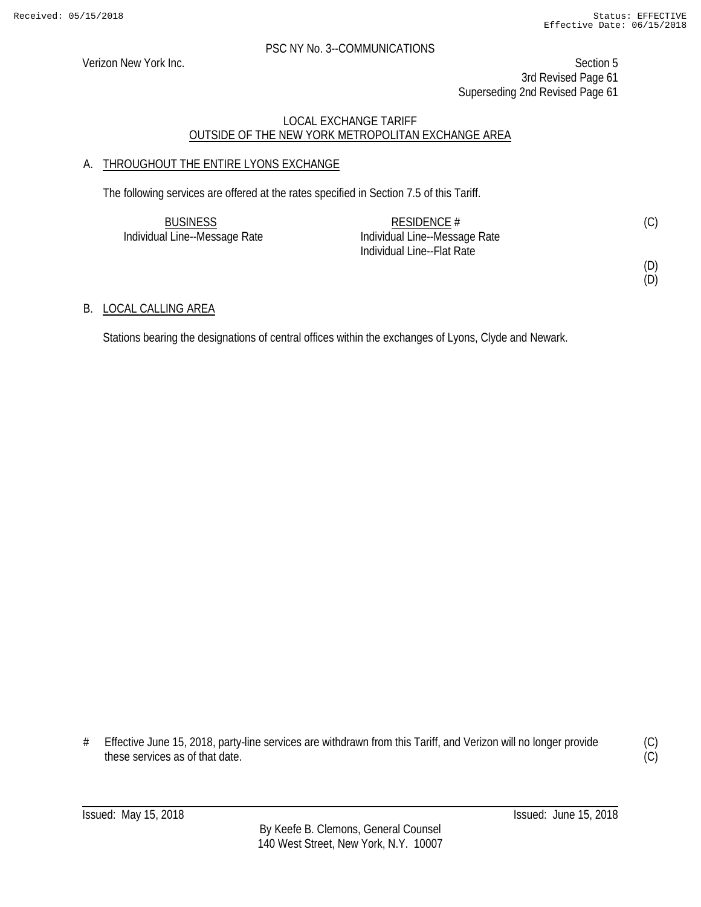Verizon New York Inc. Section 5 3rd Revised Page 61 Superseding 2nd Revised Page 61

#### LOCAL EXCHANGE TARIFF OUTSIDE OF THE NEW YORK METROPOLITAN EXCHANGE AREA

#### A. THROUGHOUT THE ENTIRE LYONS EXCHANGE

The following services are offered at the rates specified in Section 7.5 of this Tariff.

| <b>BUSINESS</b>               | RESIDENCE $#$                 | (C) |
|-------------------------------|-------------------------------|-----|
| Individual Line--Message Rate | Individual Line--Message Rate |     |
|                               | Individual Line--Flat Rate    |     |

#### (D) (D)

#### B. LOCAL CALLING AREA

Stations bearing the designations of central offices within the exchanges of Lyons, Clyde and Newark.

# Effective June 15, 2018, party-line services are withdrawn from this Tariff, and Verizon will no longer provide these services as of that date.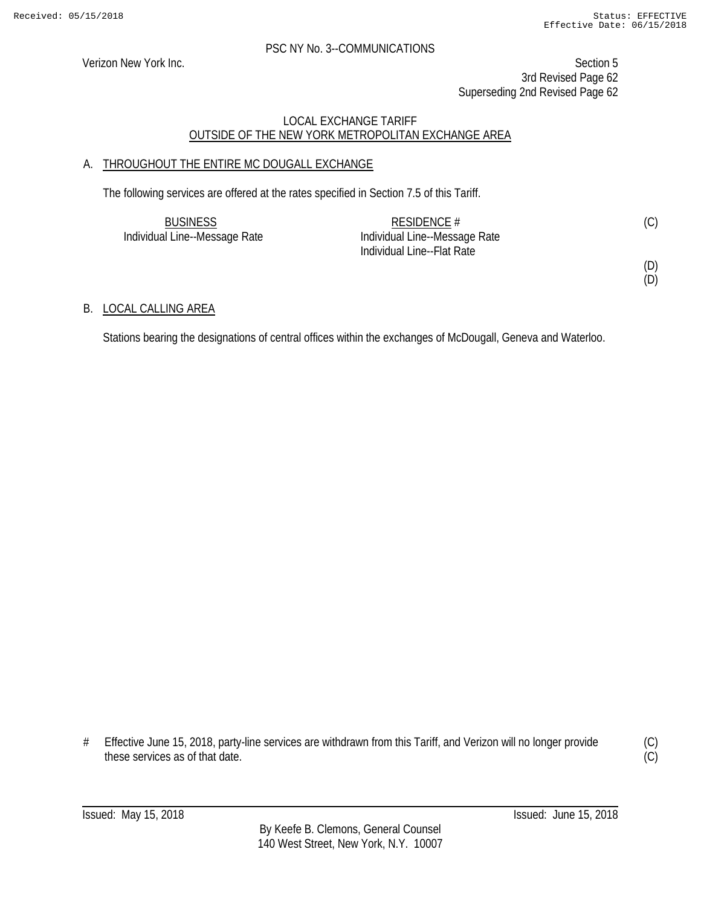Verizon New York Inc. Section 5 3rd Revised Page 62 Superseding 2nd Revised Page 62

#### LOCAL EXCHANGE TARIFF OUTSIDE OF THE NEW YORK METROPOLITAN EXCHANGE AREA

#### A. THROUGHOUT THE ENTIRE MC DOUGALL EXCHANGE

The following services are offered at the rates specified in Section 7.5 of this Tariff.

| <b>BUSINESS</b>               | RESIDENCE #                   | (C) |
|-------------------------------|-------------------------------|-----|
| Individual Line--Message Rate | Individual Line--Message Rate |     |
|                               | Individual Line--Flat Rate    |     |

(D)

# (D)

#### B. LOCAL CALLING AREA

Stations bearing the designations of central offices within the exchanges of McDougall, Geneva and Waterloo.

# Effective June 15, 2018, party-line services are withdrawn from this Tariff, and Verizon will no longer provide these services as of that date.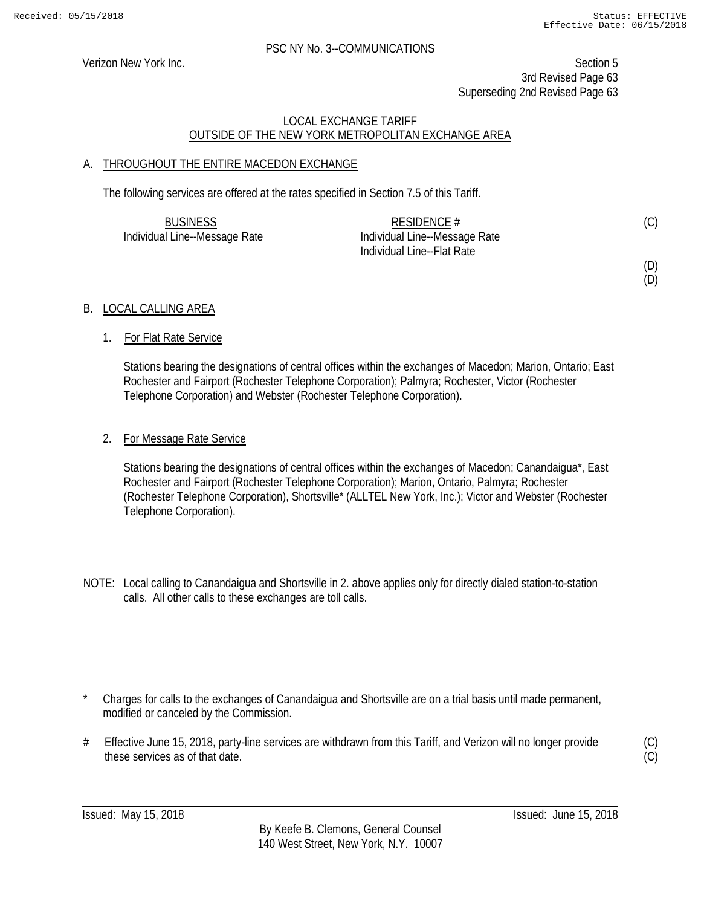Verizon New York Inc. Section 5 3rd Revised Page 63 Superseding 2nd Revised Page 63

#### LOCAL EXCHANGE TARIFF OUTSIDE OF THE NEW YORK METROPOLITAN EXCHANGE AREA

#### A. THROUGHOUT THE ENTIRE MACEDON EXCHANGE

The following services are offered at the rates specified in Section 7.5 of this Tariff.

| <b>BUSINESS</b>               | RESIDENCE $#$                 | (C) |
|-------------------------------|-------------------------------|-----|
| Individual Line--Message Rate | Individual Line--Message Rate |     |
|                               | Individual Line--Flat Rate    |     |

## (D) (D)

B. LOCAL CALLING AREA

#### 1. For Flat Rate Service

Stations bearing the designations of central offices within the exchanges of Macedon; Marion, Ontario; East Rochester and Fairport (Rochester Telephone Corporation); Palmyra; Rochester, Victor (Rochester Telephone Corporation) and Webster (Rochester Telephone Corporation).

#### 2. For Message Rate Service

Stations bearing the designations of central offices within the exchanges of Macedon; Canandaigua\*, East Rochester and Fairport (Rochester Telephone Corporation); Marion, Ontario, Palmyra; Rochester (Rochester Telephone Corporation), Shortsville\* (ALLTEL New York, Inc.); Victor and Webster (Rochester Telephone Corporation).

- NOTE: Local calling to Canandaigua and Shortsville in 2. above applies only for directly dialed station-to-station calls. All other calls to these exchanges are toll calls.
- Charges for calls to the exchanges of Canandaigua and Shortsville are on a trial basis until made permanent, modified or canceled by the Commission.
- # Effective June 15, 2018, party-line services are withdrawn from this Tariff, and Verizon will no longer provide these services as of that date.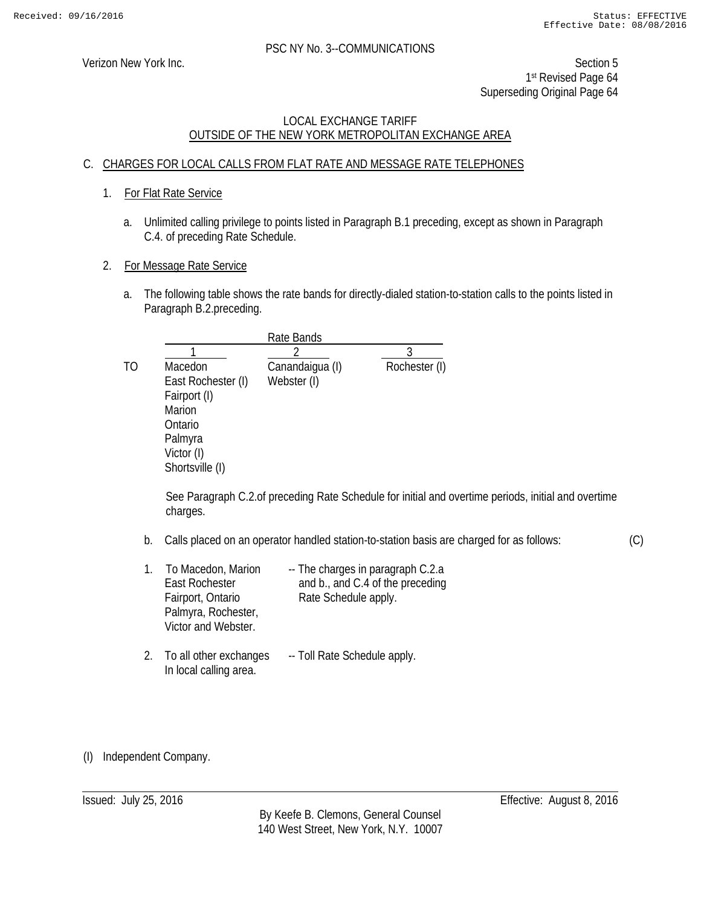Verizon New York Inc. Section 5 1st Revised Page 64 Superseding Original Page 64

#### LOCAL EXCHANGE TARIFF OUTSIDE OF THE NEW YORK METROPOLITAN EXCHANGE AREA

#### C. CHARGES FOR LOCAL CALLS FROM FLAT RATE AND MESSAGE RATE TELEPHONES

- 1. For Flat Rate Service
	- a. Unlimited calling privilege to points listed in Paragraph B.1 preceding, except as shown in Paragraph C.4. of preceding Rate Schedule.
- 2. For Message Rate Service
	- a. The following table shows the rate bands for directly-dialed station-to-station calls to the points listed in Paragraph B.2.preceding.

|    |                    | Rate Bands      |               |
|----|--------------------|-----------------|---------------|
|    |                    |                 |               |
| TO | Macedon            | Canandaigua (I) | Rochester (I) |
|    | East Rochester (I) | Webster (I)     |               |
|    | Fairport (I)       |                 |               |
|    | <b>Marion</b>      |                 |               |
|    | Ontario            |                 |               |
|    | Palmyra            |                 |               |
|    | Victor (I)         |                 |               |
|    | Shortsville (I)    |                 |               |

See Paragraph C.2.of preceding Rate Schedule for initial and overtime periods, initial and overtime charges.

b. Calls placed on an operator handled station-to-station basis are charged for as follows:

|  | (C) |
|--|-----|
|  |     |

| To Macedon, Marion<br>$1_{\cdot}$<br>East Rochester<br>Fairport, Ontario<br>Palmyra, Rochester,<br>Victor and Webster. | -- The charges in paragraph C.2.a<br>and b., and C.4 of the preceding<br>Rate Schedule apply. |
|------------------------------------------------------------------------------------------------------------------------|-----------------------------------------------------------------------------------------------|
|------------------------------------------------------------------------------------------------------------------------|-----------------------------------------------------------------------------------------------|

- 2. To all other exchanges -- Toll Rate Schedule apply. In local calling area.
- (I) Independent Company.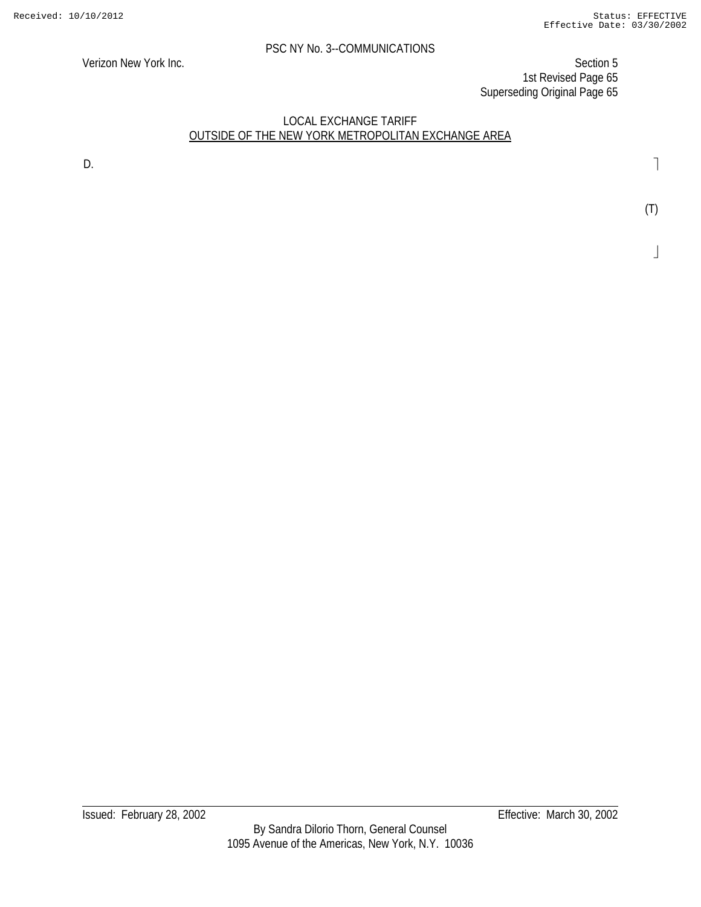Verizon New York Inc. Section 5 1st Revised Page 65 Superseding Original Page 65

#### LOCAL EXCHANGE TARIFF OUTSIDE OF THE NEW YORK METROPOLITAN EXCHANGE AREA

D.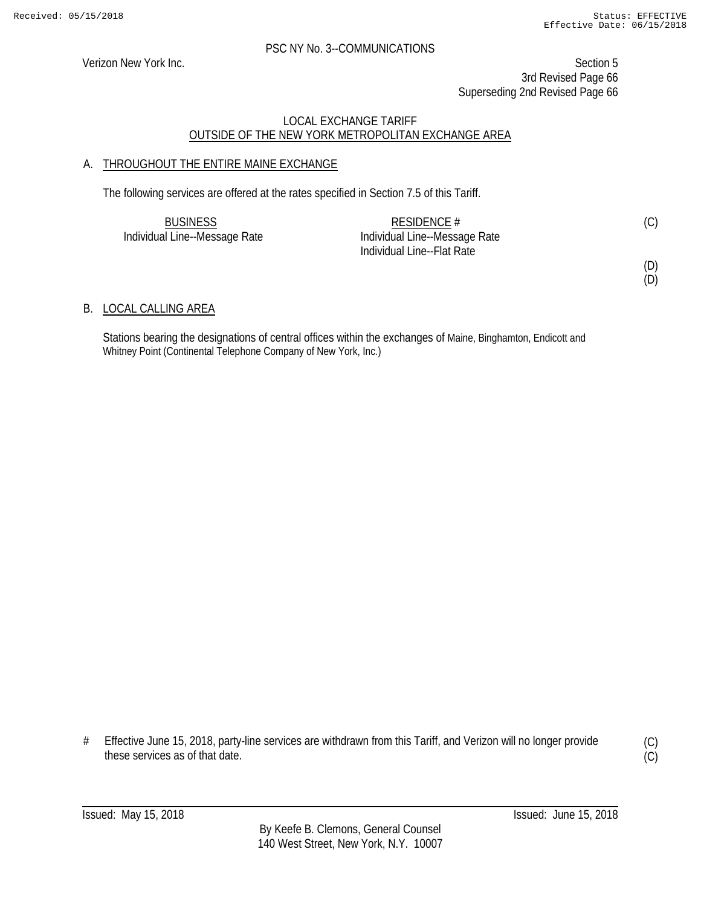#### PSC NY No. 3--COMMUNICATIONS

Verizon New York Inc. Section 5 3rd Revised Page 66 Superseding 2nd Revised Page 66

#### LOCAL EXCHANGE TARIFF OUTSIDE OF THE NEW YORK METROPOLITAN EXCHANGE AREA

#### A. THROUGHOUT THE ENTIRE MAINE EXCHANGE

The following services are offered at the rates specified in Section 7.5 of this Tariff.

| <b>BUSINESS</b>               | RESIDENCE $#$                 |  |
|-------------------------------|-------------------------------|--|
| Individual Line--Message Rate | Individual Line--Message Rate |  |
|                               | Individual Line--Flat Rate    |  |

B. LOCAL CALLING AREA

Stations bearing the designations of central offices within the exchanges of Maine, Binghamton, Endicott and Whitney Point (Continental Telephone Company of New York, Inc.)

# Effective June 15, 2018, party-line services are withdrawn from this Tariff, and Verizon will no longer provide these services as of that date.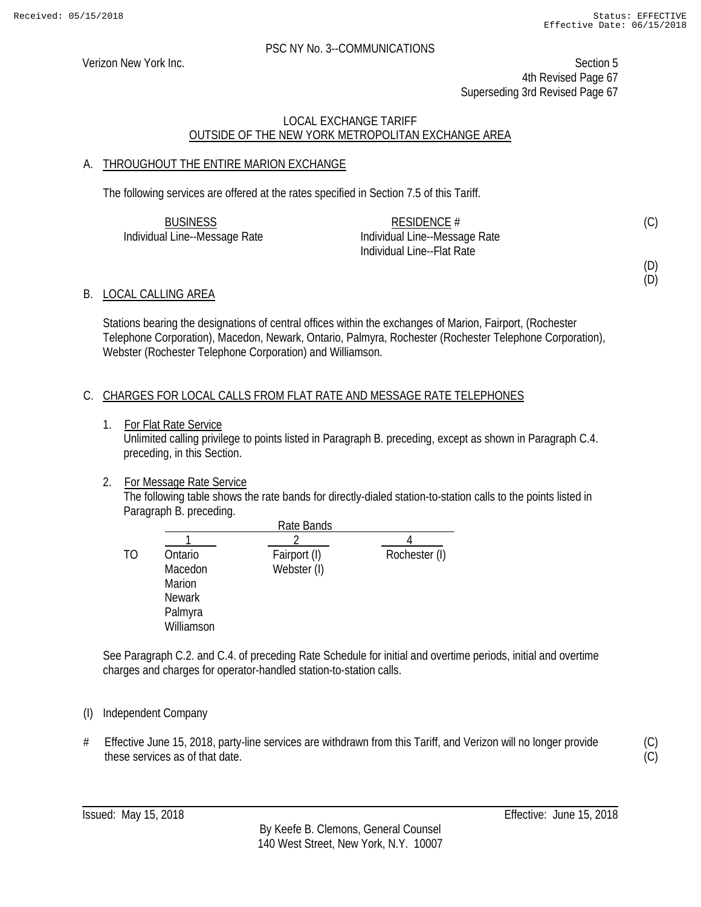#### PSC NY No. 3--COMMUNICATIONS

Verizon New York Inc. Section 5 4th Revised Page 67 Superseding 3rd Revised Page 67

#### LOCAL EXCHANGE TARIFF OUTSIDE OF THE NEW YORK METROPOLITAN EXCHANGE AREA

#### A. THROUGHOUT THE ENTIRE MARION EXCHANGE

The following services are offered at the rates specified in Section 7.5 of this Tariff.

| <b>BUSINESS</b>               | RESIDENCE $#$                 | (C) |
|-------------------------------|-------------------------------|-----|
| Individual Line--Message Rate | Individual Line--Message Rate |     |
|                               | Individual Line--Flat Rate    |     |

B. LOCAL CALLING AREA

Stations bearing the designations of central offices within the exchanges of Marion, Fairport, (Rochester Telephone Corporation), Macedon, Newark, Ontario, Palmyra, Rochester (Rochester Telephone Corporation), Webster (Rochester Telephone Corporation) and Williamson.

#### C. CHARGES FOR LOCAL CALLS FROM FLAT RATE AND MESSAGE RATE TELEPHONES

1. For Flat Rate Service

Unlimited calling privilege to points listed in Paragraph B. preceding, except as shown in Paragraph C.4. preceding, in this Section.

#### 2. For Message Rate Service

The following table shows the rate bands for directly-dialed station-to-station calls to the points listed in Paragraph B. preceding.

|               | Rate Bands   |               |
|---------------|--------------|---------------|
|               |              |               |
| Ontario       | Fairport (I) | Rochester (I) |
| Macedon       | Webster (I)  |               |
| Marion        |              |               |
| <b>Newark</b> |              |               |
| Palmyra       |              |               |
| Williamson    |              |               |
|               |              |               |

See Paragraph C.2. and C.4. of preceding Rate Schedule for initial and overtime periods, initial and overtime charges and charges for operator-handled station-to-station calls.

#### (I) Independent Company

# Effective June 15, 2018, party-line services are withdrawn from this Tariff, and Verizon will no longer provide these services as of that date.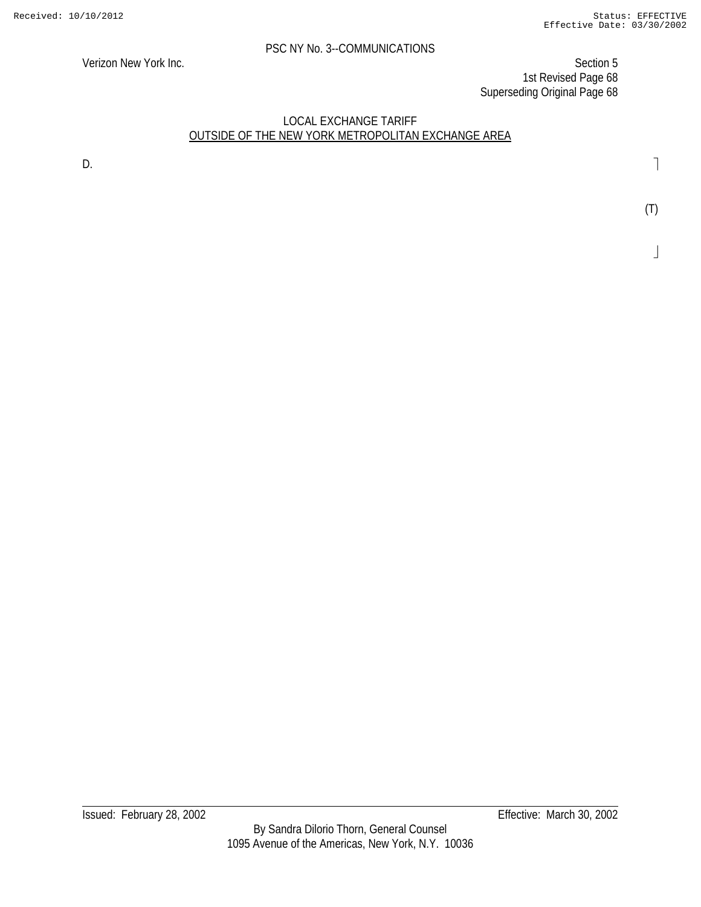Verizon New York Inc. Section 5 1st Revised Page 68 Superseding Original Page 68

#### LOCAL EXCHANGE TARIFF OUTSIDE OF THE NEW YORK METROPOLITAN EXCHANGE AREA

D. **D. Example 1 D. Contract 2 D. Contract 2 D. Contract 2 D. Contract 2 D. Contract 2 D. Contract 2 Contract 2 Contract 2 Contract 2 Contract 2 Contract 2 Contract 2 Contract 2 Co**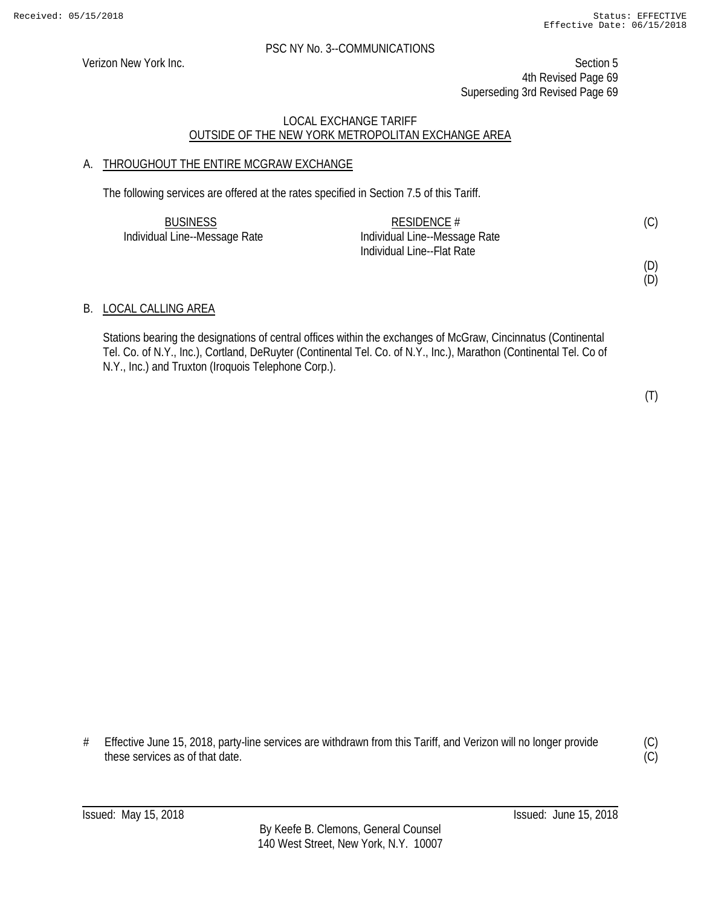Verizon New York Inc. Section 5 4th Revised Page 69 Superseding 3rd Revised Page 69

#### LOCAL EXCHANGE TARIFF OUTSIDE OF THE NEW YORK METROPOLITAN EXCHANGE AREA

#### A. THROUGHOUT THE ENTIRE MCGRAW EXCHANGE

The following services are offered at the rates specified in Section 7.5 of this Tariff.

| <b>BUSINESS</b>               | RESIDENCE $#$                 | (C) |
|-------------------------------|-------------------------------|-----|
| Individual Line--Message Rate | Individual Line--Message Rate |     |
|                               | Individual Line--Flat Rate    |     |

(D)

(D)

#### B. LOCAL CALLING AREA

Stations bearing the designations of central offices within the exchanges of McGraw, Cincinnatus (Continental Tel. Co. of N.Y., Inc.), Cortland, DeRuyter (Continental Tel. Co. of N.Y., Inc.), Marathon (Continental Tel. Co of N.Y., Inc.) and Truxton (Iroquois Telephone Corp.).

(T)

# Effective June 15, 2018, party-line services are withdrawn from this Tariff, and Verizon will no longer provide these services as of that date.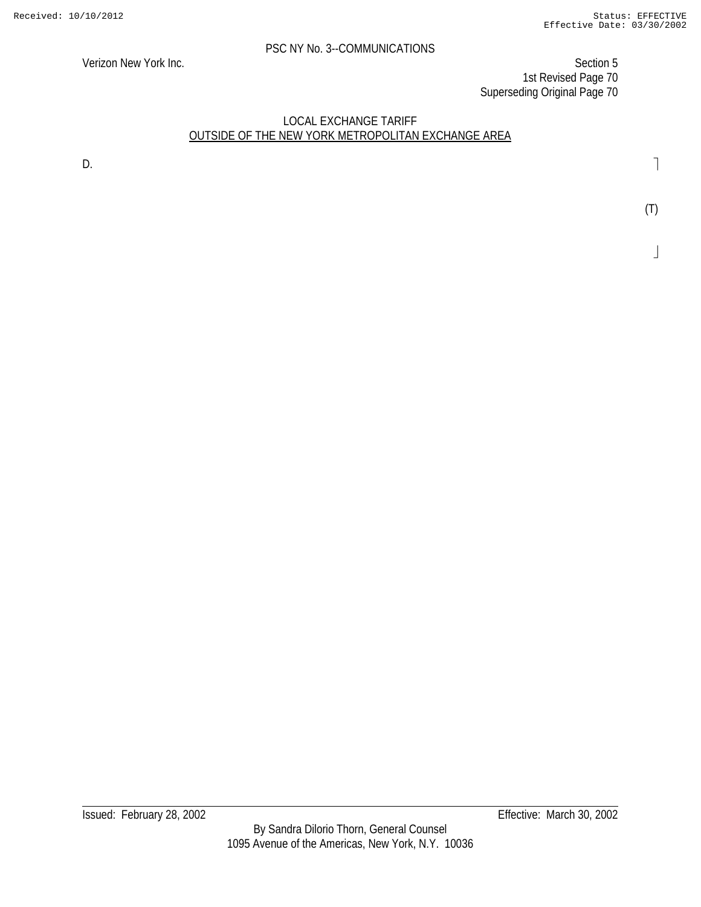Verizon New York Inc. Section 5 1st Revised Page 70 Superseding Original Page 70

#### LOCAL EXCHANGE TARIFF OUTSIDE OF THE NEW YORK METROPOLITAN EXCHANGE AREA

D. **D. Example 1 D. Contract 2 D. Contract 2 D. Contract 2 D. Contract 2 D. Contract 2 D. Contract 2 Contract 2 Contract 2 Contract 2 Contract 2 Contract 2 Contract 2 Contract 2 Co** 

(T)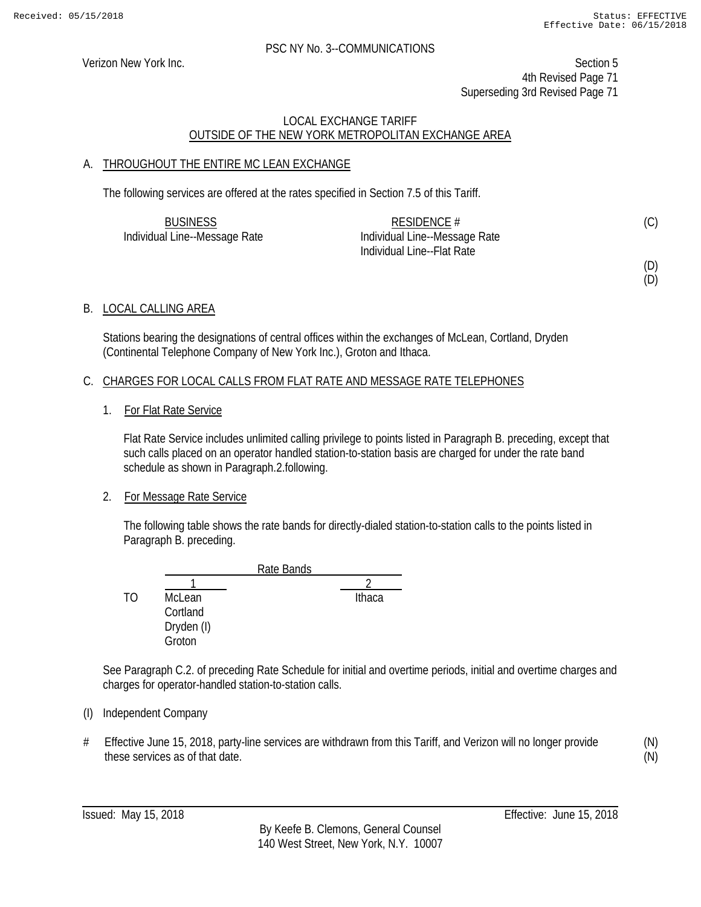Verizon New York Inc. Section 5 4th Revised Page 71 Superseding 3rd Revised Page 71

#### LOCAL EXCHANGE TARIFF OUTSIDE OF THE NEW YORK METROPOLITAN EXCHANGE AREA

#### A. THROUGHOUT THE ENTIRE MC LEAN EXCHANGE

The following services are offered at the rates specified in Section 7.5 of this Tariff.

| <b>BUSINESS</b>               | RESIDENCE $#$                 |  |
|-------------------------------|-------------------------------|--|
| Individual Line--Message Rate | Individual Line--Message Rate |  |
|                               | Individual Line--Flat Rate    |  |

(D) (D)

#### B. LOCAL CALLING AREA

Stations bearing the designations of central offices within the exchanges of McLean, Cortland, Dryden (Continental Telephone Company of New York Inc.), Groton and Ithaca.

#### C. CHARGES FOR LOCAL CALLS FROM FLAT RATE AND MESSAGE RATE TELEPHONES

1. For Flat Rate Service

Flat Rate Service includes unlimited calling privilege to points listed in Paragraph B. preceding, except that such calls placed on an operator handled station-to-station basis are charged for under the rate band schedule as shown in Paragraph.2.following.

#### 2. For Message Rate Service

The following table shows the rate bands for directly-dialed station-to-station calls to the points listed in Paragraph B. preceding.

|    |            | Rate Bands |
|----|------------|------------|
|    |            |            |
| TΩ | McLean     | Ithaca     |
|    | Cortland   |            |
|    | Dryden (I) |            |
|    | Groton     |            |

See Paragraph C.2. of preceding Rate Schedule for initial and overtime periods, initial and overtime charges and charges for operator-handled station-to-station calls.

#### (I) Independent Company

# Effective June 15, 2018, party-line services are withdrawn from this Tariff, and Verizon will no longer provide these services as of that date.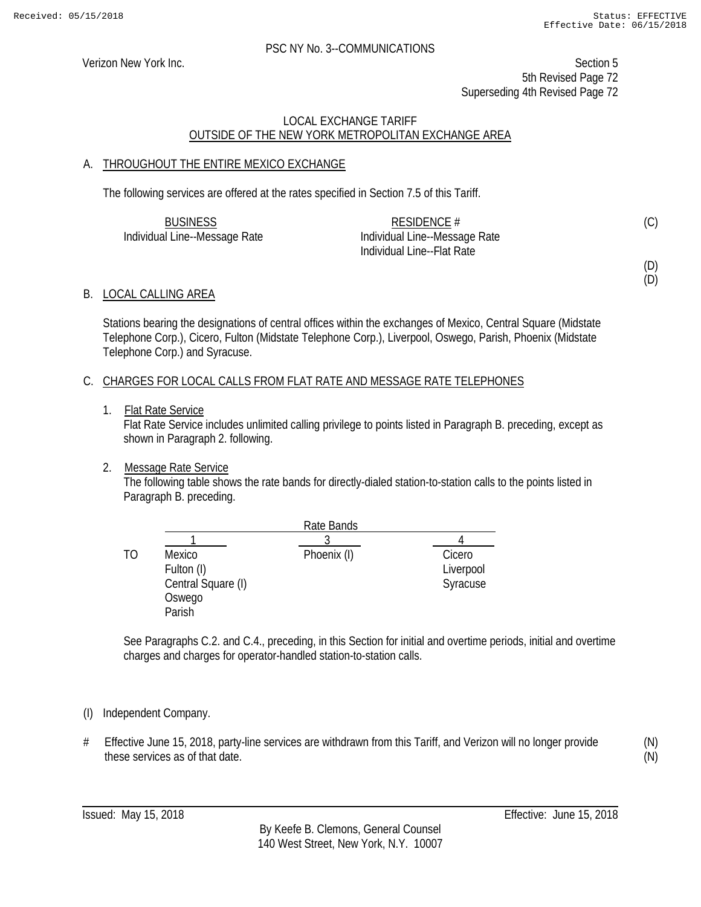Verizon New York Inc. Section 5 5th Revised Page 72 Superseding 4th Revised Page 72

#### LOCAL EXCHANGE TARIFF OUTSIDE OF THE NEW YORK METROPOLITAN EXCHANGE AREA

#### A. THROUGHOUT THE ENTIRE MEXICO EXCHANGE

The following services are offered at the rates specified in Section 7.5 of this Tariff.

| <b>BUSINESS</b>               | RESIDENCE $#$                 | (C) |
|-------------------------------|-------------------------------|-----|
| Individual Line--Message Rate | Individual Line--Message Rate |     |
|                               | Individual Line--Flat Rate    |     |

(D)

### (D)

#### B. LOCAL CALLING AREA

Stations bearing the designations of central offices within the exchanges of Mexico, Central Square (Midstate Telephone Corp.), Cicero, Fulton (Midstate Telephone Corp.), Liverpool, Oswego, Parish, Phoenix (Midstate Telephone Corp.) and Syracuse.

#### C. CHARGES FOR LOCAL CALLS FROM FLAT RATE AND MESSAGE RATE TELEPHONES

1. Flat Rate Service

Flat Rate Service includes unlimited calling privilege to points listed in Paragraph B. preceding, except as shown in Paragraph 2. following.

#### 2. Message Rate Service

The following table shows the rate bands for directly-dialed station-to-station calls to the points listed in Paragraph B. preceding.

|    |                    | Rate Bands  |           |
|----|--------------------|-------------|-----------|
|    |                    |             |           |
| TΟ | Mexico             | Phoenix (I) | Cicero    |
|    | Fulton (I)         |             | Liverpool |
|    | Central Square (I) |             | Syracuse  |
|    | Oswego             |             |           |
|    | Parish             |             |           |

See Paragraphs C.2. and C.4., preceding, in this Section for initial and overtime periods, initial and overtime charges and charges for operator-handled station-to-station calls.

#### (I) Independent Company.

# Effective June 15, 2018, party-line services are withdrawn from this Tariff, and Verizon will no longer provide these services as of that date.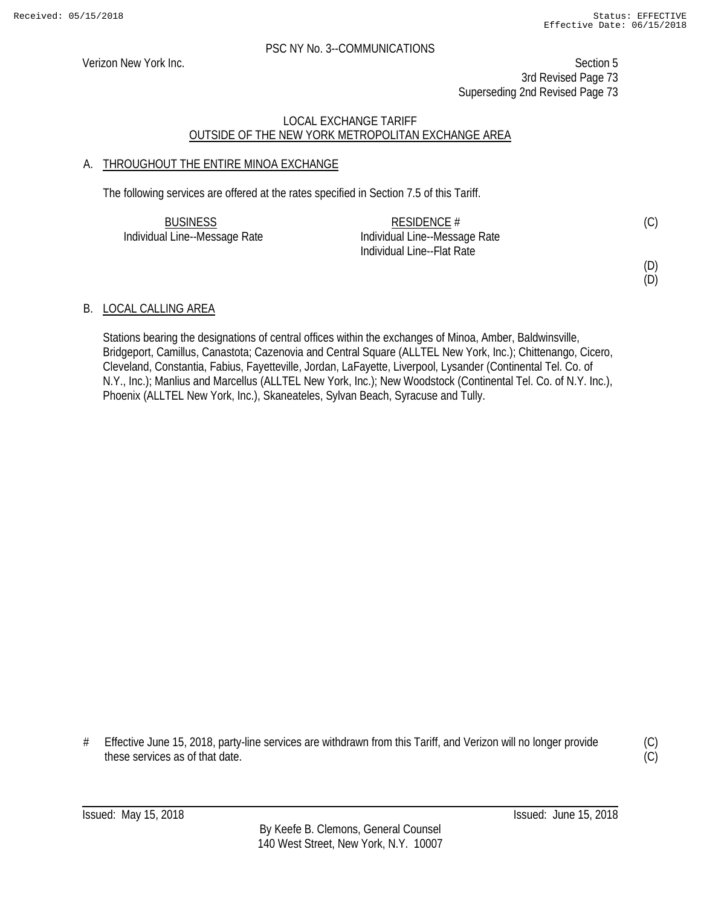Verizon New York Inc. Section 5 3rd Revised Page 73 Superseding 2nd Revised Page 73

# LOCAL EXCHANGE TARIFF OUTSIDE OF THE NEW YORK METROPOLITAN EXCHANGE AREA

# A. THROUGHOUT THE ENTIRE MINOA EXCHANGE

The following services are offered at the rates specified in Section 7.5 of this Tariff.

| <b>BUSINESS</b>               | RESIDENCE $#$                 |  |
|-------------------------------|-------------------------------|--|
| Individual Line--Message Rate | Individual Line--Message Rate |  |
|                               | Individual Line--Flat Rate    |  |

# (D)

(D)

# B. LOCAL CALLING AREA

Stations bearing the designations of central offices within the exchanges of Minoa, Amber, Baldwinsville, Bridgeport, Camillus, Canastota; Cazenovia and Central Square (ALLTEL New York, Inc.); Chittenango, Cicero, Cleveland, Constantia, Fabius, Fayetteville, Jordan, LaFayette, Liverpool, Lysander (Continental Tel. Co. of N.Y., Inc.); Manlius and Marcellus (ALLTEL New York, Inc.); New Woodstock (Continental Tel. Co. of N.Y. Inc.), Phoenix (ALLTEL New York, Inc.), Skaneateles, Sylvan Beach, Syracuse and Tully.

# Effective June 15, 2018, party-line services are withdrawn from this Tariff, and Verizon will no longer provide these services as of that date.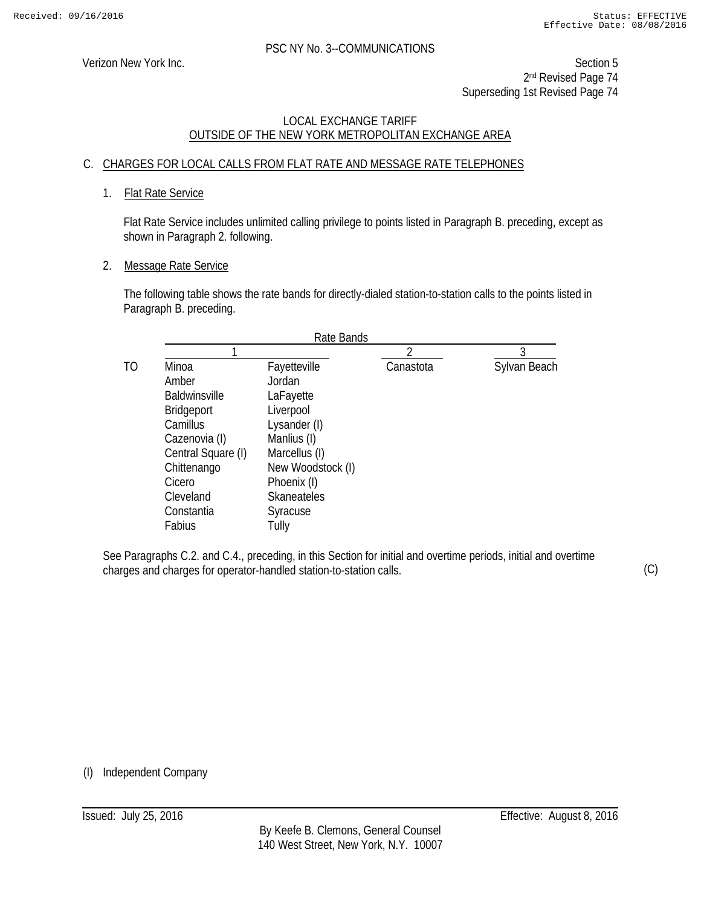Verizon New York Inc. Section 5 2nd Revised Page 74 Superseding 1st Revised Page 74

# LOCAL EXCHANGE TARIFF OUTSIDE OF THE NEW YORK METROPOLITAN EXCHANGE AREA

# C. CHARGES FOR LOCAL CALLS FROM FLAT RATE AND MESSAGE RATE TELEPHONES

# 1. Flat Rate Service

Flat Rate Service includes unlimited calling privilege to points listed in Paragraph B. preceding, except as shown in Paragraph 2. following.

#### 2. Message Rate Service

The following table shows the rate bands for directly-dialed station-to-station calls to the points listed in Paragraph B. preceding.

|                      | Rate Bands         |           |              |
|----------------------|--------------------|-----------|--------------|
|                      |                    |           | 3            |
| Minoa                | Fayetteville       | Canastota | Sylvan Beach |
| Amber                | Jordan             |           |              |
| <b>Baldwinsville</b> | LaFayette          |           |              |
| <b>Bridgeport</b>    | Liverpool          |           |              |
| Camillus             | Lysander (I)       |           |              |
| Cazenovia (I)        | Manlius (I)        |           |              |
| Central Square (I)   | Marcellus (I)      |           |              |
| Chittenango          | New Woodstock (I)  |           |              |
| Cicero               | Phoenix (I)        |           |              |
| Cleveland            | <b>Skaneateles</b> |           |              |
| Constantia           | Syracuse           |           |              |
| Fabius               | Tully              |           |              |

See Paragraphs C.2. and C.4., preceding, in this Section for initial and overtime periods, initial and overtime charges and charges for operator-handled station-to-station calls.

(C)

(I) Independent Company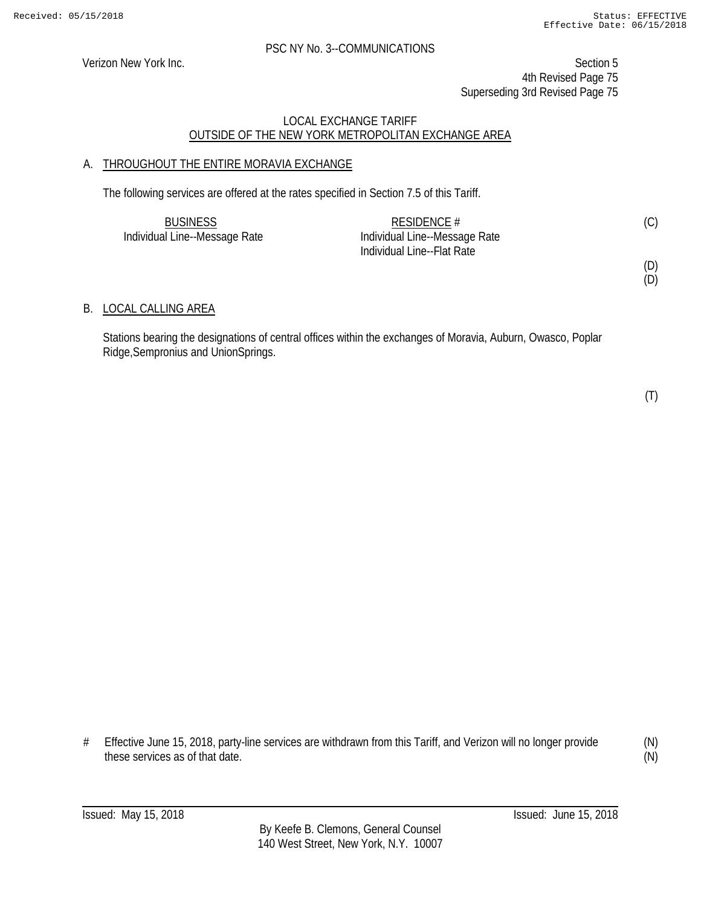Verizon New York Inc. Section 5 4th Revised Page 75 Superseding 3rd Revised Page 75

# LOCAL EXCHANGE TARIFF OUTSIDE OF THE NEW YORK METROPOLITAN EXCHANGE AREA

# A. THROUGHOUT THE ENTIRE MORAVIA EXCHANGE

The following services are offered at the rates specified in Section 7.5 of this Tariff.

| <b>BUSINESS</b>               | RESIDENCE $#$                 | (C) |
|-------------------------------|-------------------------------|-----|
| Individual Line--Message Rate | Individual Line--Message Rate |     |
|                               | Individual Line--Flat Rate    |     |

# B. LOCAL CALLING AREA

Stations bearing the designations of central offices within the exchanges of Moravia, Auburn, Owasco, Poplar Ridge,Sempronius and UnionSprings.

(T)

(D) (D)

# Effective June 15, 2018, party-line services are withdrawn from this Tariff, and Verizon will no longer provide these services as of that date.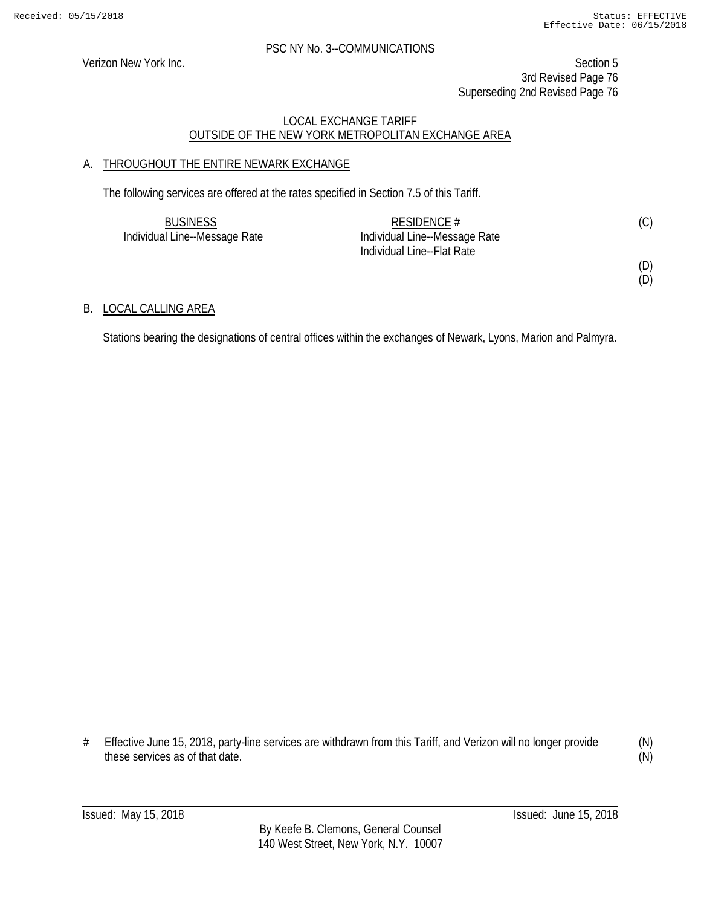Verizon New York Inc. Section 5 3rd Revised Page 76 Superseding 2nd Revised Page 76

# LOCAL EXCHANGE TARIFF OUTSIDE OF THE NEW YORK METROPOLITAN EXCHANGE AREA

# A. THROUGHOUT THE ENTIRE NEWARK EXCHANGE

The following services are offered at the rates specified in Section 7.5 of this Tariff.

| <b>BUSINESS</b>               | RESIDENCE #                   |  |
|-------------------------------|-------------------------------|--|
| Individual Line--Message Rate | Individual Line--Message Rate |  |
|                               | Individual Line--Flat Rate    |  |

(D)

(D)

# B. LOCAL CALLING AREA

Stations bearing the designations of central offices within the exchanges of Newark, Lyons, Marion and Palmyra.

# Effective June 15, 2018, party-line services are withdrawn from this Tariff, and Verizon will no longer provide these services as of that date.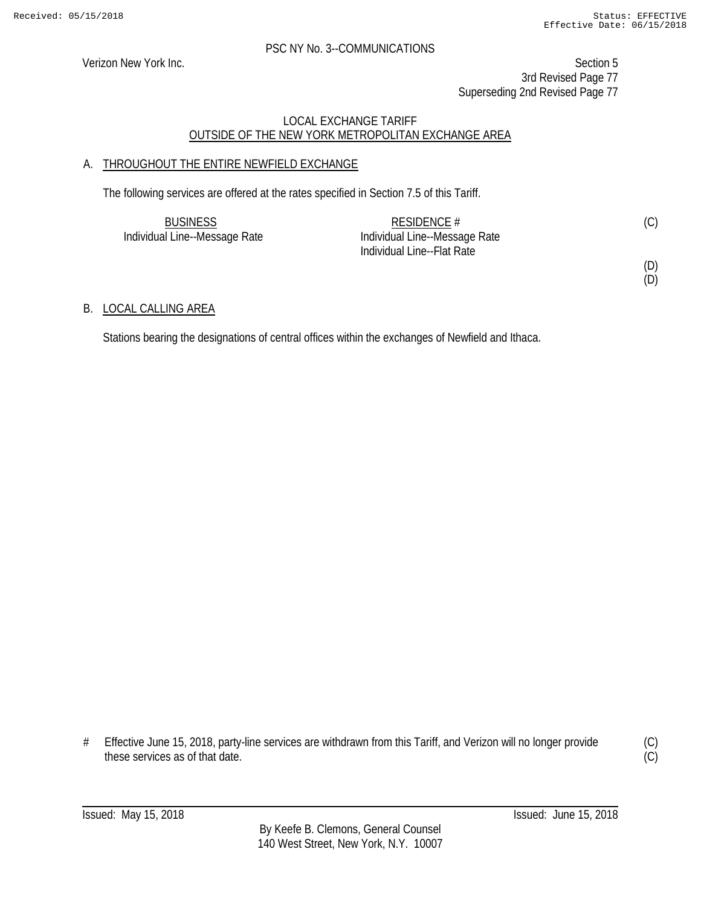(D)

#### PSC NY No. 3--COMMUNICATIONS

Verizon New York Inc. Section 5 3rd Revised Page 77 Superseding 2nd Revised Page 77

# LOCAL EXCHANGE TARIFF OUTSIDE OF THE NEW YORK METROPOLITAN EXCHANGE AREA

# A. THROUGHOUT THE ENTIRE NEWFIELD EXCHANGE

The following services are offered at the rates specified in Section 7.5 of this Tariff.

| <b>BUSINESS</b>               | RESIDENCE $#$                 | (C) |
|-------------------------------|-------------------------------|-----|
| Individual Line--Message Rate | Individual Line--Message Rate |     |
|                               | Individual Line--Flat Rate    |     |
|                               |                               | (D) |

# B. LOCAL CALLING AREA

Stations bearing the designations of central offices within the exchanges of Newfield and Ithaca.

# Effective June 15, 2018, party-line services are withdrawn from this Tariff, and Verizon will no longer provide these services as of that date.

(C)  $\overline{C}$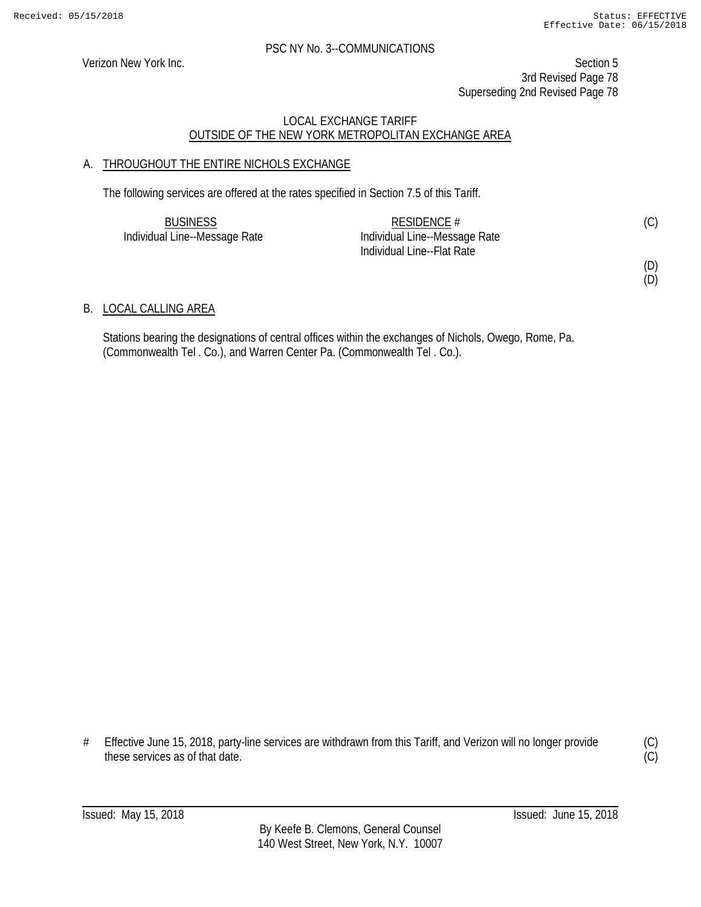(D) (D)

#### PSC NY No. 3--COMMUNICATIONS

Verizon New York Inc. Section 5 3rd Revised Page 78 Superseding 2nd Revised Page 78

# LOCAL EXCHANGE TARIFF OUTSIDE OF THE NEW YORK METROPOLITAN EXCHANGE AREA

# A. THROUGHOUT THE ENTIRE NICHOLS EXCHANGE

The following services are offered at the rates specified in Section 7.5 of this Tariff.

| <b>BUSINESS</b>               | RESIDENCE $#$                 | (C) |
|-------------------------------|-------------------------------|-----|
| Individual Line--Message Rate | Individual Line--Message Rate |     |
|                               | Individual Line--Flat Rate    |     |

B. LOCAL CALLING AREA

Stations bearing the designations of central offices within the exchanges of Nichols, Owego, Rome, Pa. (Commonwealth Tel . Co.), and Warren Center Pa. (Commonwealth Tel . Co.).

# Effective June 15, 2018, party-line services are withdrawn from this Tariff, and Verizon will no longer provide these services as of that date.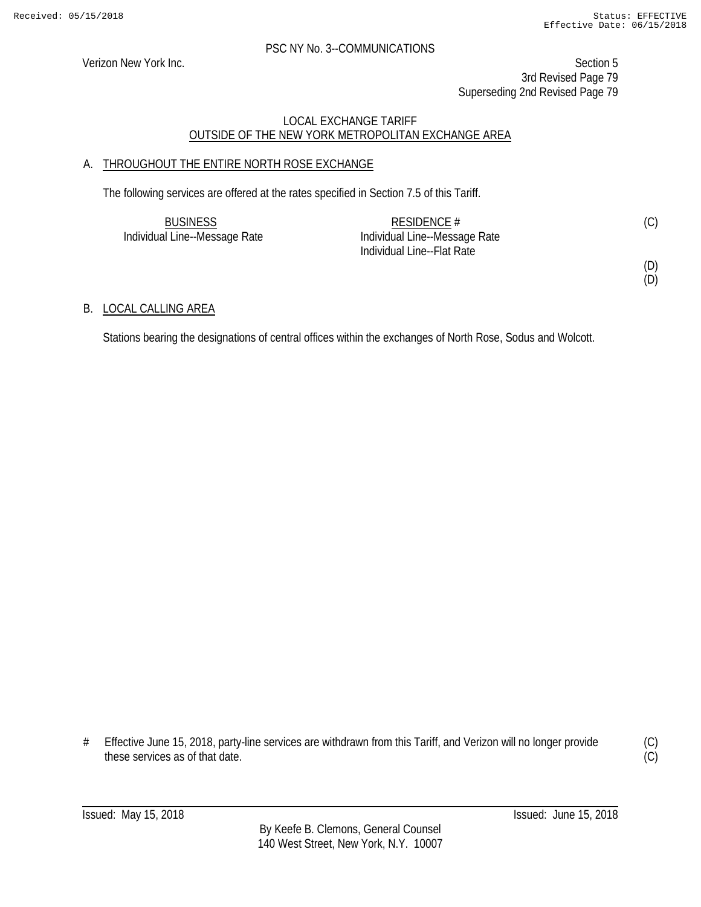Verizon New York Inc. Section 5 3rd Revised Page 79 Superseding 2nd Revised Page 79

# LOCAL EXCHANGE TARIFF OUTSIDE OF THE NEW YORK METROPOLITAN EXCHANGE AREA

# A. THROUGHOUT THE ENTIRE NORTH ROSE EXCHANGE

The following services are offered at the rates specified in Section 7.5 of this Tariff.

| <b>BUSINESS</b>               | RESIDENCE #                   | (C) |
|-------------------------------|-------------------------------|-----|
| Individual Line--Message Rate | Individual Line--Message Rate |     |
|                               | Individual Line--Flat Rate    |     |

(D)

(D)

# B. LOCAL CALLING AREA

Stations bearing the designations of central offices within the exchanges of North Rose, Sodus and Wolcott.

# Effective June 15, 2018, party-line services are withdrawn from this Tariff, and Verizon will no longer provide these services as of that date.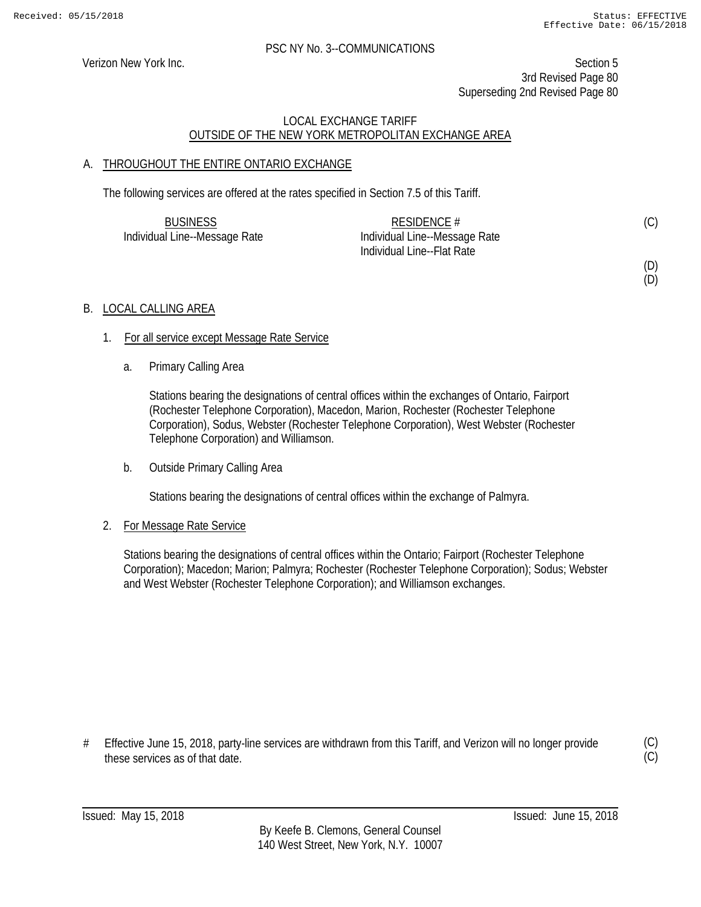(D) (D)

### PSC NY No. 3--COMMUNICATIONS

Verizon New York Inc. Section 5 3rd Revised Page 80 Superseding 2nd Revised Page 80

# LOCAL EXCHANGE TARIFF OUTSIDE OF THE NEW YORK METROPOLITAN EXCHANGE AREA

# A. THROUGHOUT THE ENTIRE ONTARIO EXCHANGE

The following services are offered at the rates specified in Section 7.5 of this Tariff.

| <b>BUSINESS</b>               | RESIDENCE $#$                 | (C) |
|-------------------------------|-------------------------------|-----|
| Individual Line--Message Rate | Individual Line--Message Rate |     |
|                               | Individual Line--Flat Rate    |     |

B. LOCAL CALLING AREA

- 1. For all service except Message Rate Service
	- a. Primary Calling Area

Stations bearing the designations of central offices within the exchanges of Ontario, Fairport (Rochester Telephone Corporation), Macedon, Marion, Rochester (Rochester Telephone Corporation), Sodus, Webster (Rochester Telephone Corporation), West Webster (Rochester Telephone Corporation) and Williamson.

b. Outside Primary Calling Area

Stations bearing the designations of central offices within the exchange of Palmyra.

#### 2. For Message Rate Service

Stations bearing the designations of central offices within the Ontario; Fairport (Rochester Telephone Corporation); Macedon; Marion; Palmyra; Rochester (Rochester Telephone Corporation); Sodus; Webster and West Webster (Rochester Telephone Corporation); and Williamson exchanges.

# Effective June 15, 2018, party-line services are withdrawn from this Tariff, and Verizon will no longer provide these services as of that date.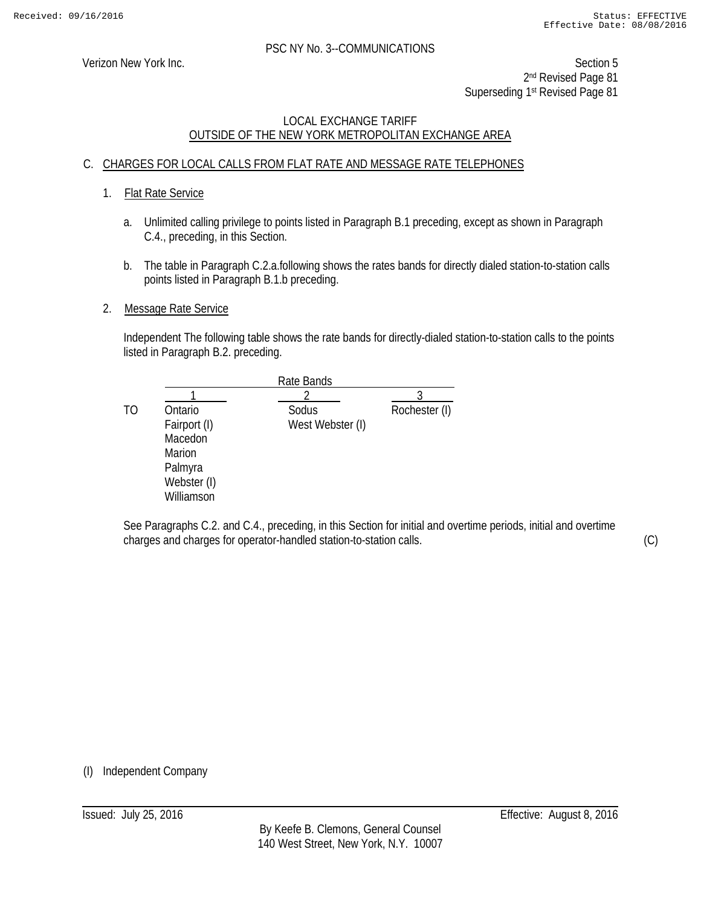Verizon New York Inc. Section 5 2<sup>nd</sup> Revised Page 81 Superseding 1st Revised Page 81

# LOCAL EXCHANGE TARIFF OUTSIDE OF THE NEW YORK METROPOLITAN EXCHANGE AREA

# C. CHARGES FOR LOCAL CALLS FROM FLAT RATE AND MESSAGE RATE TELEPHONES

# 1. Flat Rate Service

- a. Unlimited calling privilege to points listed in Paragraph B.1 preceding, except as shown in Paragraph C.4., preceding, in this Section.
- b. The table in Paragraph C.2.a.following shows the rates bands for directly dialed station-to-station calls points listed in Paragraph B.1.b preceding.

### 2. Message Rate Service

Independent The following table shows the rate bands for directly-dialed station-to-station calls to the points listed in Paragraph B.2. preceding.

|    |              | Rate Bands       |               |
|----|--------------|------------------|---------------|
|    |              |                  |               |
| TO | Ontario      | Sodus            | Rochester (I) |
|    | Fairport (I) | West Webster (I) |               |
|    | Macedon      |                  |               |
|    | Marion       |                  |               |
|    | Palmyra      |                  |               |
|    | Webster (I)  |                  |               |
|    | Williamson   |                  |               |

See Paragraphs C.2. and C.4., preceding, in this Section for initial and overtime periods, initial and overtime charges and charges for operator-handled station-to-station calls.

(C)

(I) Independent Company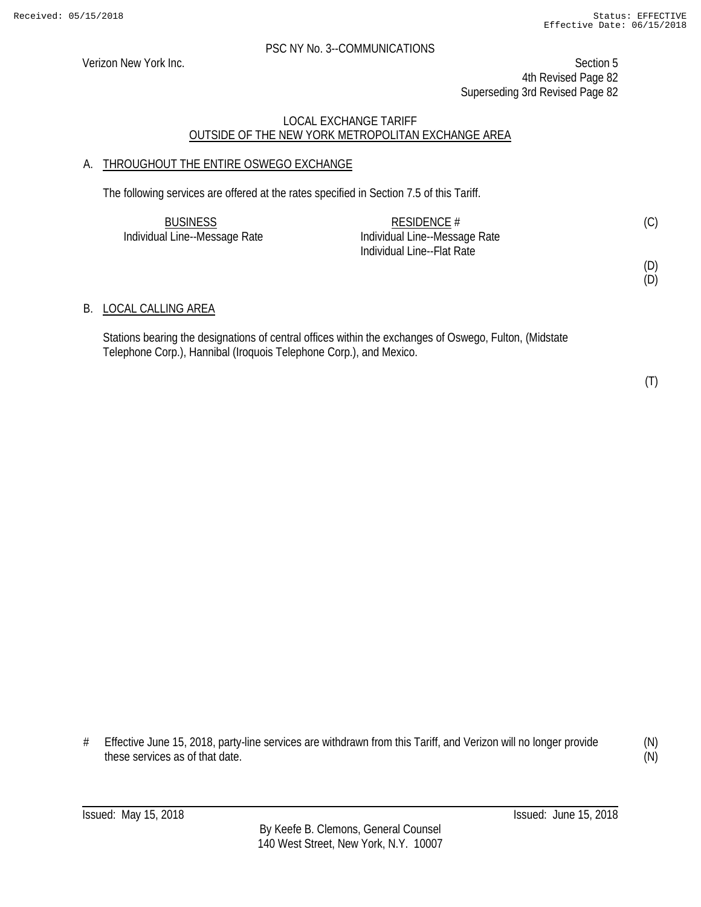Verizon New York Inc. Section 5 4th Revised Page 82 Superseding 3rd Revised Page 82

### LOCAL EXCHANGE TARIFF OUTSIDE OF THE NEW YORK METROPOLITAN EXCHANGE AREA

# A. THROUGHOUT THE ENTIRE OSWEGO EXCHANGE

The following services are offered at the rates specified in Section 7.5 of this Tariff.

| <b>BUSINESS</b>               | RESIDENCE $#$                 | (C) |
|-------------------------------|-------------------------------|-----|
| Individual Line--Message Rate | Individual Line--Message Rate |     |
|                               | Individual Line--Flat Rate    |     |
|                               |                               | (D) |

### B. LOCAL CALLING AREA

Stations bearing the designations of central offices within the exchanges of Oswego, Fulton, (Midstate Telephone Corp.), Hannibal (Iroquois Telephone Corp.), and Mexico.

(T)

(D)

# Effective June 15, 2018, party-line services are withdrawn from this Tariff, and Verizon will no longer provide these services as of that date.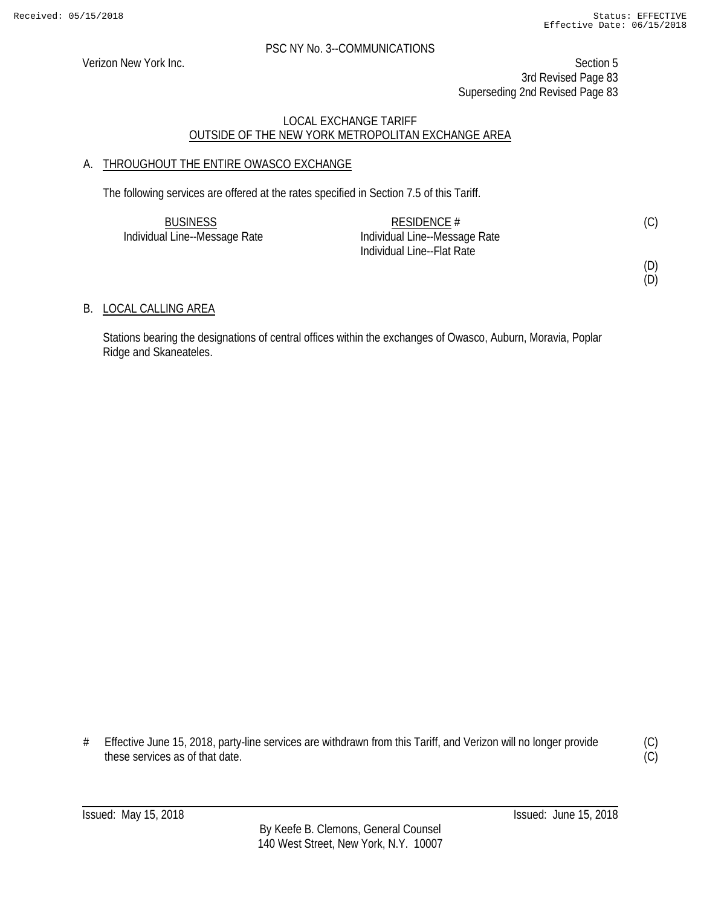Verizon New York Inc. Section 5 3rd Revised Page 83 Superseding 2nd Revised Page 83

# LOCAL EXCHANGE TARIFF OUTSIDE OF THE NEW YORK METROPOLITAN EXCHANGE AREA

# A. THROUGHOUT THE ENTIRE OWASCO EXCHANGE

The following services are offered at the rates specified in Section 7.5 of this Tariff.

| <b>BUSINESS</b>               | RESIDENCE #                   | (C) |
|-------------------------------|-------------------------------|-----|
| Individual Line--Message Rate | Individual Line--Message Rate |     |
|                               | Individual Line--Flat Rate    |     |

(D) (D)

# B. LOCAL CALLING AREA

Stations bearing the designations of central offices within the exchanges of Owasco, Auburn, Moravia, Poplar Ridge and Skaneateles.

# Effective June 15, 2018, party-line services are withdrawn from this Tariff, and Verizon will no longer provide these services as of that date.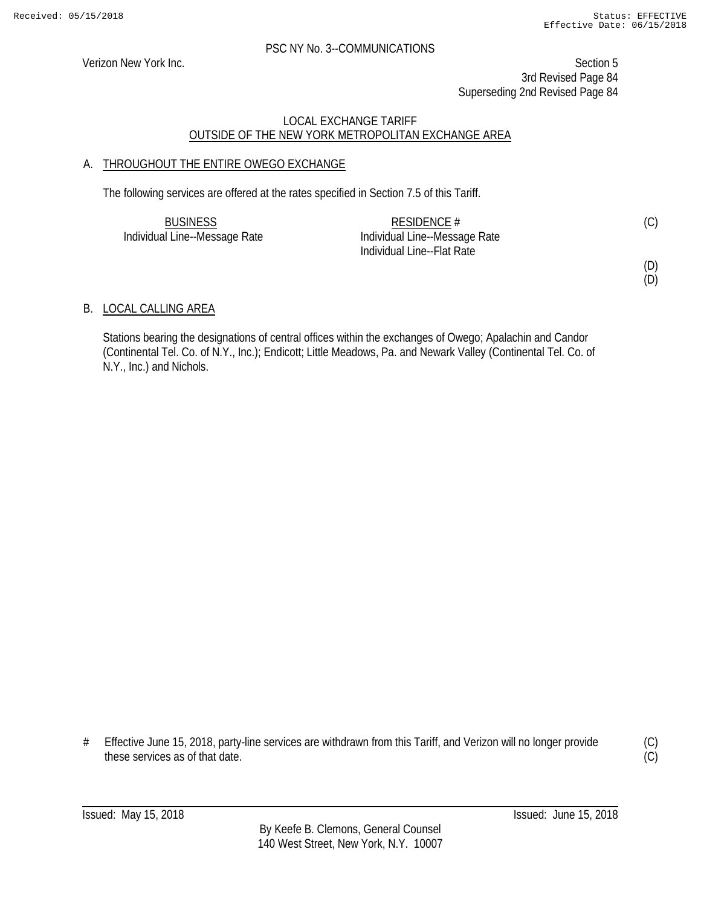Verizon New York Inc. Section 5 3rd Revised Page 84 Superseding 2nd Revised Page 84

# LOCAL EXCHANGE TARIFF OUTSIDE OF THE NEW YORK METROPOLITAN EXCHANGE AREA

# A. THROUGHOUT THE ENTIRE OWEGO EXCHANGE

The following services are offered at the rates specified in Section 7.5 of this Tariff.

| <b>BUSINESS</b>               | RESIDENCE $#$                 | (C) |
|-------------------------------|-------------------------------|-----|
| Individual Line--Message Rate | Individual Line--Message Rate |     |
|                               | Individual Line--Flat Rate    |     |

(D)

(D)

# B. LOCAL CALLING AREA

Stations bearing the designations of central offices within the exchanges of Owego; Apalachin and Candor (Continental Tel. Co. of N.Y., Inc.); Endicott; Little Meadows, Pa. and Newark Valley (Continental Tel. Co. of N.Y., Inc.) and Nichols.

# Effective June 15, 2018, party-line services are withdrawn from this Tariff, and Verizon will no longer provide these services as of that date.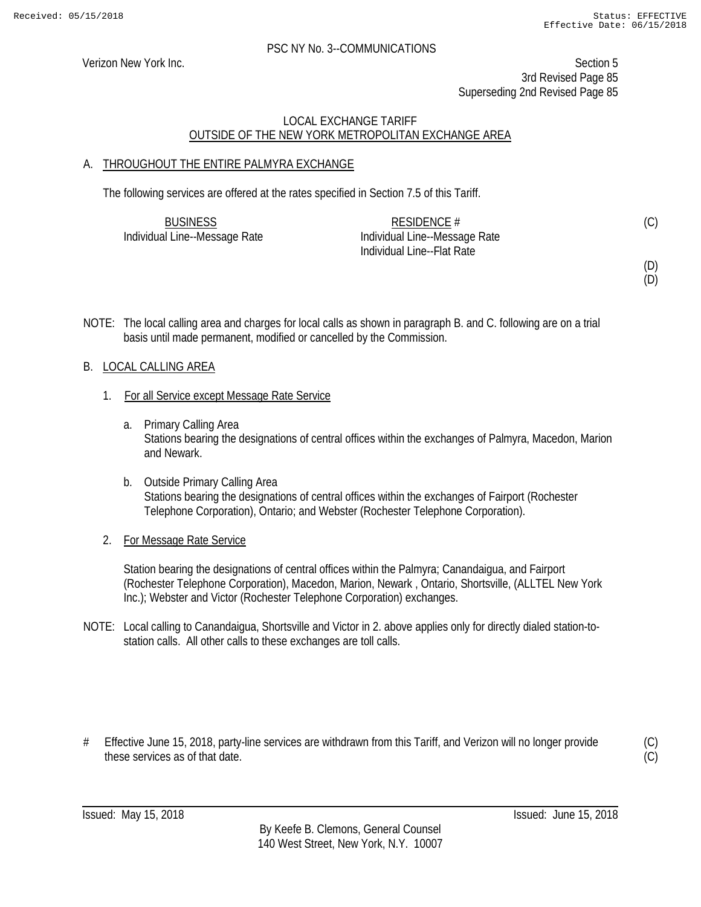Verizon New York Inc. Section 5 3rd Revised Page 85 Superseding 2nd Revised Page 85

# LOCAL EXCHANGE TARIFF OUTSIDE OF THE NEW YORK METROPOLITAN EXCHANGE AREA

# A. THROUGHOUT THE ENTIRE PALMYRA EXCHANGE

The following services are offered at the rates specified in Section 7.5 of this Tariff.

| <b>BUSINESS</b>               | RESIDENCE $#$                 | (C) |
|-------------------------------|-------------------------------|-----|
| Individual Line--Message Rate | Individual Line--Message Rate |     |
|                               | Individual Line--Flat Rate    |     |

(D)

(D)

NOTE: The local calling area and charges for local calls as shown in paragraph B. and C. following are on a trial basis until made permanent, modified or cancelled by the Commission.

# B. LOCAL CALLING AREA

- 1. For all Service except Message Rate Service
	- a. Primary Calling Area Stations bearing the designations of central offices within the exchanges of Palmyra, Macedon, Marion and Newark.
	- b. Outside Primary Calling Area Stations bearing the designations of central offices within the exchanges of Fairport (Rochester Telephone Corporation), Ontario; and Webster (Rochester Telephone Corporation).
- 2. For Message Rate Service

Station bearing the designations of central offices within the Palmyra; Canandaigua, and Fairport (Rochester Telephone Corporation), Macedon, Marion, Newark , Ontario, Shortsville, (ALLTEL New York Inc.); Webster and Victor (Rochester Telephone Corporation) exchanges.

- NOTE: Local calling to Canandaigua, Shortsville and Victor in 2. above applies only for directly dialed station-tostation calls. All other calls to these exchanges are toll calls.
- # Effective June 15, 2018, party-line services are withdrawn from this Tariff, and Verizon will no longer provide these services as of that date.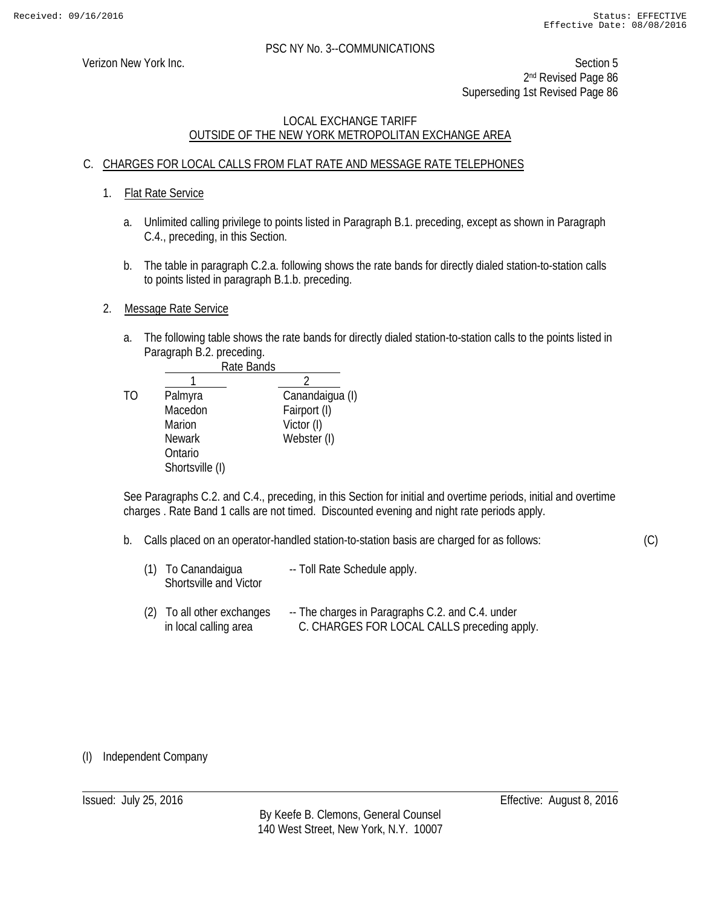(C)

# PSC NY No. 3--COMMUNICATIONS

Verizon New York Inc. Section 5 2<sup>nd</sup> Revised Page 86 Superseding 1st Revised Page 86

# LOCAL EXCHANGE TARIFF OUTSIDE OF THE NEW YORK METROPOLITAN EXCHANGE AREA

# C. CHARGES FOR LOCAL CALLS FROM FLAT RATE AND MESSAGE RATE TELEPHONES

- 1. Flat Rate Service
	- a. Unlimited calling privilege to points listed in Paragraph B.1. preceding, except as shown in Paragraph C.4., preceding, in this Section.
	- b. The table in paragraph C.2.a. following shows the rate bands for directly dialed station-to-station calls to points listed in paragraph B.1.b. preceding.
- 2. Message Rate Service
	- a. The following table shows the rate bands for directly dialed station-to-station calls to the points listed in Paragraph B.2. preceding.

|    | Rate Bands      |                 |
|----|-----------------|-----------------|
|    |                 |                 |
| TΟ | Palmyra         | Canandaigua (I) |
|    | Macedon         | Fairport (I)    |
|    | Marion          | Victor (I)      |
|    | <b>Newark</b>   | Webster (I)     |
|    | Ontario         |                 |
|    | Shortsville (I) |                 |

See Paragraphs C.2. and C.4., preceding, in this Section for initial and overtime periods, initial and overtime charges . Rate Band 1 calls are not timed. Discounted evening and night rate periods apply.

- b. Calls placed on an operator-handled station-to-station basis are charged for as follows:
	- (1) To Canandaigua -- Toll Rate Schedule apply. Shortsville and Victor
	- (2) To all other exchanges -- The charges in Paragraphs C.2. and C.4. under in local calling area C. CHARGES FOR LOCAL CALLS preceding apply.

#### (I) Independent Company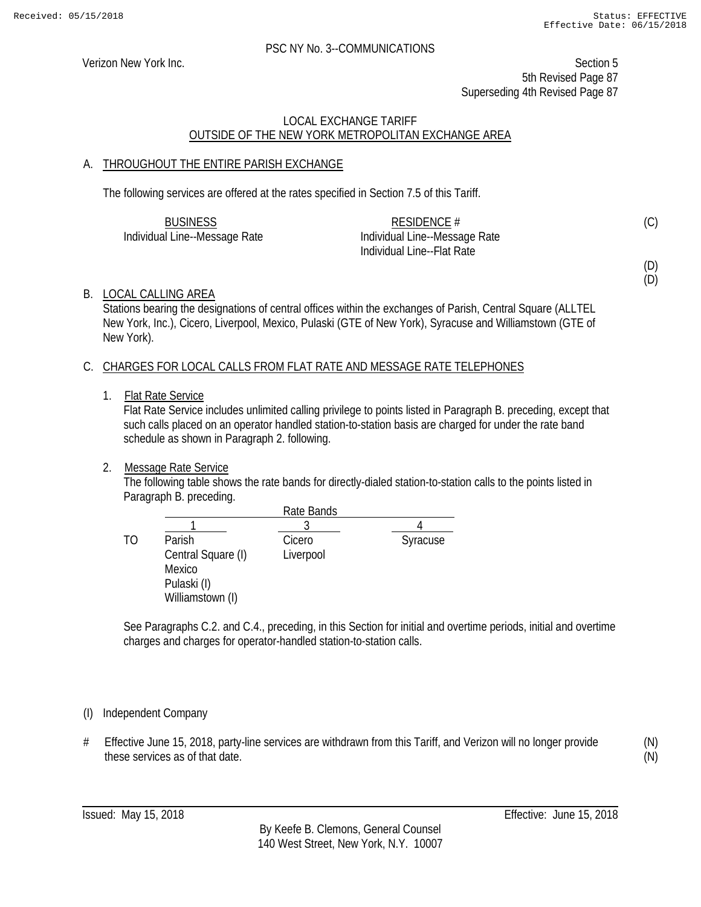Verizon New York Inc. Section 5 5th Revised Page 87 Superseding 4th Revised Page 87

# LOCAL EXCHANGE TARIFF OUTSIDE OF THE NEW YORK METROPOLITAN EXCHANGE AREA

# A. THROUGHOUT THE ENTIRE PARISH EXCHANGE

The following services are offered at the rates specified in Section 7.5 of this Tariff.

| <b>BUSINESS</b>               | RESIDENCE $#$                 | (C) |
|-------------------------------|-------------------------------|-----|
| Individual Line--Message Rate | Individual Line--Message Rate |     |
|                               | Individual Line--Flat Rate    |     |

(D) (D)

# B. LOCAL CALLING AREA

Stations bearing the designations of central offices within the exchanges of Parish, Central Square (ALLTEL New York, Inc.), Cicero, Liverpool, Mexico, Pulaski (GTE of New York), Syracuse and Williamstown (GTE of New York).

# C. CHARGES FOR LOCAL CALLS FROM FLAT RATE AND MESSAGE RATE TELEPHONES

1. Flat Rate Service

Flat Rate Service includes unlimited calling privilege to points listed in Paragraph B. preceding, except that such calls placed on an operator handled station-to-station basis are charged for under the rate band schedule as shown in Paragraph 2. following.

# 2. Message Rate Service

The following table shows the rate bands for directly-dialed station-to-station calls to the points listed in Paragraph B. preceding.

|    |                    | Rate Bands |          |
|----|--------------------|------------|----------|
|    |                    |            |          |
| TΟ | Parish             | Cicero     | Syracuse |
|    | Central Square (I) | Liverpool  |          |
|    | Mexico             |            |          |
|    | Pulaski (I)        |            |          |
|    | Williamstown (I)   |            |          |

See Paragraphs C.2. and C.4., preceding, in this Section for initial and overtime periods, initial and overtime charges and charges for operator-handled station-to-station calls.

# (I) Independent Company

# Effective June 15, 2018, party-line services are withdrawn from this Tariff, and Verizon will no longer provide these services as of that date.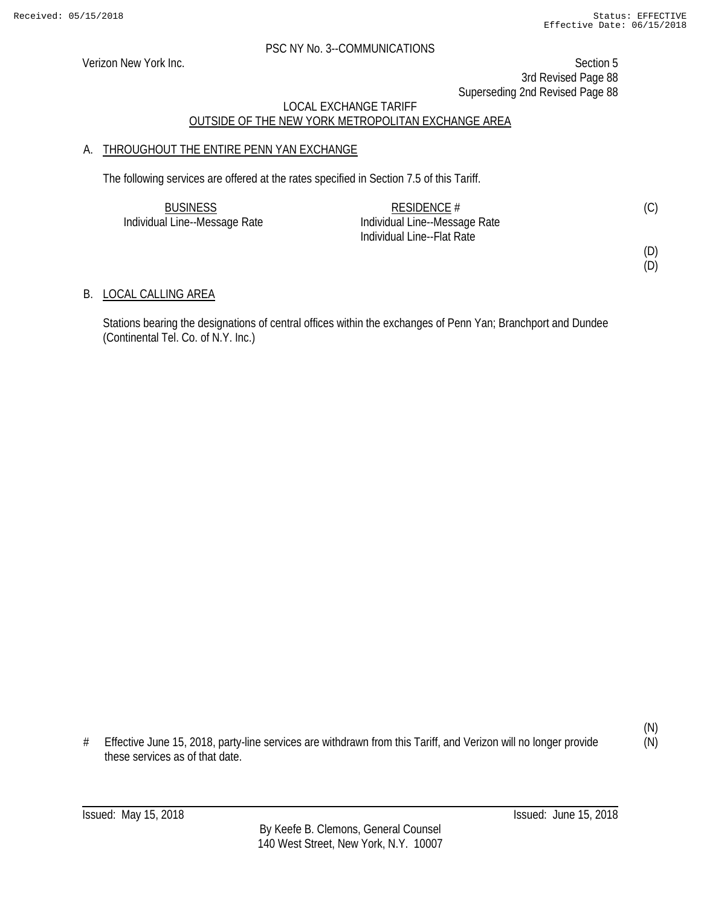(D)  $(D)$ 

#### PSC NY No. 3--COMMUNICATIONS

Verizon New York Inc. Section 5 3rd Revised Page 88 Superseding 2nd Revised Page 88

# LOCAL EXCHANGE TARIFF OUTSIDE OF THE NEW YORK METROPOLITAN EXCHANGE AREA

# A. THROUGHOUT THE ENTIRE PENN YAN EXCHANGE

The following services are offered at the rates specified in Section 7.5 of this Tariff.

| <b>BUSINESS</b>               | RESIDENCE #                   |  |
|-------------------------------|-------------------------------|--|
| Individual Line--Message Rate | Individual Line--Message Rate |  |
|                               | Individual Line--Flat Rate    |  |

### B. LOCAL CALLING AREA

Stations bearing the designations of central offices within the exchanges of Penn Yan; Branchport and Dundee (Continental Tel. Co. of N.Y. Inc.)

<sup>#</sup> Effective June 15, 2018, party-line services are withdrawn from this Tariff, and Verizon will no longer provide these services as of that date.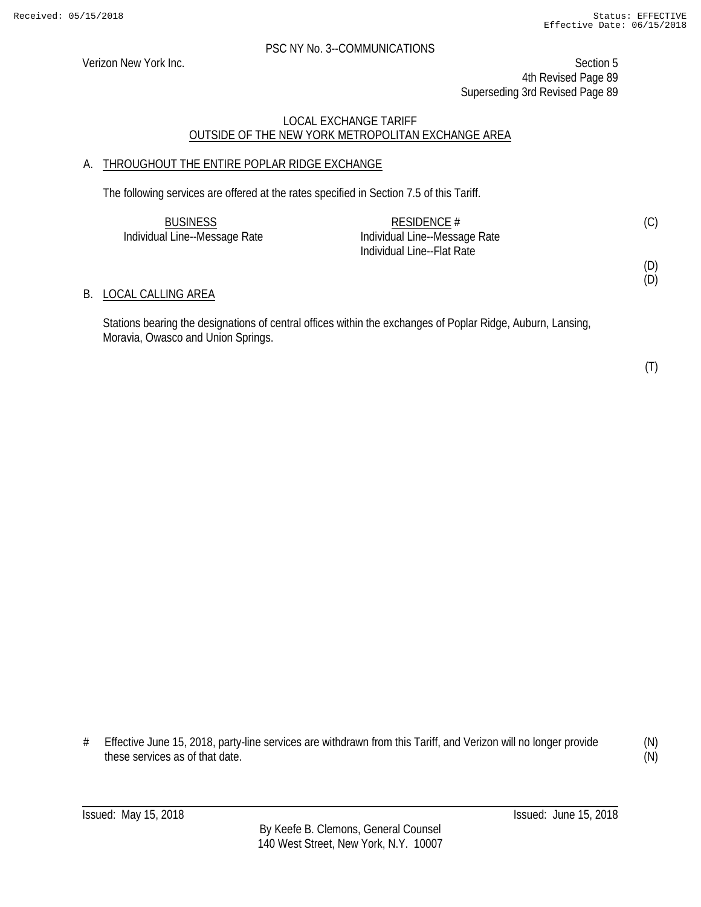Verizon New York Inc. Section 5 4th Revised Page 89 Superseding 3rd Revised Page 89

### LOCAL EXCHANGE TARIFF OUTSIDE OF THE NEW YORK METROPOLITAN EXCHANGE AREA

# A. THROUGHOUT THE ENTIRE POPLAR RIDGE EXCHANGE

The following services are offered at the rates specified in Section 7.5 of this Tariff.

| <b>BUSINESS</b>               | RESIDENCE $#$                 | (C) |
|-------------------------------|-------------------------------|-----|
| Individual Line--Message Rate | Individual Line--Message Rate |     |
|                               | Individual Line--Flat Rate    |     |
|                               |                               | (D) |

### B. LOCAL CALLING AREA

Stations bearing the designations of central offices within the exchanges of Poplar Ridge, Auburn, Lansing, Moravia, Owasco and Union Springs.

(T)

(D)

# Effective June 15, 2018, party-line services are withdrawn from this Tariff, and Verizon will no longer provide these services as of that date.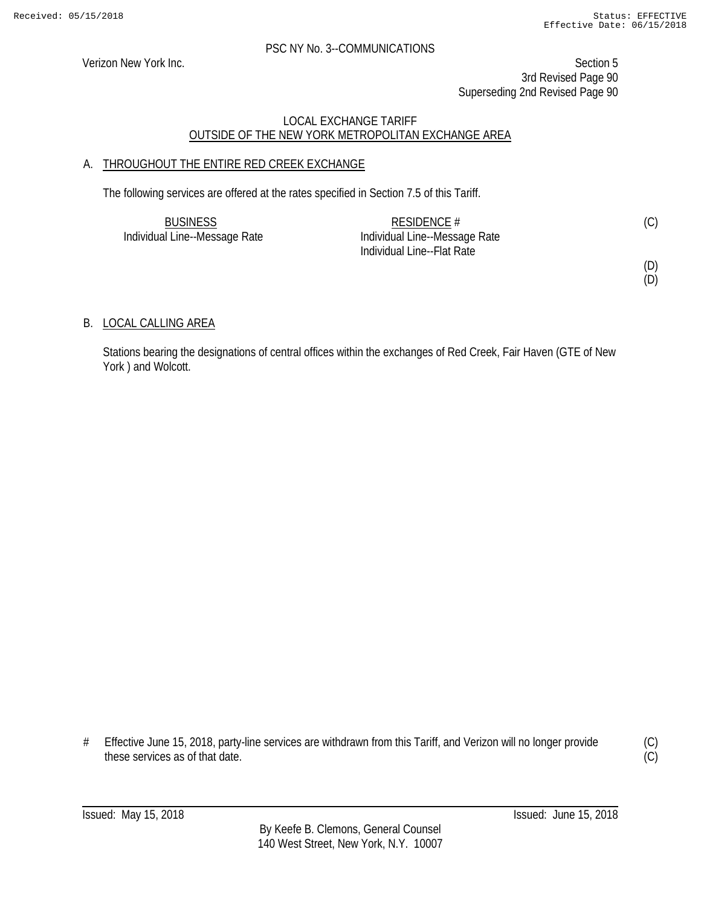Verizon New York Inc. Section 5 3rd Revised Page 90 Superseding 2nd Revised Page 90

# LOCAL EXCHANGE TARIFF OUTSIDE OF THE NEW YORK METROPOLITAN EXCHANGE AREA

# A. THROUGHOUT THE ENTIRE RED CREEK EXCHANGE

The following services are offered at the rates specified in Section 7.5 of this Tariff.

| <b>BUSINESS</b>               | RESIDENCE $#$                 | (C) |
|-------------------------------|-------------------------------|-----|
| Individual Line--Message Rate | Individual Line--Message Rate |     |
|                               | Individual Line--Flat Rate    |     |

(D)

(D)

# B. LOCAL CALLING AREA

Stations bearing the designations of central offices within the exchanges of Red Creek, Fair Haven (GTE of New York ) and Wolcott.

# Effective June 15, 2018, party-line services are withdrawn from this Tariff, and Verizon will no longer provide these services as of that date.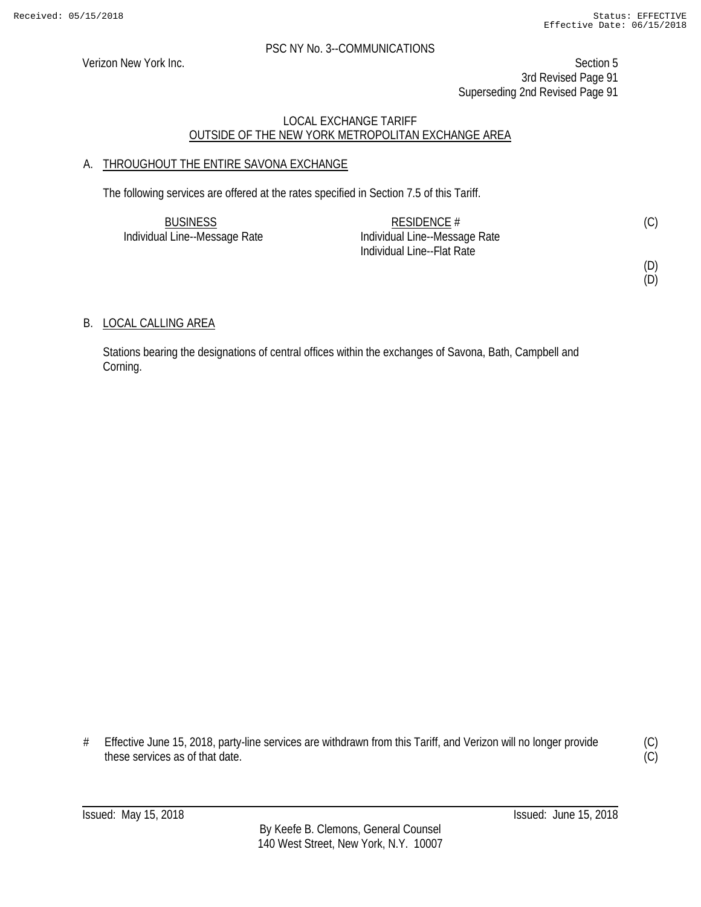Verizon New York Inc. Section 5 3rd Revised Page 91 Superseding 2nd Revised Page 91

# LOCAL EXCHANGE TARIFF OUTSIDE OF THE NEW YORK METROPOLITAN EXCHANGE AREA

# A. THROUGHOUT THE ENTIRE SAVONA EXCHANGE

The following services are offered at the rates specified in Section 7.5 of this Tariff.

| <b>BUSINESS</b>               | RESIDENCE $#$                 |  |
|-------------------------------|-------------------------------|--|
| Individual Line--Message Rate | Individual Line--Message Rate |  |
|                               | Individual Line--Flat Rate    |  |

(D)

(D)

# B. LOCAL CALLING AREA

Stations bearing the designations of central offices within the exchanges of Savona, Bath, Campbell and Corning.

# Effective June 15, 2018, party-line services are withdrawn from this Tariff, and Verizon will no longer provide these services as of that date.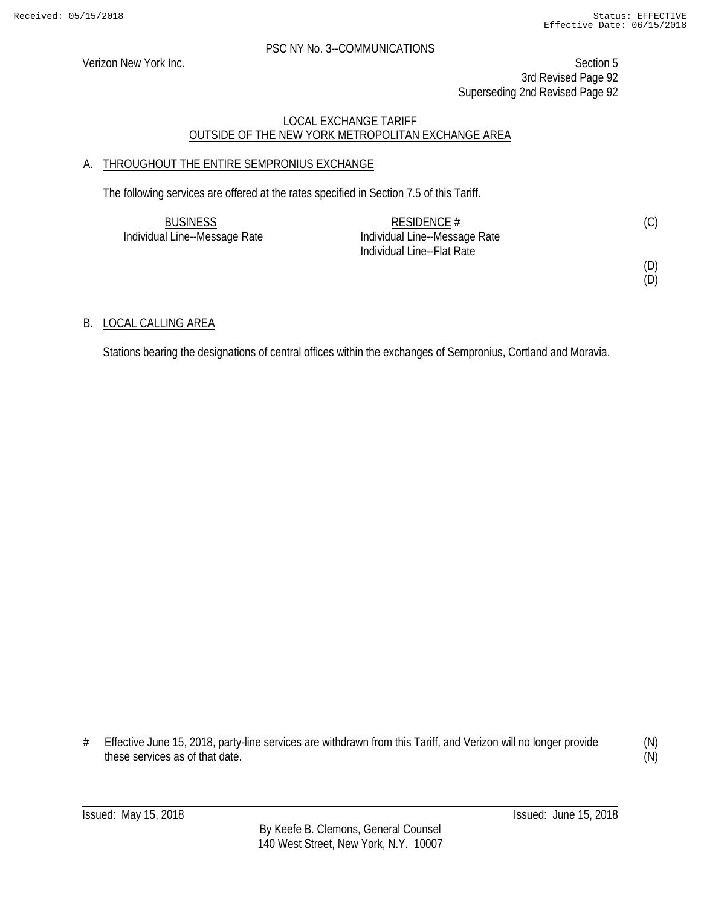Verizon New York Inc. Section 5 3rd Revised Page 92 Superseding 2nd Revised Page 92

# LOCAL EXCHANGE TARIFF OUTSIDE OF THE NEW YORK METROPOLITAN EXCHANGE AREA

# A. THROUGHOUT THE ENTIRE SEMPRONIUS EXCHANGE

The following services are offered at the rates specified in Section 7.5 of this Tariff.

| <b>BUSINESS</b>               | RESIDENCE $#$                 | (C) |
|-------------------------------|-------------------------------|-----|
| Individual Line--Message Rate | Individual Line--Message Rate |     |
|                               | Individual Line--Flat Rate    |     |

(D)

(D)

# B. LOCAL CALLING AREA

Stations bearing the designations of central offices within the exchanges of Sempronius, Cortland and Moravia.

# Effective June 15, 2018, party-line services are withdrawn from this Tariff, and Verizon will no longer provide these services as of that date.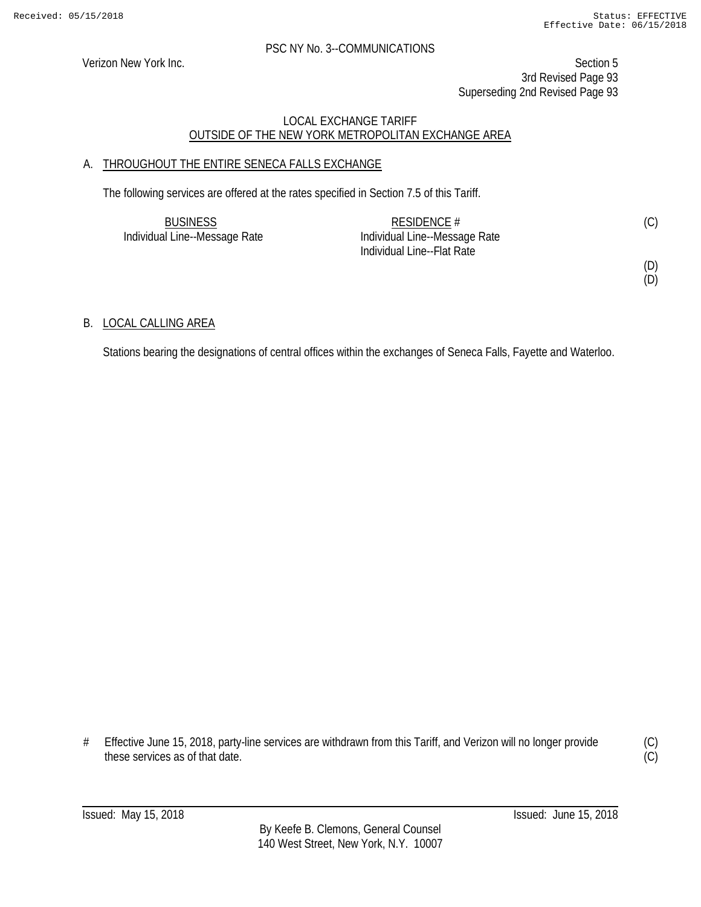Verizon New York Inc. Section 5 3rd Revised Page 93 Superseding 2nd Revised Page 93

# LOCAL EXCHANGE TARIFF OUTSIDE OF THE NEW YORK METROPOLITAN EXCHANGE AREA

# A. THROUGHOUT THE ENTIRE SENECA FALLS EXCHANGE

The following services are offered at the rates specified in Section 7.5 of this Tariff.

| <b>BUSINESS</b>               | RESIDENCE $#$                 | (C) |
|-------------------------------|-------------------------------|-----|
| Individual Line--Message Rate | Individual Line--Message Rate |     |
|                               | Individual Line--Flat Rate    |     |

(D)

(D)

# B. LOCAL CALLING AREA

Stations bearing the designations of central offices within the exchanges of Seneca Falls, Fayette and Waterloo.

# Effective June 15, 2018, party-line services are withdrawn from this Tariff, and Verizon will no longer provide these services as of that date.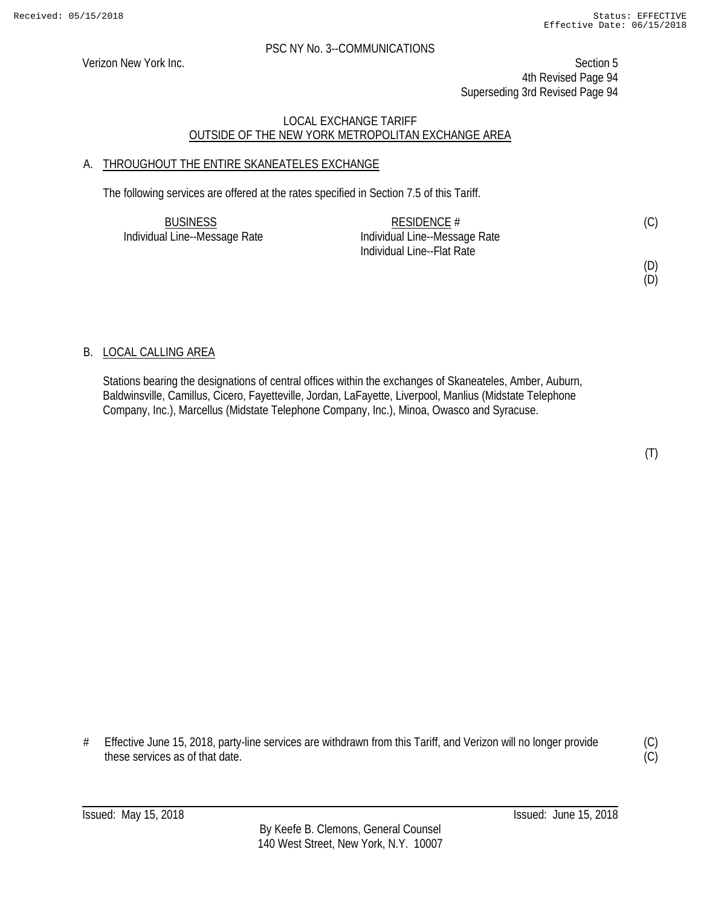Verizon New York Inc. Section 5 4th Revised Page 94 Superseding 3rd Revised Page 94

# LOCAL EXCHANGE TARIFF OUTSIDE OF THE NEW YORK METROPOLITAN EXCHANGE AREA

# A. THROUGHOUT THE ENTIRE SKANEATELES EXCHANGE

The following services are offered at the rates specified in Section 7.5 of this Tariff.

| <b>BUSINESS</b>               | RESIDENCE #                   | (C) |
|-------------------------------|-------------------------------|-----|
| Individual Line--Message Rate | Individual Line--Message Rate |     |
|                               | Individual Line--Flat Rate    |     |

(D) (D)

B. LOCAL CALLING AREA

Stations bearing the designations of central offices within the exchanges of Skaneateles, Amber, Auburn, Baldwinsville, Camillus, Cicero, Fayetteville, Jordan, LaFayette, Liverpool, Manlius (Midstate Telephone Company, Inc.), Marcellus (Midstate Telephone Company, Inc.), Minoa, Owasco and Syracuse.

(T)

# Effective June 15, 2018, party-line services are withdrawn from this Tariff, and Verizon will no longer provide these services as of that date.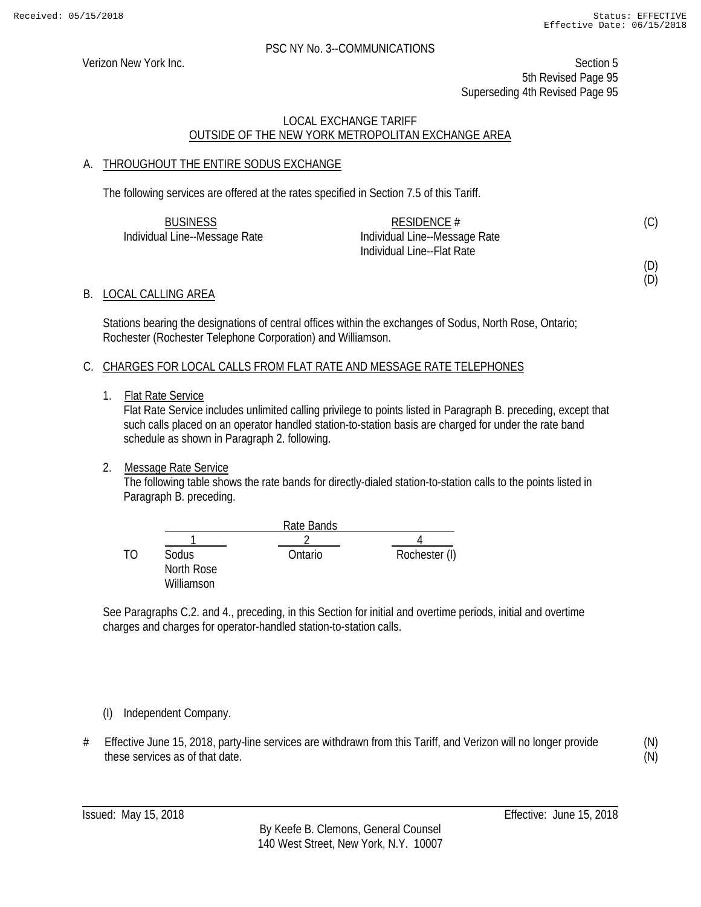(D) (D)

#### PSC NY No. 3--COMMUNICATIONS

Verizon New York Inc. Section 5 5th Revised Page 95 Superseding 4th Revised Page 95

# LOCAL EXCHANGE TARIFF OUTSIDE OF THE NEW YORK METROPOLITAN EXCHANGE AREA

# A. THROUGHOUT THE ENTIRE SODUS EXCHANGE

The following services are offered at the rates specified in Section 7.5 of this Tariff.

| <b>BUSINESS</b>               | RESIDENCE $#$                 | (C) |
|-------------------------------|-------------------------------|-----|
| Individual Line--Message Rate | Individual Line--Message Rate |     |
|                               | Individual Line--Flat Rate    |     |

### B. LOCAL CALLING AREA

Stations bearing the designations of central offices within the exchanges of Sodus, North Rose, Ontario; Rochester (Rochester Telephone Corporation) and Williamson.

### C. CHARGES FOR LOCAL CALLS FROM FLAT RATE AND MESSAGE RATE TELEPHONES

1. Flat Rate Service

Flat Rate Service includes unlimited calling privilege to points listed in Paragraph B. preceding, except that such calls placed on an operator handled station-to-station basis are charged for under the rate band schedule as shown in Paragraph 2. following.

# 2. Message Rate Service

The following table shows the rate bands for directly-dialed station-to-station calls to the points listed in Paragraph B. preceding.

|    |            | Rate Bands |               |
|----|------------|------------|---------------|
|    |            |            |               |
| TΛ | Sodus      | Ontario    | Rochester (I) |
|    | North Rose |            |               |
|    | Williamson |            |               |

See Paragraphs C.2. and 4., preceding, in this Section for initial and overtime periods, initial and overtime charges and charges for operator-handled station-to-station calls.

# (I) Independent Company.

# Effective June 15, 2018, party-line services are withdrawn from this Tariff, and Verizon will no longer provide these services as of that date.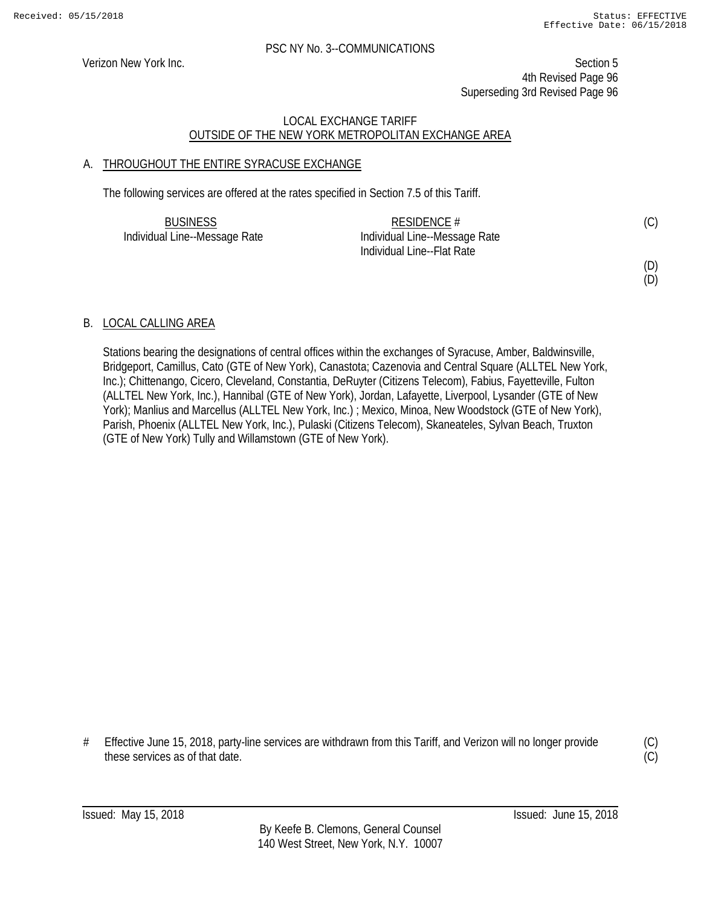Verizon New York Inc. Section 5 4th Revised Page 96 Superseding 3rd Revised Page 96

# LOCAL EXCHANGE TARIFF OUTSIDE OF THE NEW YORK METROPOLITAN EXCHANGE AREA

# A. THROUGHOUT THE ENTIRE SYRACUSE EXCHANGE

The following services are offered at the rates specified in Section 7.5 of this Tariff.

| <b>BUSINESS</b>               | RESIDENCE $#$                 | (C) |
|-------------------------------|-------------------------------|-----|
| Individual Line--Message Rate | Individual Line--Message Rate |     |
|                               | Individual Line--Flat Rate    |     |

(D)

(D)

# B. LOCAL CALLING AREA

Stations bearing the designations of central offices within the exchanges of Syracuse, Amber, Baldwinsville, Bridgeport, Camillus, Cato (GTE of New York), Canastota; Cazenovia and Central Square (ALLTEL New York, Inc.); Chittenango, Cicero, Cleveland, Constantia, DeRuyter (Citizens Telecom), Fabius, Fayetteville, Fulton (ALLTEL New York, Inc.), Hannibal (GTE of New York), Jordan, Lafayette, Liverpool, Lysander (GTE of New York); Manlius and Marcellus (ALLTEL New York, Inc.) ; Mexico, Minoa, New Woodstock (GTE of New York), Parish, Phoenix (ALLTEL New York, Inc.), Pulaski (Citizens Telecom), Skaneateles, Sylvan Beach, Truxton (GTE of New York) Tully and Willamstown (GTE of New York).

# Effective June 15, 2018, party-line services are withdrawn from this Tariff, and Verizon will no longer provide these services as of that date.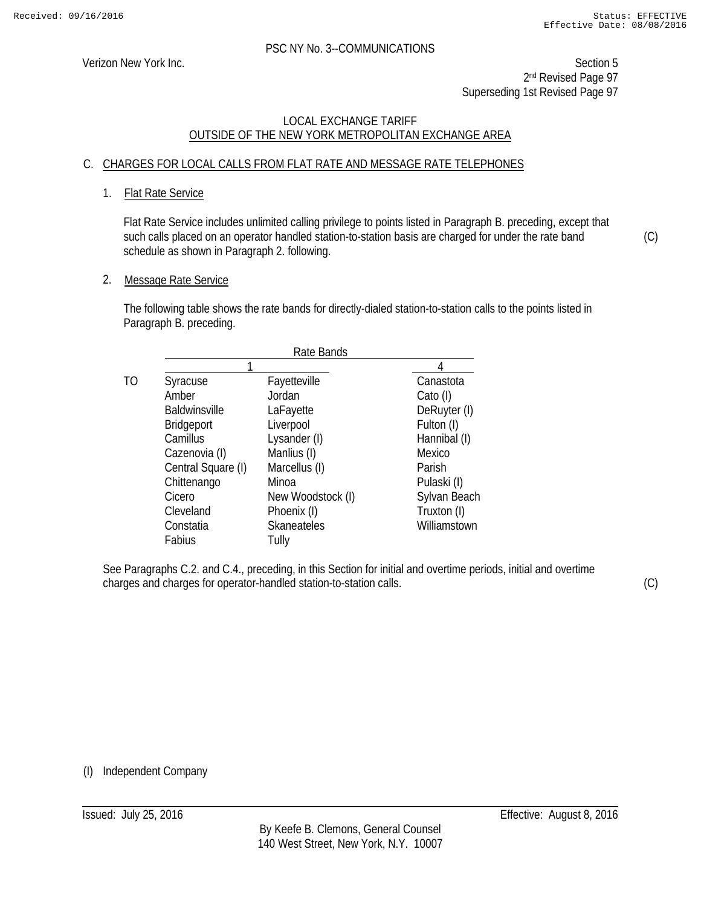Verizon New York Inc. Section 5 2<sup>nd</sup> Revised Page 97 Superseding 1st Revised Page 97

# LOCAL EXCHANGE TARIFF OUTSIDE OF THE NEW YORK METROPOLITAN EXCHANGE AREA

# C. CHARGES FOR LOCAL CALLS FROM FLAT RATE AND MESSAGE RATE TELEPHONES

### 1. Flat Rate Service

Flat Rate Service includes unlimited calling privilege to points listed in Paragraph B. preceding, except that such calls placed on an operator handled station-to-station basis are charged for under the rate band schedule as shown in Paragraph 2. following.

2. Message Rate Service

The following table shows the rate bands for directly-dialed station-to-station calls to the points listed in Paragraph B. preceding.

|    | Rate Bands           |                   |              |
|----|----------------------|-------------------|--------------|
|    |                      |                   |              |
| ТO | Syracuse             | Fayetteville      | Canastota    |
|    | Amber                | Jordan            | Cato (I)     |
|    | <b>Baldwinsville</b> | LaFayette         | DeRuyter (I) |
|    | Bridgeport           | Liverpool         | Fulton (I)   |
|    | Camillus             | Lysander (I)      | Hannibal (I) |
|    | Cazenovia (I)        | Manlius (I)       | Mexico       |
|    | Central Square (I)   | Marcellus (I)     | Parish       |
|    | Chittenango          | Minoa             | Pulaski (I)  |
|    | Cicero               | New Woodstock (I) | Sylvan Beach |
|    | Cleveland            | Phoenix (I)       | Truxton (I)  |
|    | Constatia            | Skaneateles       | Williamstown |
|    | Fabius               | Tully             |              |

See Paragraphs C.2. and C.4., preceding, in this Section for initial and overtime periods, initial and overtime charges and charges for operator-handled station-to-station calls.

(C)

(C)

(I) Independent Company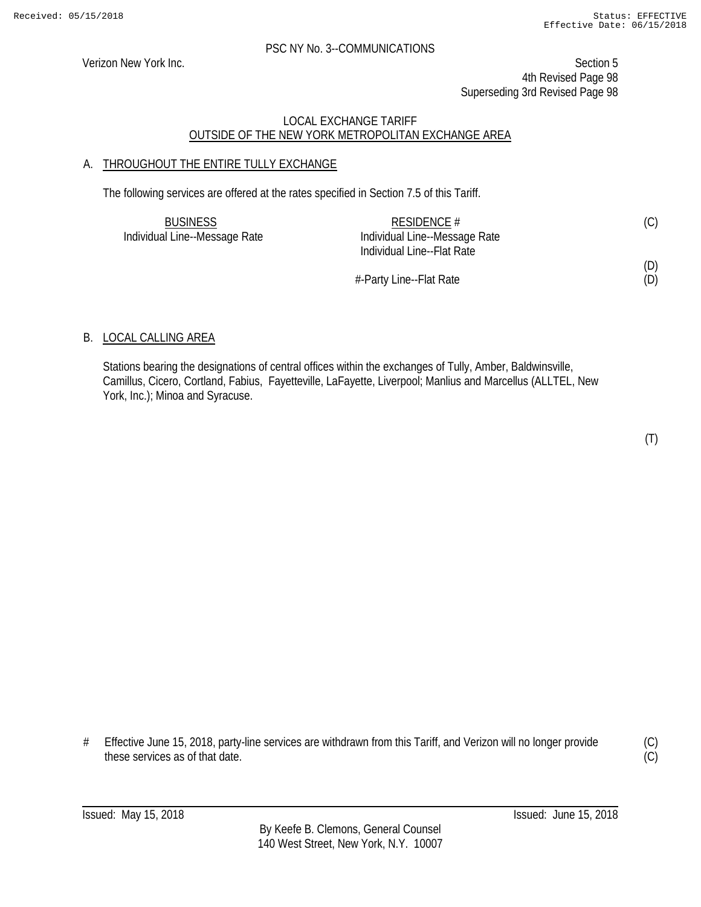Verizon New York Inc. Section 5 4th Revised Page 98 Superseding 3rd Revised Page 98

# LOCAL EXCHANGE TARIFF OUTSIDE OF THE NEW YORK METROPOLITAN EXCHANGE AREA

# A. THROUGHOUT THE ENTIRE TULLY EXCHANGE

The following services are offered at the rates specified in Section 7.5 of this Tariff.

| <b>BUSINESS</b>               | RESIDENCE #                   | (C) |
|-------------------------------|-------------------------------|-----|
| Individual Line--Message Rate | Individual Line--Message Rate |     |
|                               | Individual Line--Flat Rate    |     |
|                               |                               | (D) |
|                               | #-Party Line--Flat Rate       | (D) |

#-Party Line--Flat Rate

# B. LOCAL CALLING AREA

Stations bearing the designations of central offices within the exchanges of Tully, Amber, Baldwinsville, Camillus, Cicero, Cortland, Fabius, Fayetteville, LaFayette, Liverpool; Manlius and Marcellus (ALLTEL, New York, Inc.); Minoa and Syracuse.

(T)

# Effective June 15, 2018, party-line services are withdrawn from this Tariff, and Verizon will no longer provide these services as of that date.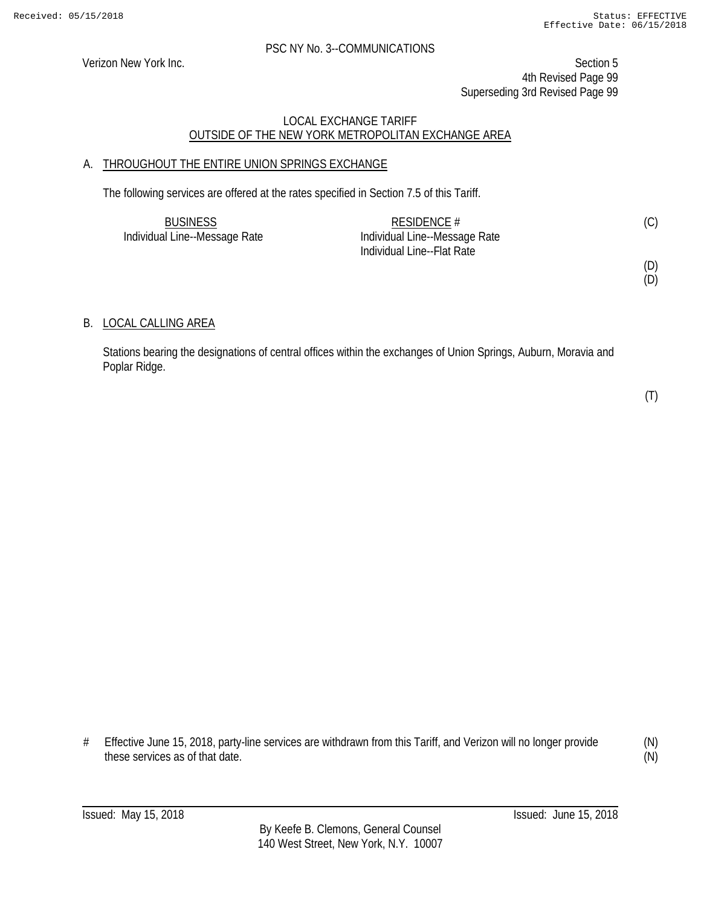Verizon New York Inc. Section 5 4th Revised Page 99 Superseding 3rd Revised Page 99

# LOCAL EXCHANGE TARIFF OUTSIDE OF THE NEW YORK METROPOLITAN EXCHANGE AREA

# A. THROUGHOUT THE ENTIRE UNION SPRINGS EXCHANGE

The following services are offered at the rates specified in Section 7.5 of this Tariff.

| <b>BUSINESS</b>               | RESIDENCE $#$                 | (C) |
|-------------------------------|-------------------------------|-----|
| Individual Line--Message Rate | Individual Line--Message Rate |     |
|                               | Individual Line--Flat Rate    |     |

(D) (D)

# B. LOCAL CALLING AREA

Stations bearing the designations of central offices within the exchanges of Union Springs, Auburn, Moravia and Poplar Ridge.

(T)

# Effective June 15, 2018, party-line services are withdrawn from this Tariff, and Verizon will no longer provide these services as of that date.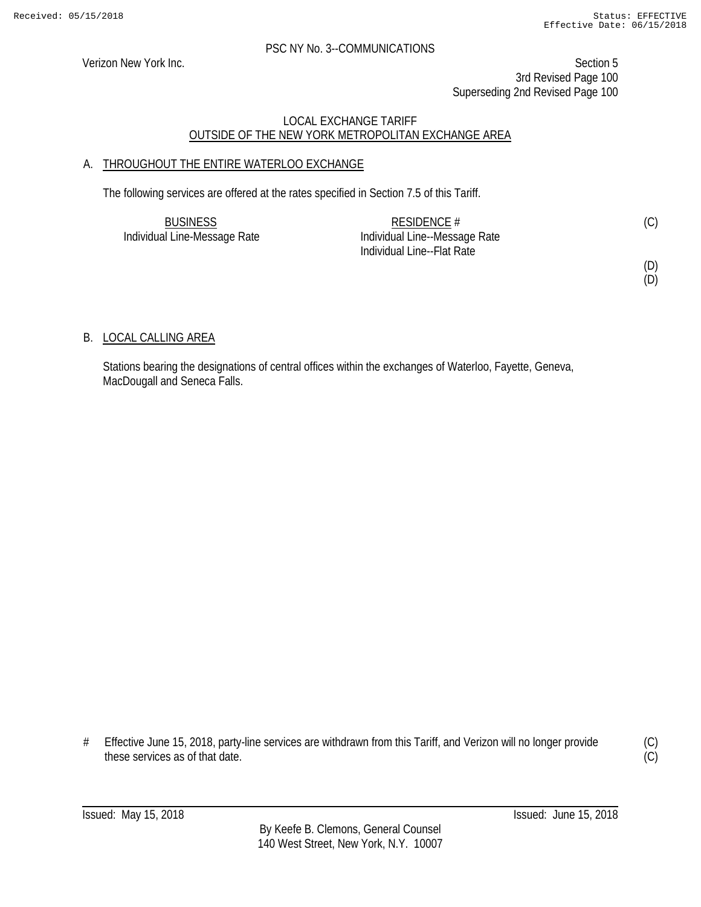Verizon New York Inc. Section 5 3rd Revised Page 100 Superseding 2nd Revised Page 100

# LOCAL EXCHANGE TARIFF OUTSIDE OF THE NEW YORK METROPOLITAN EXCHANGE AREA

# A. THROUGHOUT THE ENTIRE WATERLOO EXCHANGE

The following services are offered at the rates specified in Section 7.5 of this Tariff.

| <b>BUSINESS</b>              | RESIDENCE #                   | (C) |
|------------------------------|-------------------------------|-----|
| Individual Line-Message Rate | Individual Line--Message Rate |     |
|                              | Individual Line--Flat Rate    |     |

(D)

(D)

# B. LOCAL CALLING AREA

Stations bearing the designations of central offices within the exchanges of Waterloo, Fayette, Geneva, MacDougall and Seneca Falls.

# Effective June 15, 2018, party-line services are withdrawn from this Tariff, and Verizon will no longer provide these services as of that date.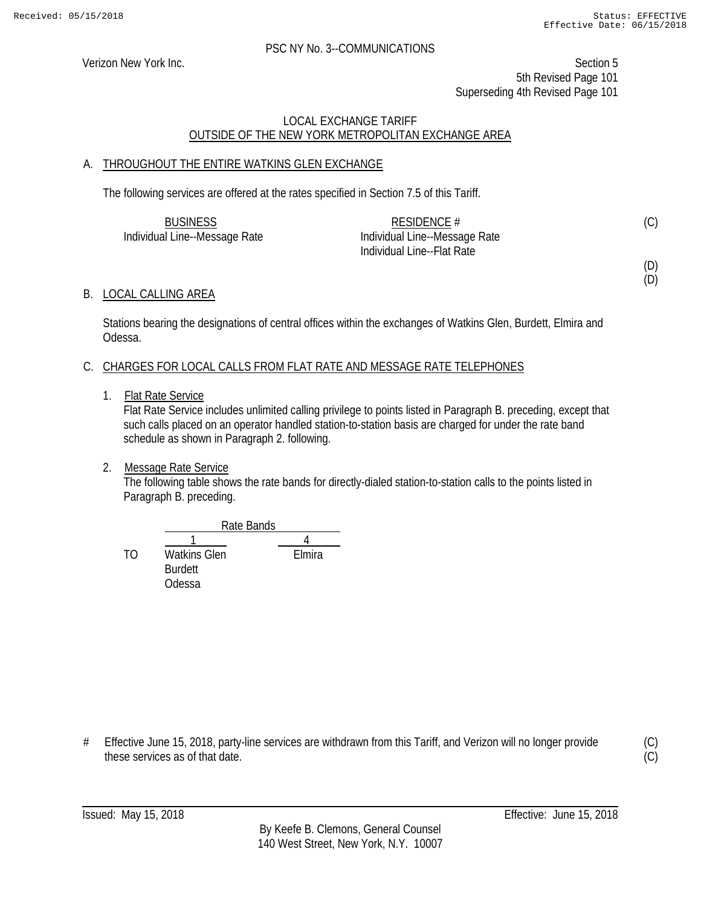Verizon New York Inc. Section 5 5th Revised Page 101 Superseding 4th Revised Page 101

# LOCAL EXCHANGE TARIFF OUTSIDE OF THE NEW YORK METROPOLITAN EXCHANGE AREA

# A. THROUGHOUT THE ENTIRE WATKINS GLEN EXCHANGE

The following services are offered at the rates specified in Section 7.5 of this Tariff.

| <b>BUSINESS</b>               | RESIDENCE $#$                 | (C) |
|-------------------------------|-------------------------------|-----|
| Individual Line--Message Rate | Individual Line--Message Rate |     |
|                               | Individual Line--Flat Rate    |     |

(D) (D)

### B. LOCAL CALLING AREA

Stations bearing the designations of central offices within the exchanges of Watkins Glen, Burdett, Elmira and Odessa.

# C. CHARGES FOR LOCAL CALLS FROM FLAT RATE AND MESSAGE RATE TELEPHONES

1. Flat Rate Service

Flat Rate Service includes unlimited calling privilege to points listed in Paragraph B. preceding, except that such calls placed on an operator handled station-to-station basis are charged for under the rate band schedule as shown in Paragraph 2. following.

# 2. Message Rate Service

The following table shows the rate bands for directly-dialed station-to-station calls to the points listed in Paragraph B. preceding.



# Effective June 15, 2018, party-line services are withdrawn from this Tariff, and Verizon will no longer provide these services as of that date.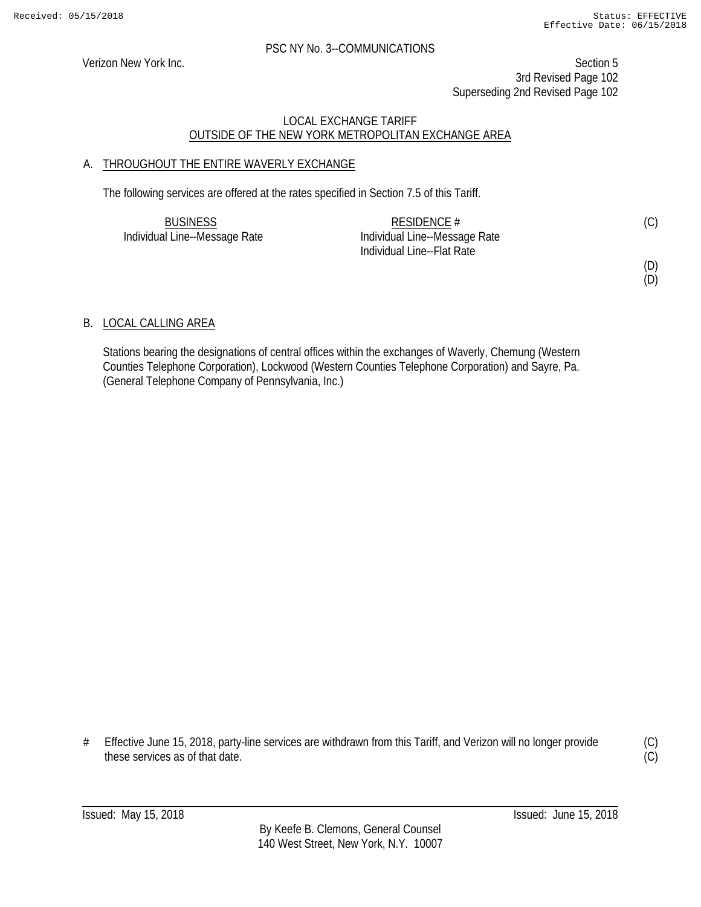Verizon New York Inc. Section 5 3rd Revised Page 102 Superseding 2nd Revised Page 102

# LOCAL EXCHANGE TARIFF OUTSIDE OF THE NEW YORK METROPOLITAN EXCHANGE AREA

# A. THROUGHOUT THE ENTIRE WAVERLY EXCHANGE

The following services are offered at the rates specified in Section 7.5 of this Tariff.

| <b>BUSINESS</b>               | RESIDENCE #                   | (C) |
|-------------------------------|-------------------------------|-----|
| Individual Line--Message Rate | Individual Line--Message Rate |     |
|                               | Individual Line--Flat Rate    |     |

(D)

(D)

# B. LOCAL CALLING AREA

Stations bearing the designations of central offices within the exchanges of Waverly, Chemung (Western Counties Telephone Corporation), Lockwood (Western Counties Telephone Corporation) and Sayre, Pa. (General Telephone Company of Pennsylvania, Inc.)

# Effective June 15, 2018, party-line services are withdrawn from this Tariff, and Verizon will no longer provide these services as of that date.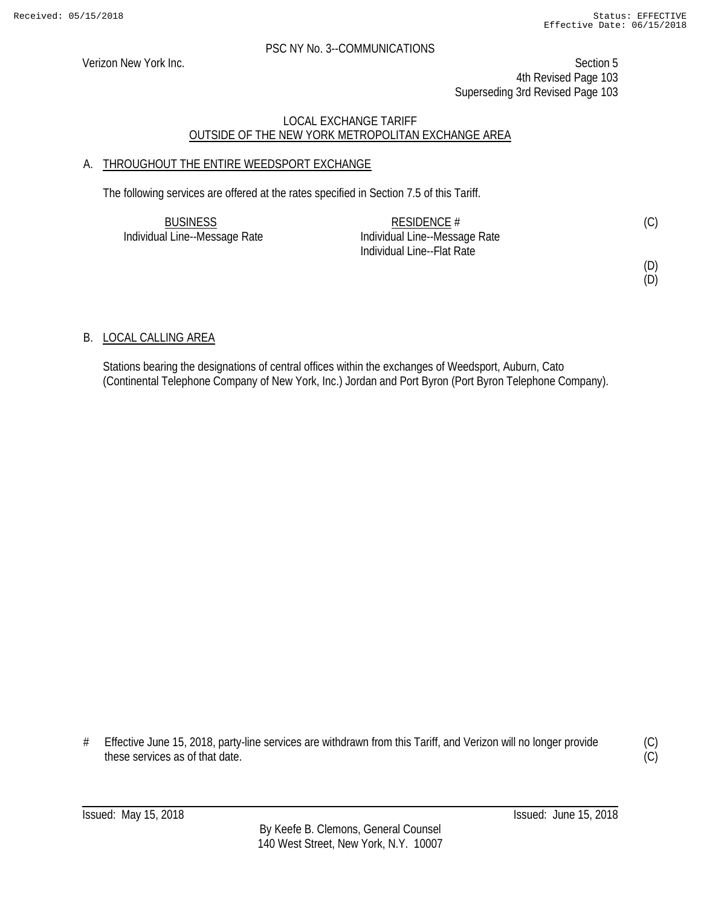Verizon New York Inc. Section 5 4th Revised Page 103 Superseding 3rd Revised Page 103

# LOCAL EXCHANGE TARIFF OUTSIDE OF THE NEW YORK METROPOLITAN EXCHANGE AREA

# A. THROUGHOUT THE ENTIRE WEEDSPORT EXCHANGE

The following services are offered at the rates specified in Section 7.5 of this Tariff.

| <b>BUSINESS</b>               | RESIDENCE $#$                 | (C) |
|-------------------------------|-------------------------------|-----|
| Individual Line--Message Rate | Individual Line--Message Rate |     |
|                               | Individual Line--Flat Rate    |     |

(D)

(D)

# B. LOCAL CALLING AREA

Stations bearing the designations of central offices within the exchanges of Weedsport, Auburn, Cato (Continental Telephone Company of New York, Inc.) Jordan and Port Byron (Port Byron Telephone Company).

# Effective June 15, 2018, party-line services are withdrawn from this Tariff, and Verizon will no longer provide these services as of that date.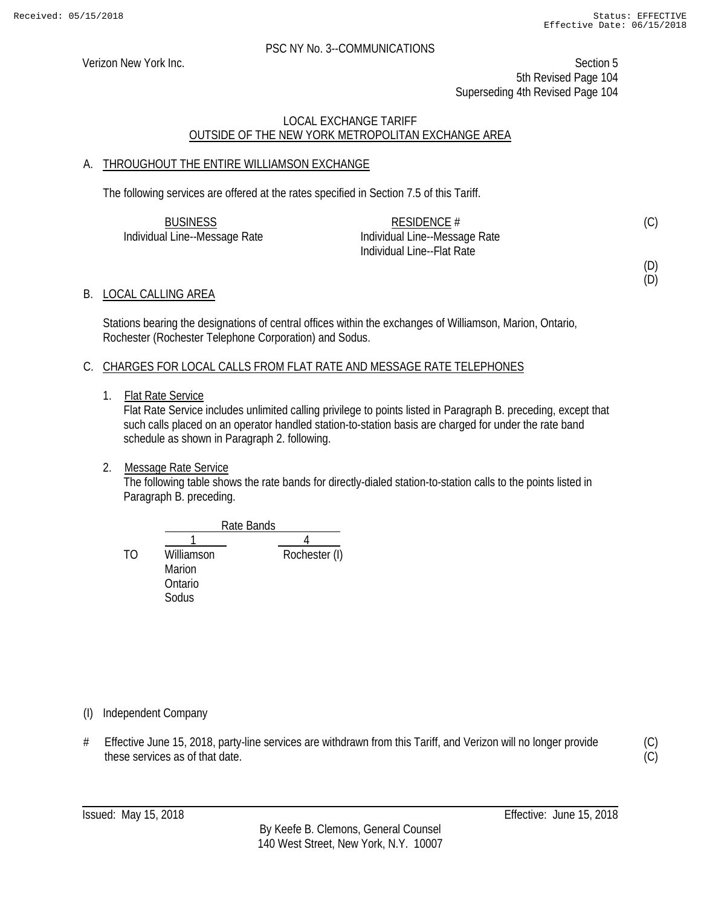(D) (D)

#### PSC NY No. 3--COMMUNICATIONS

Verizon New York Inc. Section 5 5th Revised Page 104 Superseding 4th Revised Page 104

# LOCAL EXCHANGE TARIFF OUTSIDE OF THE NEW YORK METROPOLITAN EXCHANGE AREA

# A. THROUGHOUT THE ENTIRE WILLIAMSON EXCHANGE

The following services are offered at the rates specified in Section 7.5 of this Tariff.

| <b>BUSINESS</b>               | RESIDENCE $#$                 | (C) |
|-------------------------------|-------------------------------|-----|
| Individual Line--Message Rate | Individual Line--Message Rate |     |
|                               | Individual Line--Flat Rate    |     |

B. LOCAL CALLING AREA

Stations bearing the designations of central offices within the exchanges of Williamson, Marion, Ontario, Rochester (Rochester Telephone Corporation) and Sodus.

# C. CHARGES FOR LOCAL CALLS FROM FLAT RATE AND MESSAGE RATE TELEPHONES

1. Flat Rate Service

Flat Rate Service includes unlimited calling privilege to points listed in Paragraph B. preceding, except that such calls placed on an operator handled station-to-station basis are charged for under the rate band schedule as shown in Paragraph 2. following.

2. Message Rate Service

The following table shows the rate bands for directly-dialed station-to-station calls to the points listed in Paragraph B. preceding.



(I) Independent Company

# Effective June 15, 2018, party-line services are withdrawn from this Tariff, and Verizon will no longer provide these services as of that date.